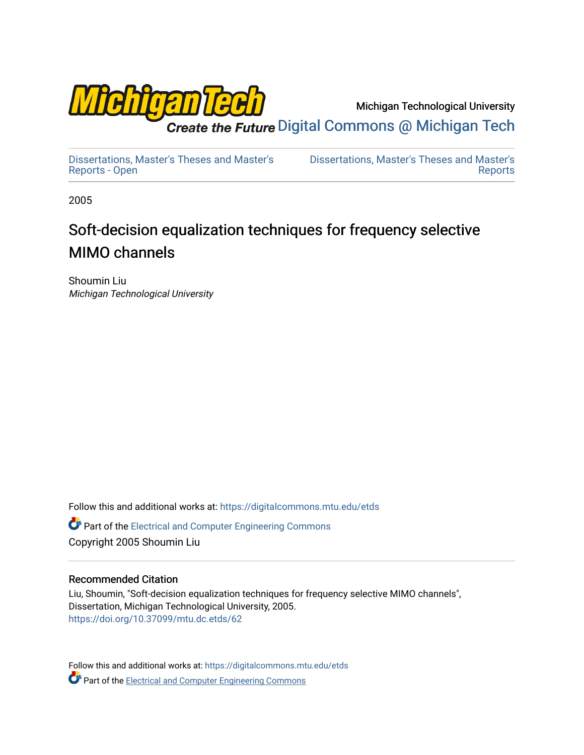

Michigan Technological University

Create the Future Digital Commons @ Michigan Tech

[Dissertations, Master's Theses and Master's](https://digitalcommons.mtu.edu/etds) [Reports - Open](https://digitalcommons.mtu.edu/etds)

[Dissertations, Master's Theses and Master's](https://digitalcommons.mtu.edu/etd)  [Reports](https://digitalcommons.mtu.edu/etd) 

2005

# Soft-decision equalization techniques for frequency selective MIMO channels

Shoumin Liu Michigan Technological University

Follow this and additional works at: [https://digitalcommons.mtu.edu/etds](https://digitalcommons.mtu.edu/etds?utm_source=digitalcommons.mtu.edu%2Fetds%2F62&utm_medium=PDF&utm_campaign=PDFCoverPages) 

**C** Part of the Electrical and Computer Engineering Commons Copyright 2005 Shoumin Liu

#### Recommended Citation

Liu, Shoumin, "Soft-decision equalization techniques for frequency selective MIMO channels", Dissertation, Michigan Technological University, 2005. <https://doi.org/10.37099/mtu.dc.etds/62>

Follow this and additional works at: [https://digitalcommons.mtu.edu/etds](https://digitalcommons.mtu.edu/etds?utm_source=digitalcommons.mtu.edu%2Fetds%2F62&utm_medium=PDF&utm_campaign=PDFCoverPages) **Part of the Electrical and Computer Engineering Commons**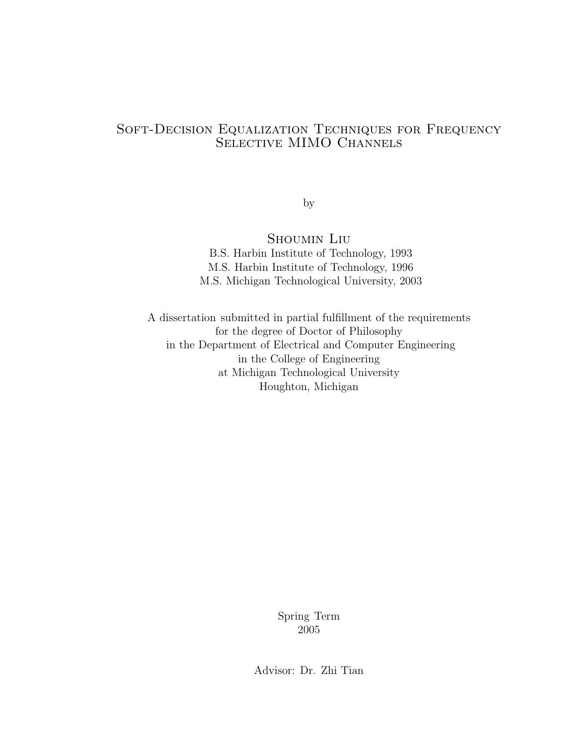#### Soft-Decision Equalization Techniques for Frequency SELECTIVE MIMO CHANNELS

by

Shoumin Liu

B.S. Harbin Institute of Technology, 1993 M.S. Harbin Institute of Technology, 1996 M.S. Michigan Technological University, 2003

A dissertation submitted in partial fulfillment of the requirements for the degree of Doctor of Philosophy in the Department of Electrical and Computer Engineering in the College of Engineering at Michigan Technological University Houghton, Michigan

> Spring Term 2005

Advisor: Dr. Zhi Tian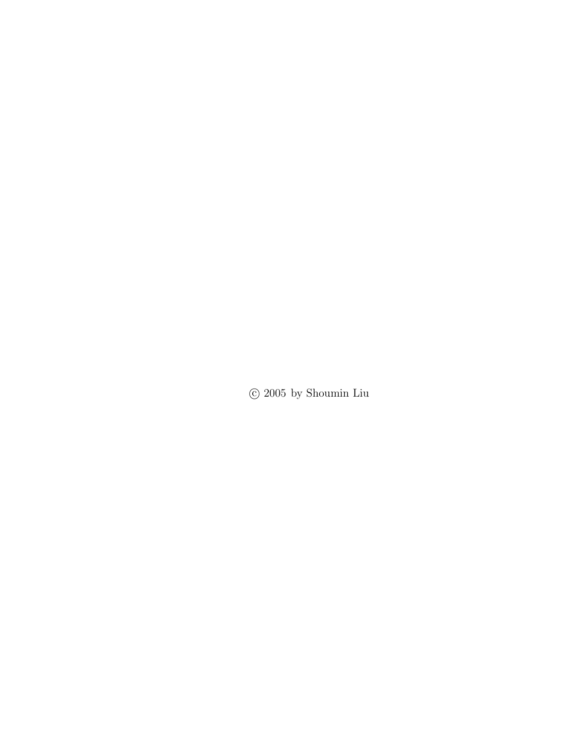$\odot$  2005 by Shoumin Liu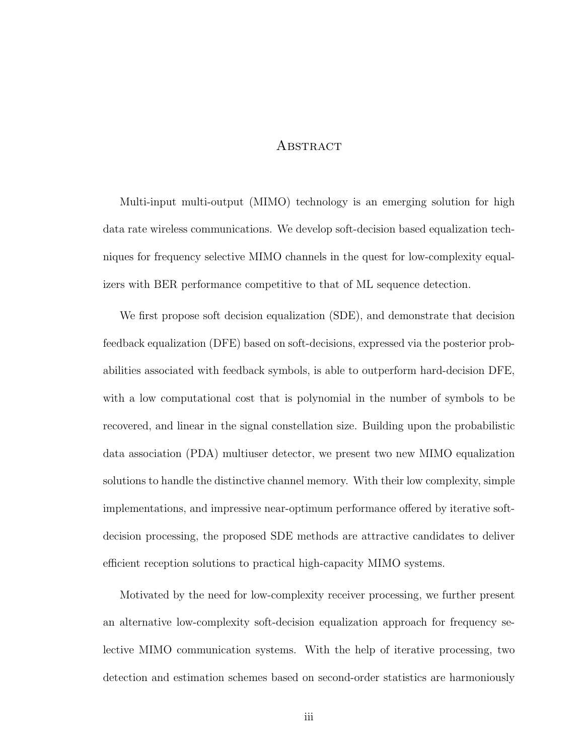#### **ABSTRACT**

Multi-input multi-output (MIMO) technology is an emerging solution for high data rate wireless communications. We develop soft-decision based equalization techniques for frequency selective MIMO channels in the quest for low-complexity equalizers with BER performance competitive to that of ML sequence detection.

We first propose soft decision equalization (SDE), and demonstrate that decision feedback equalization (DFE) based on soft-decisions, expressed via the posterior probabilities associated with feedback symbols, is able to outperform hard-decision DFE, with a low computational cost that is polynomial in the number of symbols to be recovered, and linear in the signal constellation size. Building upon the probabilistic data association (PDA) multiuser detector, we present two new MIMO equalization solutions to handle the distinctive channel memory. With their low complexity, simple implementations, and impressive near-optimum performance offered by iterative softdecision processing, the proposed SDE methods are attractive candidates to deliver efficient reception solutions to practical high-capacity MIMO systems.

Motivated by the need for low-complexity receiver processing, we further present an alternative low-complexity soft-decision equalization approach for frequency selective MIMO communication systems. With the help of iterative processing, two detection and estimation schemes based on second-order statistics are harmoniously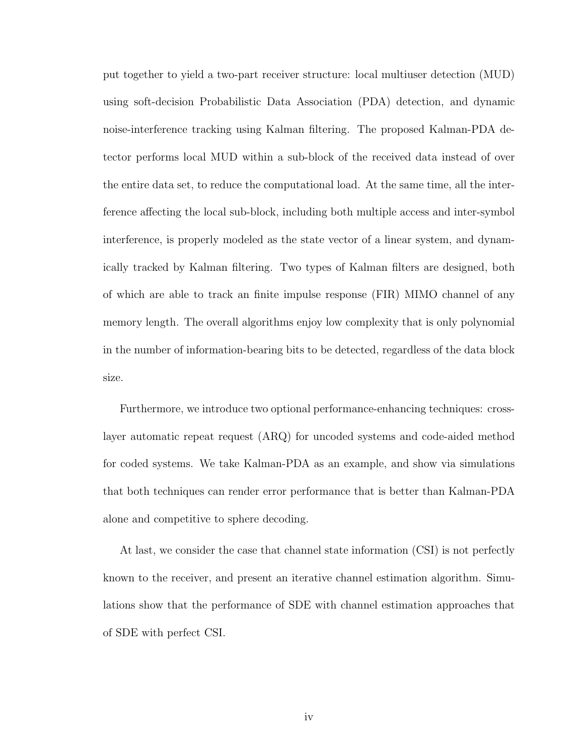put together to yield a two-part receiver structure: local multiuser detection (MUD) using soft-decision Probabilistic Data Association (PDA) detection, and dynamic noise-interference tracking using Kalman filtering. The proposed Kalman-PDA detector performs local MUD within a sub-block of the received data instead of over the entire data set, to reduce the computational load. At the same time, all the interference affecting the local sub-block, including both multiple access and inter-symbol interference, is properly modeled as the state vector of a linear system, and dynamically tracked by Kalman filtering. Two types of Kalman filters are designed, both of which are able to track an finite impulse response (FIR) MIMO channel of any memory length. The overall algorithms enjoy low complexity that is only polynomial in the number of information-bearing bits to be detected, regardless of the data block size.

Furthermore, we introduce two optional performance-enhancing techniques: crosslayer automatic repeat request (ARQ) for uncoded systems and code-aided method for coded systems. We take Kalman-PDA as an example, and show via simulations that both techniques can render error performance that is better than Kalman-PDA alone and competitive to sphere decoding.

At last, we consider the case that channel state information (CSI) is not perfectly known to the receiver, and present an iterative channel estimation algorithm. Simulations show that the performance of SDE with channel estimation approaches that of SDE with perfect CSI.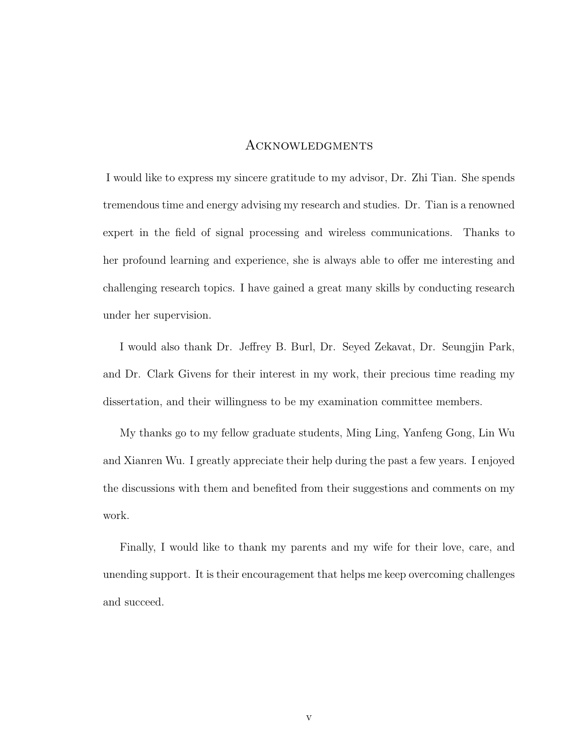#### **ACKNOWLEDGMENTS**

I would like to express my sincere gratitude to my advisor, Dr. Zhi Tian. She spends tremendous time and energy advising my research and studies. Dr. Tian is a renowned expert in the field of signal processing and wireless communications. Thanks to her profound learning and experience, she is always able to offer me interesting and challenging research topics. I have gained a great many skills by conducting research under her supervision.

I would also thank Dr. Jeffrey B. Burl, Dr. Seyed Zekavat, Dr. Seungjin Park, and Dr. Clark Givens for their interest in my work, their precious time reading my dissertation, and their willingness to be my examination committee members.

My thanks go to my fellow graduate students, Ming Ling, Yanfeng Gong, Lin Wu and Xianren Wu. I greatly appreciate their help during the past a few years. I enjoyed the discussions with them and benefited from their suggestions and comments on my work.

Finally, I would like to thank my parents and my wife for their love, care, and unending support. It is their encouragement that helps me keep overcoming challenges and succeed.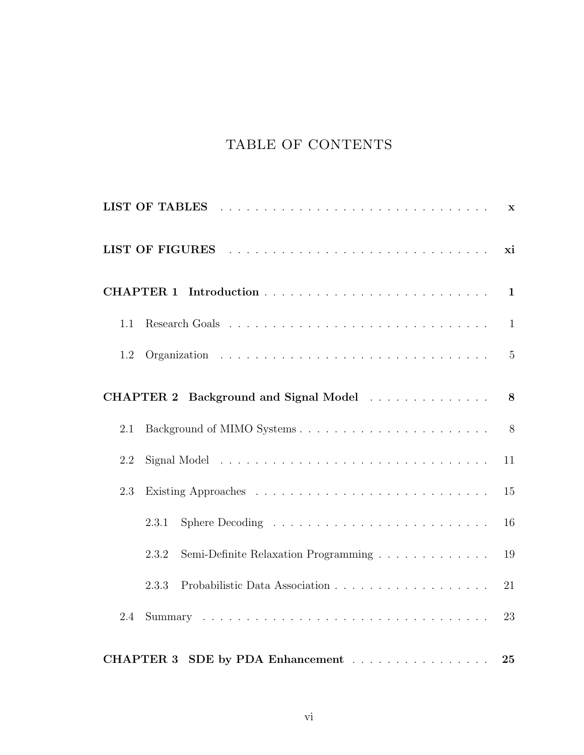## TABLE OF CONTENTS

|     |                                               | $\mathbf x$    |
|-----|-----------------------------------------------|----------------|
|     |                                               | xi             |
|     |                                               | $\mathbf{1}$   |
| 1.1 |                                               | $\mathbf{1}$   |
| 1.2 |                                               | $\overline{5}$ |
|     | CHAPTER 2 Background and Signal Model         | 8              |
| 2.1 |                                               | 8              |
| 2.2 |                                               | 11             |
| 2.3 |                                               | 15             |
|     | 2.3.1                                         | 16             |
|     | Semi-Definite Relaxation Programming<br>2.3.2 | 19             |
|     | 2.3.3                                         | 21             |
| 2.4 |                                               | 23             |
|     | CHAPTER 3 SDE by PDA Enhancement              | 25             |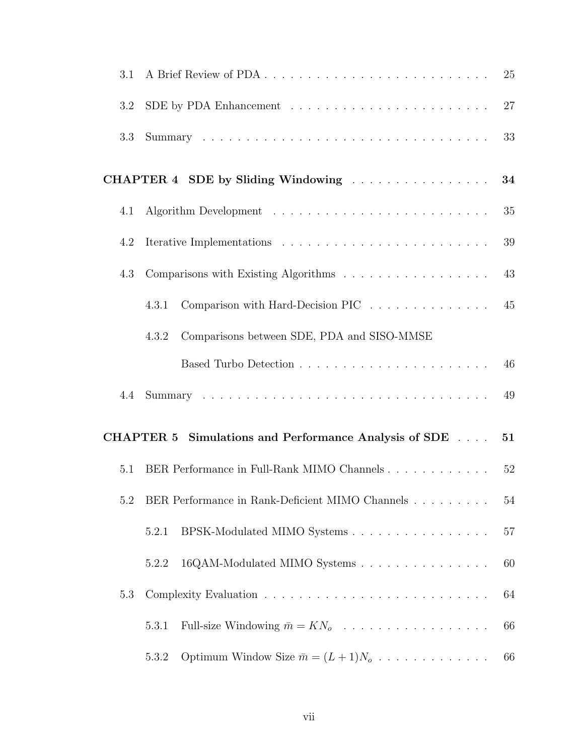| 3.1 |                                                                 | 25 |
|-----|-----------------------------------------------------------------|----|
| 3.2 |                                                                 | 27 |
| 3.3 |                                                                 | 33 |
|     | CHAPTER 4 SDE by Sliding Windowing                              | 34 |
| 4.1 |                                                                 | 35 |
| 4.2 |                                                                 | 39 |
| 4.3 | Comparisons with Existing Algorithms                            | 43 |
|     | Comparison with Hard-Decision PIC<br>4.3.1                      | 45 |
|     | Comparisons between SDE, PDA and SISO-MMSE<br>4.3.2             |    |
|     |                                                                 | 46 |
| 4.4 |                                                                 | 49 |
|     | <b>CHAPTER 5</b><br>Simulations and Performance Analysis of SDE | 51 |
| 5.1 | BER Performance in Full-Rank MIMO Channels                      | 52 |
| 5.2 | BER Performance in Rank-Deficient MIMO Channels                 | 54 |
|     | BPSK-Modulated MIMO Systems<br>5.2.1                            | 57 |
|     | 16QAM-Modulated MIMO Systems<br>5.2.2                           | 60 |
| 5.3 |                                                                 | 64 |
|     | Full-size Windowing $\bar{m} = KN_o$<br>5.3.1                   | 66 |
|     | Optimum Window Size $\bar{m} = (L+1)N_o$<br>5.3.2               | 66 |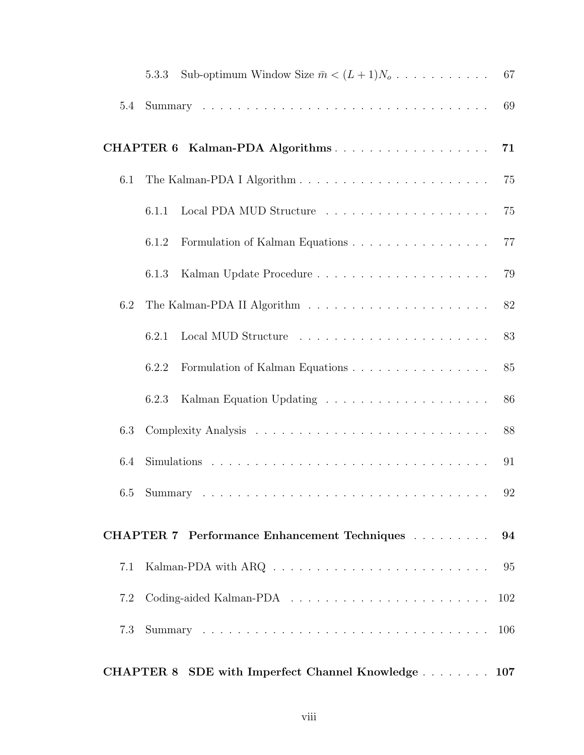|     | Sub-optimum Window Size $\bar{m} < (L+1)N_o$<br>5.3.3 | 67  |
|-----|-------------------------------------------------------|-----|
| 5.4 |                                                       | 69  |
|     | CHAPTER 6 Kalman-PDA Algorithms                       | 71  |
| 6.1 |                                                       | 75  |
|     | 6.1.1                                                 | 75  |
|     | 6.1.2                                                 | 77  |
|     | 6.1.3                                                 | 79  |
| 6.2 |                                                       | 82  |
|     | 6.2.1                                                 | 83  |
|     | 6.2.2                                                 | 85  |
|     | 6.2.3                                                 | 86  |
| 6.3 |                                                       | 88  |
| 6.4 |                                                       | 91  |
|     |                                                       |     |
|     | <b>CHAPTER 7</b> Performance Enhancement Techniques   | 94  |
| 7.1 |                                                       | 95  |
| 7.2 |                                                       | 102 |
| 7.3 |                                                       | 106 |
|     | CHAPTER 8 SDE with Imperfect Channel Knowledge 107    |     |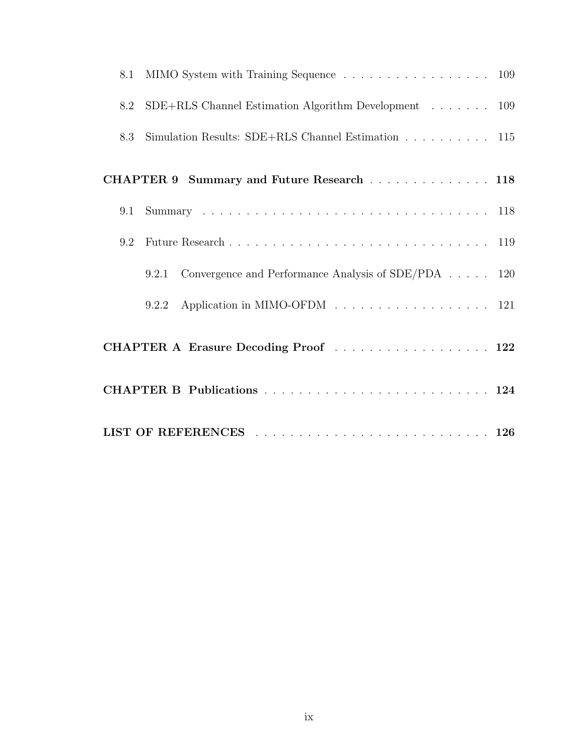| MIMO System with Training Sequence 109<br>8.1                                           |  |  |
|-----------------------------------------------------------------------------------------|--|--|
| $SDE+RLS$ Channel Estimation Algorithm Development 109<br>8.2                           |  |  |
| Simulation Results: SDE+RLS Channel Estimation $\ldots \ldots \ldots \ldots$ 115<br>8.3 |  |  |
| CHAPTER 9 Summary and Future Research 118                                               |  |  |
| 9.1                                                                                     |  |  |
| 9.2                                                                                     |  |  |
| Convergence and Performance Analysis of SDE/PDA 120<br>9.2.1                            |  |  |
| Application in MIMO-OFDM 121<br>9.2.2                                                   |  |  |
| CHAPTER A Erasure Decoding Proof  122                                                   |  |  |
|                                                                                         |  |  |
|                                                                                         |  |  |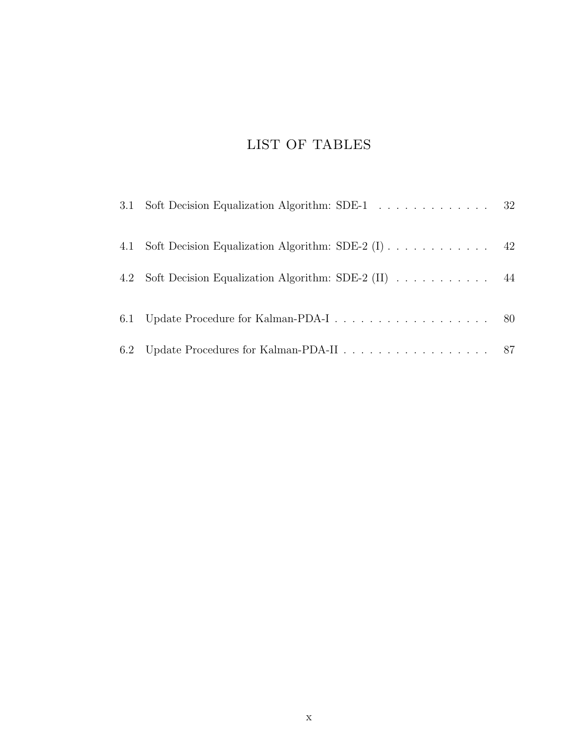## LIST OF TABLES

| 3.1 Soft Decision Equalization Algorithm: SDE-1 32      |  |
|---------------------------------------------------------|--|
| 4.1 Soft Decision Equalization Algorithm: SDE-2 (I) 42  |  |
| 4.2 Soft Decision Equalization Algorithm: SDE-2 (II) 44 |  |
|                                                         |  |
|                                                         |  |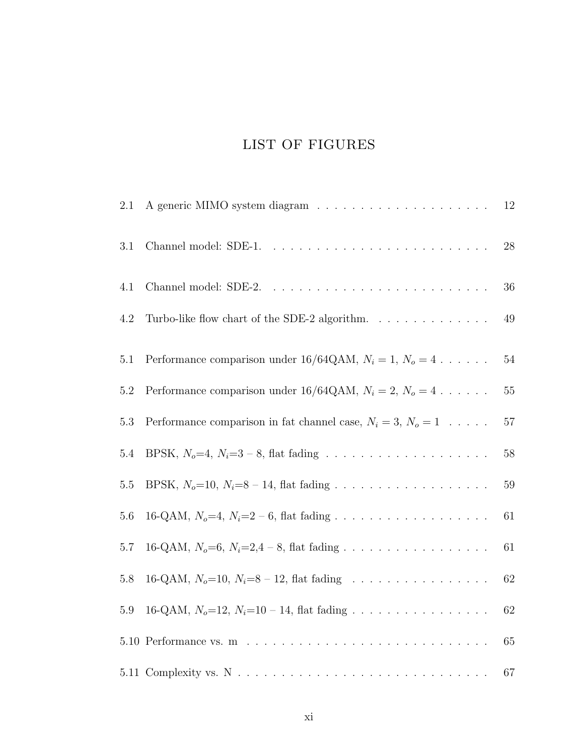## LIST OF FIGURES

| 2.1     |                                                                    | 12     |
|---------|--------------------------------------------------------------------|--------|
| $3.1\,$ |                                                                    | $28\,$ |
| 4.1     |                                                                    | 36     |
| 4.2     | Turbo-like flow chart of the SDE-2 algorithm.                      | 49     |
| 5.1     | Performance comparison under 16/64QAM, $N_i = 1, N_o = 4 \ldots$ . | $54\,$ |
| 5.2     | Performance comparison under 16/64QAM, $N_i = 2$ , $N_o = 4$       | $55\,$ |
| 5.3     | Performance comparison in fat channel case, $N_i = 3$ , $N_o = 1$  | $57\,$ |
| 5.4     |                                                                    | $58\,$ |
| $5.5\,$ |                                                                    | $59\,$ |
| 5.6     |                                                                    | $61\,$ |
| $5.7\,$ | 16-QAM, $N_o=6$ , $N_i=2,4-8$ , flat fading                        | 61     |
| $5.8\,$ | 16-QAM, $N_o$ =10, $N_i$ =8 – 12, flat fading                      | $62\,$ |
| 5.9     | 16-QAM, $N_o=12$ , $N_i=10-14$ , flat fading                       | $62\,$ |
|         |                                                                    | 65     |
|         |                                                                    | 67     |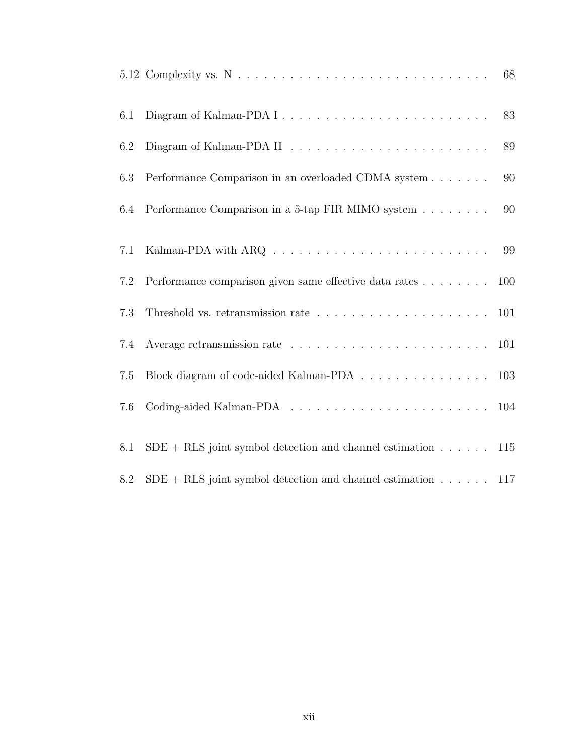|     |                                                                                                 | 68  |
|-----|-------------------------------------------------------------------------------------------------|-----|
| 6.1 |                                                                                                 | 83  |
| 6.2 |                                                                                                 | 89  |
| 6.3 | Performance Comparison in an overloaded CDMA system                                             | 90  |
| 6.4 | Performance Comparison in a 5-tap FIR MIMO system                                               | 90  |
| 7.1 |                                                                                                 | 99  |
| 7.2 | Performance comparison given same effective data rates                                          | 100 |
| 7.3 |                                                                                                 | 101 |
| 7.4 |                                                                                                 | 101 |
| 7.5 | Block diagram of code-aided Kalman-PDA $\hfill\ldots\ldots\ldots\ldots\ldots\ldots\ldots\ldots$ | 103 |
| 7.6 |                                                                                                 | 104 |
| 8.1 | $SDE + RLS$ joint symbol detection and channel estimation $\ldots \ldots$                       | 115 |
| 8.2 | $SDE + RLS$ joint symbol detection and channel estimation $\ldots$ .                            | 117 |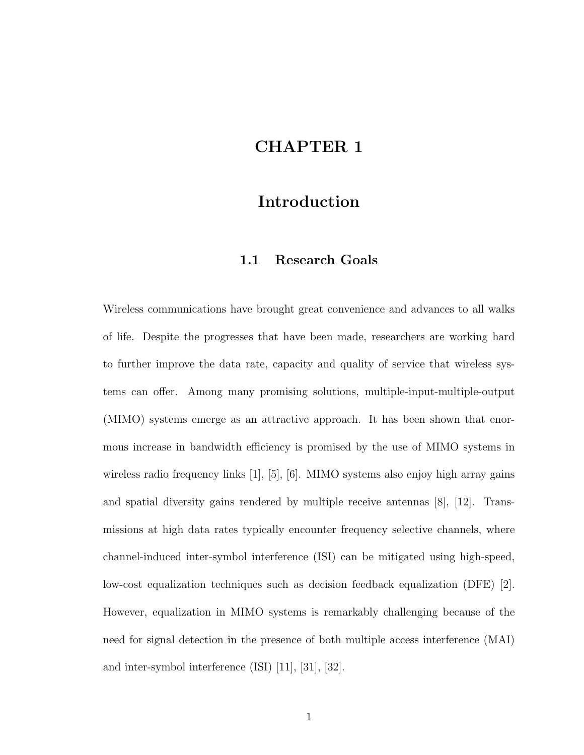### CHAPTER 1

### Introduction

#### 1.1 Research Goals

Wireless communications have brought great convenience and advances to all walks of life. Despite the progresses that have been made, researchers are working hard to further improve the data rate, capacity and quality of service that wireless systems can offer. Among many promising solutions, multiple-input-multiple-output (MIMO) systems emerge as an attractive approach. It has been shown that enormous increase in bandwidth efficiency is promised by the use of MIMO systems in wireless radio frequency links [1], [5], [6]. MIMO systems also enjoy high array gains and spatial diversity gains rendered by multiple receive antennas [8], [12]. Transmissions at high data rates typically encounter frequency selective channels, where channel-induced inter-symbol interference (ISI) can be mitigated using high-speed, low-cost equalization techniques such as decision feedback equalization (DFE) [2]. However, equalization in MIMO systems is remarkably challenging because of the need for signal detection in the presence of both multiple access interference (MAI) and inter-symbol interference (ISI) [11], [31], [32].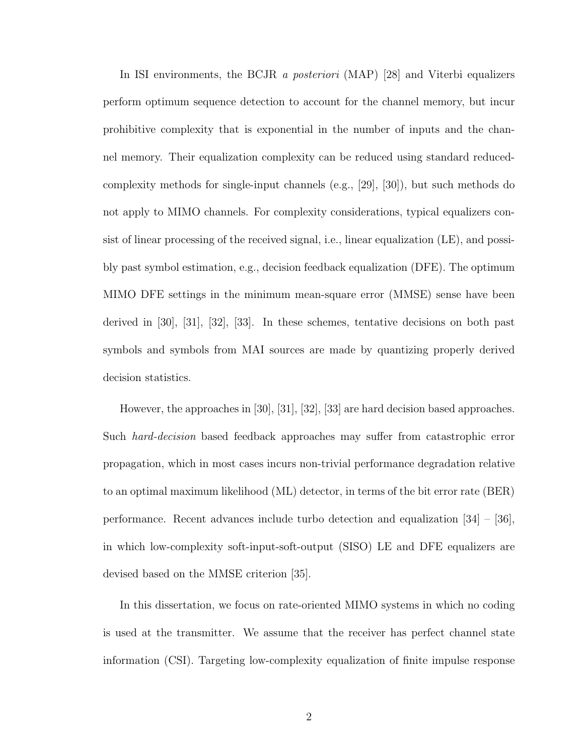In ISI environments, the BCJR *a posteriori* (MAP) [28] and Viterbi equalizers perform optimum sequence detection to account for the channel memory, but incur prohibitive complexity that is exponential in the number of inputs and the channel memory. Their equalization complexity can be reduced using standard reducedcomplexity methods for single-input channels (e.g., [29], [30]), but such methods do not apply to MIMO channels. For complexity considerations, typical equalizers consist of linear processing of the received signal, i.e., linear equalization (LE), and possibly past symbol estimation, e.g., decision feedback equalization (DFE). The optimum MIMO DFE settings in the minimum mean-square error (MMSE) sense have been derived in [30], [31], [32], [33]. In these schemes, tentative decisions on both past symbols and symbols from MAI sources are made by quantizing properly derived decision statistics.

However, the approaches in [30], [31], [32], [33] are hard decision based approaches. Such hard-decision based feedback approaches may suffer from catastrophic error propagation, which in most cases incurs non-trivial performance degradation relative to an optimal maximum likelihood (ML) detector, in terms of the bit error rate (BER) performance. Recent advances include turbo detection and equalization [34] – [36], in which low-complexity soft-input-soft-output (SISO) LE and DFE equalizers are devised based on the MMSE criterion [35].

In this dissertation, we focus on rate-oriented MIMO systems in which no coding is used at the transmitter. We assume that the receiver has perfect channel state information (CSI). Targeting low-complexity equalization of finite impulse response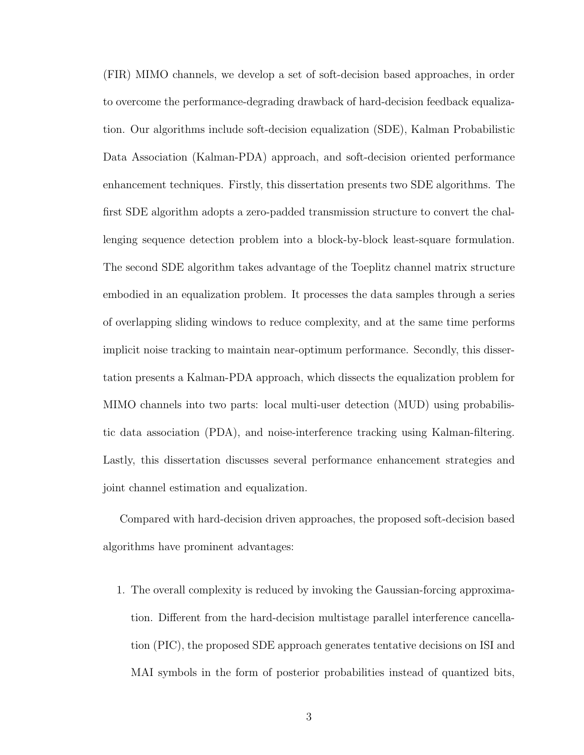(FIR) MIMO channels, we develop a set of soft-decision based approaches, in order to overcome the performance-degrading drawback of hard-decision feedback equalization. Our algorithms include soft-decision equalization (SDE), Kalman Probabilistic Data Association (Kalman-PDA) approach, and soft-decision oriented performance enhancement techniques. Firstly, this dissertation presents two SDE algorithms. The first SDE algorithm adopts a zero-padded transmission structure to convert the challenging sequence detection problem into a block-by-block least-square formulation. The second SDE algorithm takes advantage of the Toeplitz channel matrix structure embodied in an equalization problem. It processes the data samples through a series of overlapping sliding windows to reduce complexity, and at the same time performs implicit noise tracking to maintain near-optimum performance. Secondly, this dissertation presents a Kalman-PDA approach, which dissects the equalization problem for MIMO channels into two parts: local multi-user detection (MUD) using probabilistic data association (PDA), and noise-interference tracking using Kalman-filtering. Lastly, this dissertation discusses several performance enhancement strategies and joint channel estimation and equalization.

Compared with hard-decision driven approaches, the proposed soft-decision based algorithms have prominent advantages:

1. The overall complexity is reduced by invoking the Gaussian-forcing approximation. Different from the hard-decision multistage parallel interference cancellation (PIC), the proposed SDE approach generates tentative decisions on ISI and MAI symbols in the form of posterior probabilities instead of quantized bits,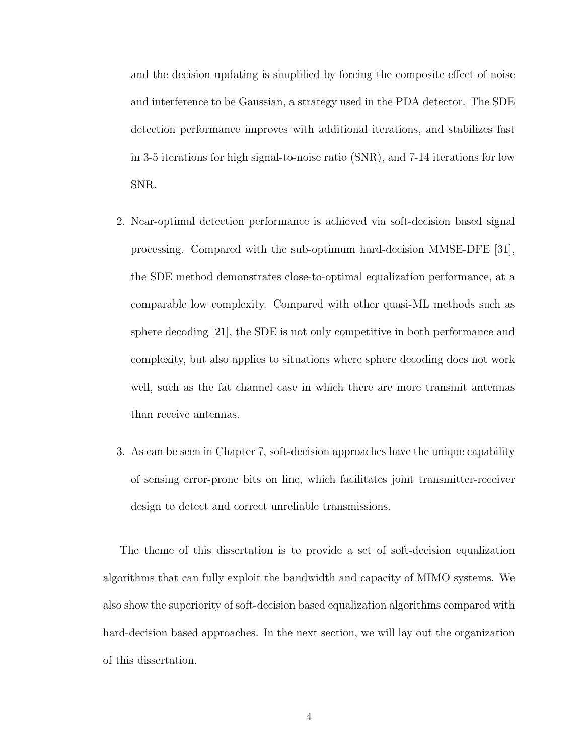and the decision updating is simplified by forcing the composite effect of noise and interference to be Gaussian, a strategy used in the PDA detector. The SDE detection performance improves with additional iterations, and stabilizes fast in 3-5 iterations for high signal-to-noise ratio (SNR), and 7-14 iterations for low SNR.

- 2. Near-optimal detection performance is achieved via soft-decision based signal processing. Compared with the sub-optimum hard-decision MMSE-DFE [31], the SDE method demonstrates close-to-optimal equalization performance, at a comparable low complexity. Compared with other quasi-ML methods such as sphere decoding [21], the SDE is not only competitive in both performance and complexity, but also applies to situations where sphere decoding does not work well, such as the fat channel case in which there are more transmit antennas than receive antennas.
- 3. As can be seen in Chapter 7, soft-decision approaches have the unique capability of sensing error-prone bits on line, which facilitates joint transmitter-receiver design to detect and correct unreliable transmissions.

The theme of this dissertation is to provide a set of soft-decision equalization algorithms that can fully exploit the bandwidth and capacity of MIMO systems. We also show the superiority of soft-decision based equalization algorithms compared with hard-decision based approaches. In the next section, we will lay out the organization of this dissertation.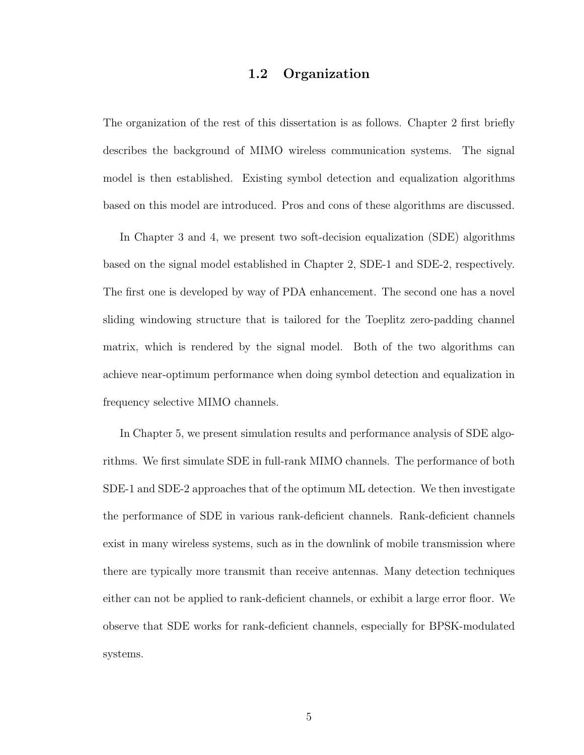#### 1.2 Organization

The organization of the rest of this dissertation is as follows. Chapter 2 first briefly describes the background of MIMO wireless communication systems. The signal model is then established. Existing symbol detection and equalization algorithms based on this model are introduced. Pros and cons of these algorithms are discussed.

In Chapter 3 and 4, we present two soft-decision equalization (SDE) algorithms based on the signal model established in Chapter 2, SDE-1 and SDE-2, respectively. The first one is developed by way of PDA enhancement. The second one has a novel sliding windowing structure that is tailored for the Toeplitz zero-padding channel matrix, which is rendered by the signal model. Both of the two algorithms can achieve near-optimum performance when doing symbol detection and equalization in frequency selective MIMO channels.

In Chapter 5, we present simulation results and performance analysis of SDE algorithms. We first simulate SDE in full-rank MIMO channels. The performance of both SDE-1 and SDE-2 approaches that of the optimum ML detection. We then investigate the performance of SDE in various rank-deficient channels. Rank-deficient channels exist in many wireless systems, such as in the downlink of mobile transmission where there are typically more transmit than receive antennas. Many detection techniques either can not be applied to rank-deficient channels, or exhibit a large error floor. We observe that SDE works for rank-deficient channels, especially for BPSK-modulated systems.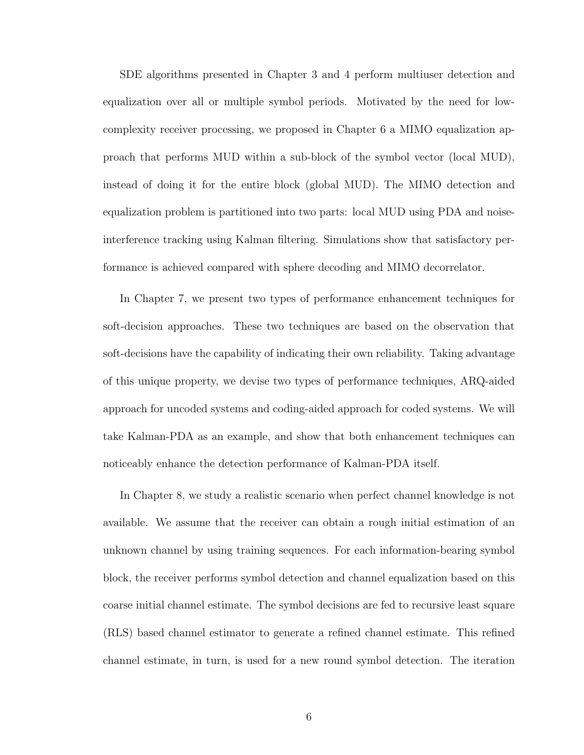SDE algorithms presented in Chapter 3 and 4 perform multiuser detection and equalization over all or multiple symbol periods. Motivated by the need for lowcomplexity receiver processing, we proposed in Chapter 6 a MIMO equalization approach that performs MUD within a sub-block of the symbol vector (local MUD), instead of doing it for the entire block (global MUD). The MIMO detection and equalization problem is partitioned into two parts: local MUD using PDA and noiseinterference tracking using Kalman filtering. Simulations show that satisfactory performance is achieved compared with sphere decoding and MIMO decorrelator.

In Chapter 7, we present two types of performance enhancement techniques for soft-decision approaches. These two techniques are based on the observation that soft-decisions have the capability of indicating their own reliability. Taking advantage of this unique property, we devise two types of performance techniques, ARQ-aided approach for uncoded systems and coding-aided approach for coded systems. We will take Kalman-PDA as an example, and show that both enhancement techniques can noticeably enhance the detection performance of Kalman-PDA itself.

In Chapter 8, we study a realistic scenario when perfect channel knowledge is not available. We assume that the receiver can obtain a rough initial estimation of an unknown channel by using training sequences. For each information-bearing symbol block, the receiver performs symbol detection and channel equalization based on this coarse initial channel estimate. The symbol decisions are fed to recursive least square (RLS) based channel estimator to generate a refined channel estimate. This refined channel estimate, in turn, is used for a new round symbol detection. The iteration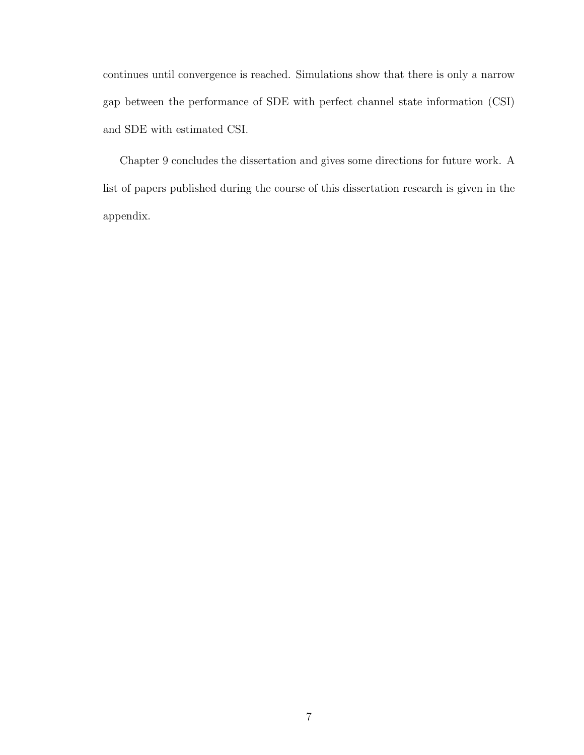continues until convergence is reached. Simulations show that there is only a narrow gap between the performance of SDE with perfect channel state information (CSI) and SDE with estimated CSI.

Chapter 9 concludes the dissertation and gives some directions for future work. A list of papers published during the course of this dissertation research is given in the appendix.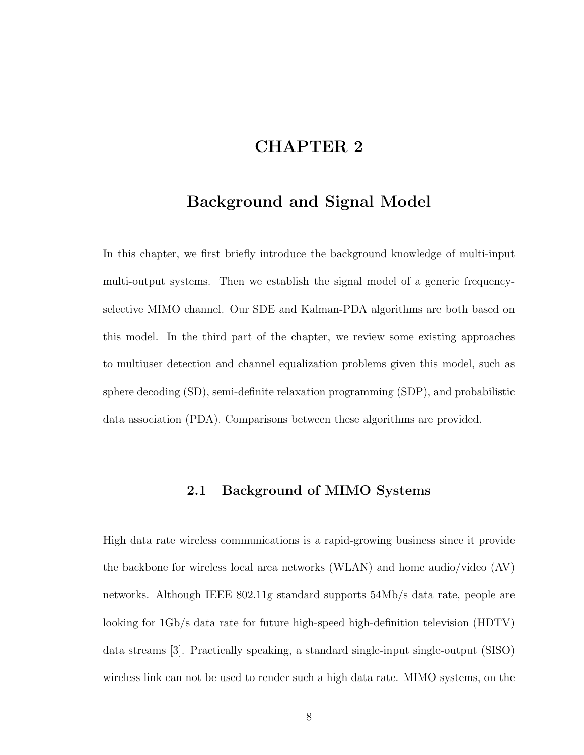### CHAPTER 2

### Background and Signal Model

In this chapter, we first briefly introduce the background knowledge of multi-input multi-output systems. Then we establish the signal model of a generic frequencyselective MIMO channel. Our SDE and Kalman-PDA algorithms are both based on this model. In the third part of the chapter, we review some existing approaches to multiuser detection and channel equalization problems given this model, such as sphere decoding (SD), semi-definite relaxation programming (SDP), and probabilistic data association (PDA). Comparisons between these algorithms are provided.

#### 2.1 Background of MIMO Systems

High data rate wireless communications is a rapid-growing business since it provide the backbone for wireless local area networks (WLAN) and home audio/video (AV) networks. Although IEEE 802.11g standard supports 54Mb/s data rate, people are looking for 1Gb/s data rate for future high-speed high-definition television (HDTV) data streams [3]. Practically speaking, a standard single-input single-output (SISO) wireless link can not be used to render such a high data rate. MIMO systems, on the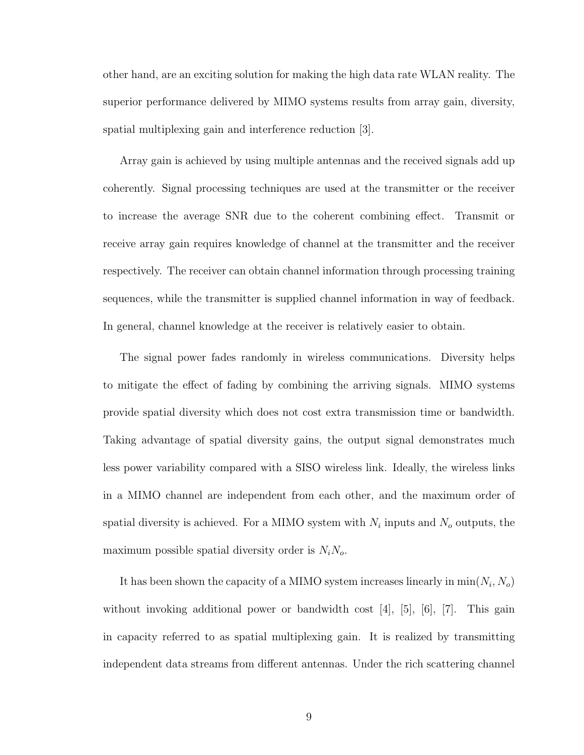other hand, are an exciting solution for making the high data rate WLAN reality. The superior performance delivered by MIMO systems results from array gain, diversity, spatial multiplexing gain and interference reduction [3].

Array gain is achieved by using multiple antennas and the received signals add up coherently. Signal processing techniques are used at the transmitter or the receiver to increase the average SNR due to the coherent combining effect. Transmit or receive array gain requires knowledge of channel at the transmitter and the receiver respectively. The receiver can obtain channel information through processing training sequences, while the transmitter is supplied channel information in way of feedback. In general, channel knowledge at the receiver is relatively easier to obtain.

The signal power fades randomly in wireless communications. Diversity helps to mitigate the effect of fading by combining the arriving signals. MIMO systems provide spatial diversity which does not cost extra transmission time or bandwidth. Taking advantage of spatial diversity gains, the output signal demonstrates much less power variability compared with a SISO wireless link. Ideally, the wireless links in a MIMO channel are independent from each other, and the maximum order of spatial diversity is achieved. For a MIMO system with  $N_i$  inputs and  $N_o$  outputs, the maximum possible spatial diversity order is  $N_iN_o$ .

It has been shown the capacity of a MIMO system increases linearly in  $\min(N_i, N_o)$ without invoking additional power or bandwidth cost  $[4]$ ,  $[5]$ ,  $[6]$ ,  $[7]$ . This gain in capacity referred to as spatial multiplexing gain. It is realized by transmitting independent data streams from different antennas. Under the rich scattering channel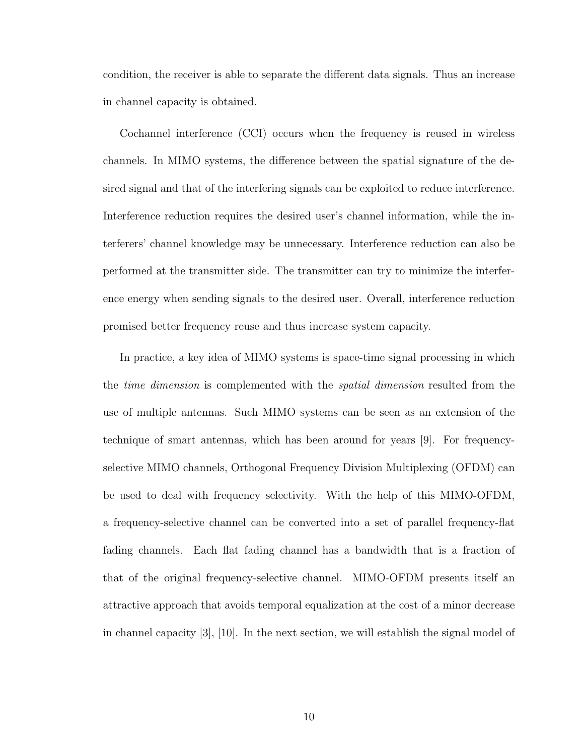condition, the receiver is able to separate the different data signals. Thus an increase in channel capacity is obtained.

Cochannel interference (CCI) occurs when the frequency is reused in wireless channels. In MIMO systems, the difference between the spatial signature of the desired signal and that of the interfering signals can be exploited to reduce interference. Interference reduction requires the desired user's channel information, while the interferers' channel knowledge may be unnecessary. Interference reduction can also be performed at the transmitter side. The transmitter can try to minimize the interference energy when sending signals to the desired user. Overall, interference reduction promised better frequency reuse and thus increase system capacity.

In practice, a key idea of MIMO systems is space-time signal processing in which the *time dimension* is complemented with the *spatial dimension* resulted from the use of multiple antennas. Such MIMO systems can be seen as an extension of the technique of smart antennas, which has been around for years [9]. For frequencyselective MIMO channels, Orthogonal Frequency Division Multiplexing (OFDM) can be used to deal with frequency selectivity. With the help of this MIMO-OFDM, a frequency-selective channel can be converted into a set of parallel frequency-flat fading channels. Each flat fading channel has a bandwidth that is a fraction of that of the original frequency-selective channel. MIMO-OFDM presents itself an attractive approach that avoids temporal equalization at the cost of a minor decrease in channel capacity [3], [10]. In the next section, we will establish the signal model of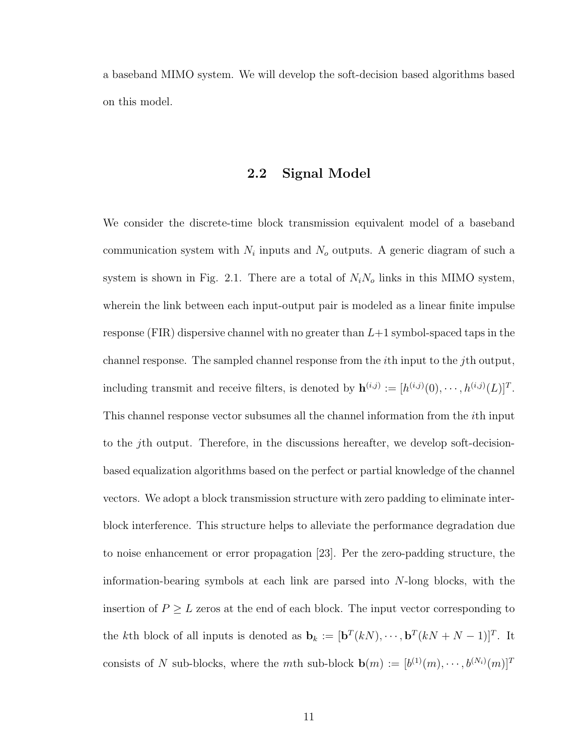a baseband MIMO system. We will develop the soft-decision based algorithms based on this model.

#### 2.2 Signal Model

We consider the discrete-time block transmission equivalent model of a baseband communication system with  $N_i$  inputs and  $N_o$  outputs. A generic diagram of such a system is shown in Fig. 2.1. There are a total of  $N_iN_o$  links in this MIMO system, wherein the link between each input-output pair is modeled as a linear finite impulse response (FIR) dispersive channel with no greater than  $L+1$  symbol-spaced taps in the channel response. The sampled channel response from the ith input to the jth output, including transmit and receive filters, is denoted by  $\mathbf{h}^{(i,j)} := [h^{(i,j)}(0), \cdots, h^{(i,j)}(L)]^T$ . This channel response vector subsumes all the channel information from the ith input to the jth output. Therefore, in the discussions hereafter, we develop soft-decisionbased equalization algorithms based on the perfect or partial knowledge of the channel vectors. We adopt a block transmission structure with zero padding to eliminate interblock interference. This structure helps to alleviate the performance degradation due to noise enhancement or error propagation [23]. Per the zero-padding structure, the information-bearing symbols at each link are parsed into N-long blocks, with the insertion of  $P \geq L$  zeros at the end of each block. The input vector corresponding to the kth block of all inputs is denoted as  $\mathbf{b}_k := [\mathbf{b}^T(kN), \cdots, \mathbf{b}^T(kN+N-1)]^T$ . It consists of N sub-blocks, where the mth sub-block  $\mathbf{b}(m) := [b^{(1)}(m), \cdots, b^{(N_i)}(m)]^T$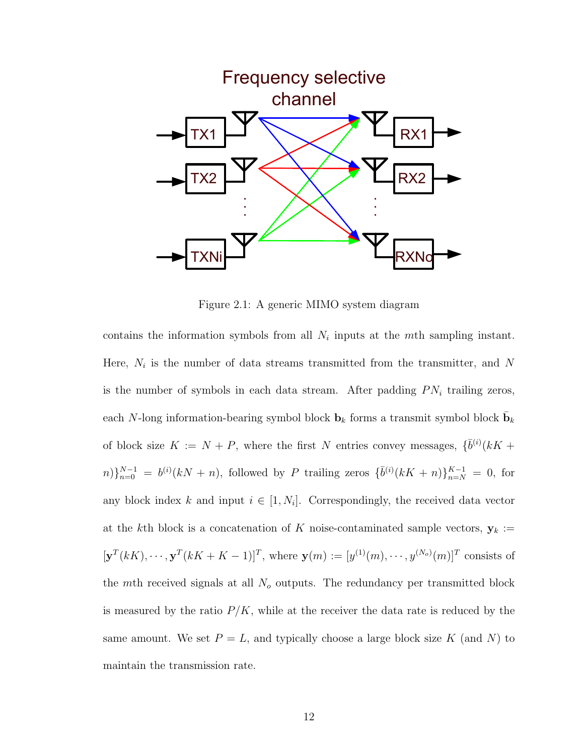

Figure 2.1: A generic MIMO system diagram

contains the information symbols from all  $N_i$  inputs at the mth sampling instant. Here,  $N_i$  is the number of data streams transmitted from the transmitter, and N is the number of symbols in each data stream. After padding  $PN_i$  trailing zeros, each N-long information-bearing symbol block  $\mathbf{b}_k$  forms a transmit symbol block  $\bar{\mathbf{b}}_k$ of block size  $K := N + P$ , where the first N entries convey messages,  $\{\bar{b}^{(i)}(kK +$  $n\}_{n=0}^{N-1} = b^{(i)}(kN+n)$ , followed by P trailing zeros  $\{\bar{b}^{(i)}(kK+n)\}_{n=N}^{K-1} = 0$ , for any block index k and input  $i \in [1, N_i]$ . Correspondingly, the received data vector at the kth block is a concatenation of K noise-contaminated sample vectors,  $y_k :=$  $[\mathbf{y}^T(kK),\cdots,\mathbf{y}^T(kK+K-1)]^T$ , where  $\mathbf{y}(m):=[y^{(1)}(m),\cdots,y^{(N_o)}(m)]^T$  consists of the mth received signals at all  $N<sub>o</sub>$  outputs. The redundancy per transmitted block is measured by the ratio  $P/K$ , while at the receiver the data rate is reduced by the same amount. We set  $P = L$ , and typically choose a large block size K (and N) to maintain the transmission rate.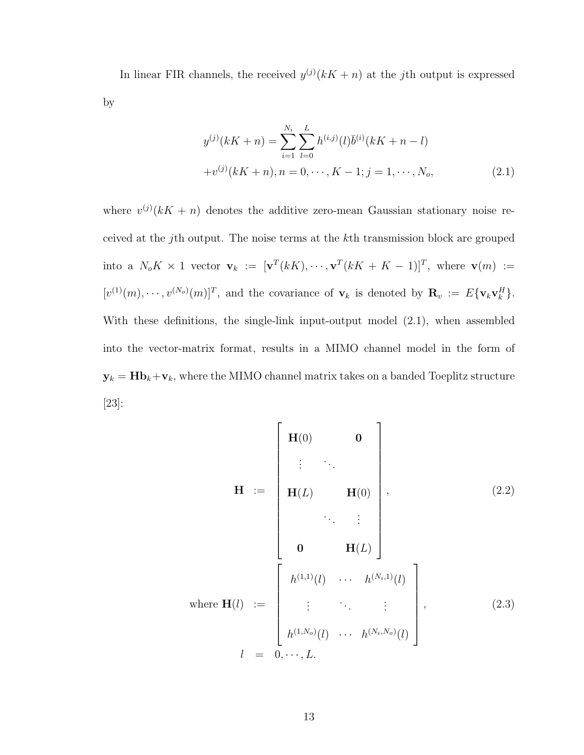In linear FIR channels, the received  $y^{(j)}(kK + n)$  at the jth output is expressed by

$$
y^{(j)}(kK+n) = \sum_{i=1}^{N_i} \sum_{l=0}^{L} h^{(i,j)}(l)\overline{b}^{(i)}(kK+n-l)
$$
  
+
$$
v^{(j)}(kK+n), n = 0, \cdots, K-1; j = 1, \cdots, N_o,
$$
 (2.1)

where  $v^{(j)}(kK + n)$  denotes the additive zero-mean Gaussian stationary noise received at the jth output. The noise terms at the kth transmission block are grouped into a  $N_oK \times 1$  vector  $\mathbf{v}_k := [\mathbf{v}^T(kK), \cdots, \mathbf{v}^T(kK+K-1)]^T$ , where  $\mathbf{v}(m) :=$  $[v^{(1)}(m), \cdots, v^{(N_o)}(m)]^T$ , and the covariance of  $\mathbf{v}_k$  is denoted by  $\mathbf{R}_v := E\{\mathbf{v}_k \mathbf{v}_k^H\}.$ With these definitions, the single-link input-output model (2.1), when assembled into the vector-matrix format, results in a MIMO channel model in the form of  $y_k = Hb_k + v_k$ , where the MIMO channel matrix takes on a banded Toeplitz structure [23]:

$$
\mathbf{H} := \begin{bmatrix} \mathbf{H}(0) & \mathbf{0} \\ \vdots & \ddots \\ \mathbf{H}(L) & \mathbf{H}(0) \\ \vdots & \ddots \\ \mathbf{0} & \mathbf{H}(L) \end{bmatrix}, \qquad (2.2)
$$
\nwhere  $\mathbf{H}(l) := \begin{bmatrix} h^{(1,1)}(l) & \cdots & h^{(N_i,1)}(l) \\ \vdots & \ddots & \vdots \\ \vdots & \ddots & \vdots \\ h^{(1,N_o)}(l) & \cdots & h^{(N_i,N_o)}(l) \end{bmatrix}, \qquad (2.3)$ \n
$$
l = 0, \cdots, L.
$$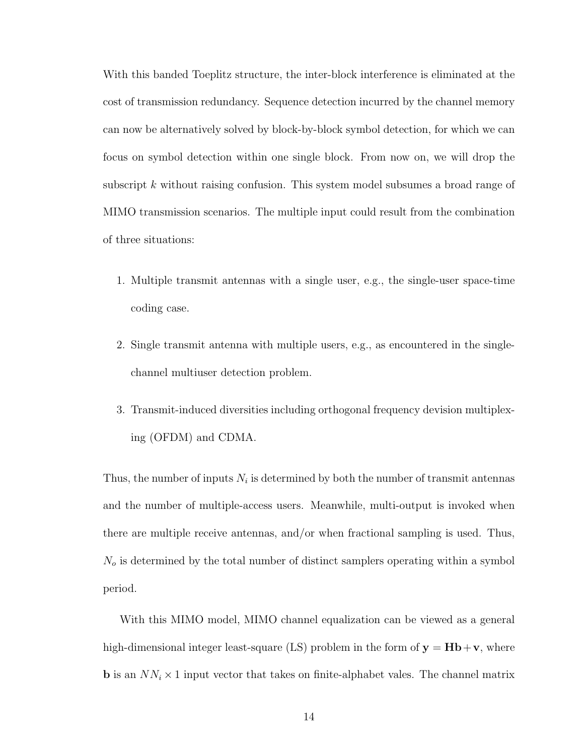With this banded Toeplitz structure, the inter-block interference is eliminated at the cost of transmission redundancy. Sequence detection incurred by the channel memory can now be alternatively solved by block-by-block symbol detection, for which we can focus on symbol detection within one single block. From now on, we will drop the subscript k without raising confusion. This system model subsumes a broad range of MIMO transmission scenarios. The multiple input could result from the combination of three situations:

- 1. Multiple transmit antennas with a single user, e.g., the single-user space-time coding case.
- 2. Single transmit antenna with multiple users, e.g., as encountered in the singlechannel multiuser detection problem.
- 3. Transmit-induced diversities including orthogonal frequency devision multiplexing (OFDM) and CDMA.

Thus, the number of inputs  $N_i$  is determined by both the number of transmit antennas and the number of multiple-access users. Meanwhile, multi-output is invoked when there are multiple receive antennas, and/or when fractional sampling is used. Thus,  $N<sub>o</sub>$  is determined by the total number of distinct samplers operating within a symbol period.

With this MIMO model, MIMO channel equalization can be viewed as a general high-dimensional integer least-square (LS) problem in the form of  $y = Hb + v$ , where **b** is an  $NN_i \times 1$  input vector that takes on finite-alphabet vales. The channel matrix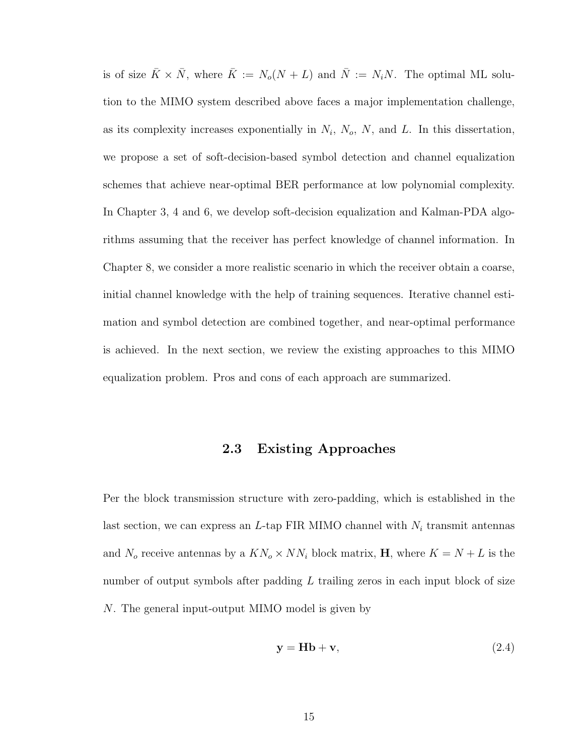is of size  $\bar{K} \times \bar{N}$ , where  $\bar{K} := N_o(N + L)$  and  $\bar{N} := N_iN$ . The optimal ML solution to the MIMO system described above faces a major implementation challenge, as its complexity increases exponentially in  $N_i$ ,  $N_o$ ,  $N$ , and  $L$ . In this dissertation, we propose a set of soft-decision-based symbol detection and channel equalization schemes that achieve near-optimal BER performance at low polynomial complexity. In Chapter 3, 4 and 6, we develop soft-decision equalization and Kalman-PDA algorithms assuming that the receiver has perfect knowledge of channel information. In Chapter 8, we consider a more realistic scenario in which the receiver obtain a coarse, initial channel knowledge with the help of training sequences. Iterative channel estimation and symbol detection are combined together, and near-optimal performance is achieved. In the next section, we review the existing approaches to this MIMO equalization problem. Pros and cons of each approach are summarized.

#### 2.3 Existing Approaches

Per the block transmission structure with zero-padding, which is established in the last section, we can express an L-tap FIR MIMO channel with  $N_i$  transmit antennas and  $N_o$  receive antennas by a  $KN_o \times NN_i$  block matrix, **H**, where  $K = N + L$  is the number of output symbols after padding  $L$  trailing zeros in each input block of size N. The general input-output MIMO model is given by

$$
y = Hb + v,\t(2.4)
$$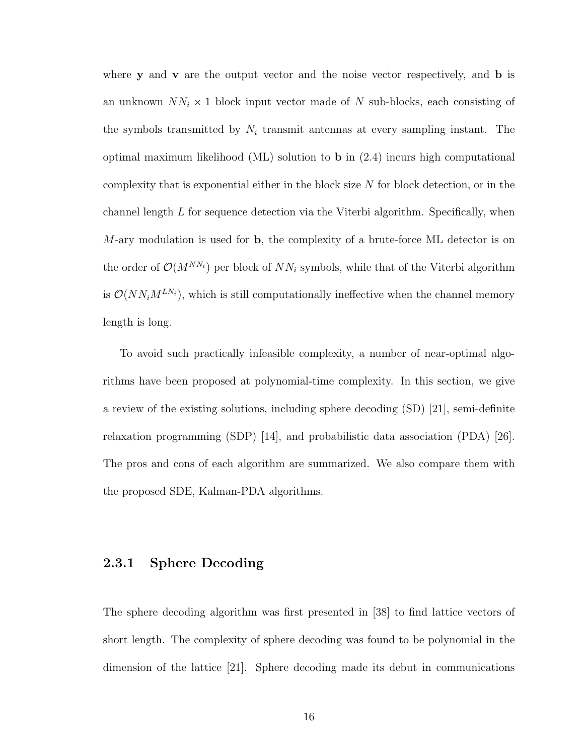where  $y$  and  $v$  are the output vector and the noise vector respectively, and  $b$  is an unknown  $NN_i \times 1$  block input vector made of N sub-blocks, each consisting of the symbols transmitted by  $N_i$  transmit antennas at every sampling instant. The optimal maximum likelihood (ML) solution to b in (2.4) incurs high computational complexity that is exponential either in the block size  $N$  for block detection, or in the channel length  $L$  for sequence detection via the Viterbi algorithm. Specifically, when  $M$ -ary modulation is used for **b**, the complexity of a brute-force ML detector is on the order of  $\mathcal{O}(M^{NN_i})$  per block of  $NN_i$  symbols, while that of the Viterbi algorithm is  $\mathcal{O}(NN_iM^{LN_i})$ , which is still computationally ineffective when the channel memory length is long.

To avoid such practically infeasible complexity, a number of near-optimal algorithms have been proposed at polynomial-time complexity. In this section, we give a review of the existing solutions, including sphere decoding (SD) [21], semi-definite relaxation programming (SDP) [14], and probabilistic data association (PDA) [26]. The pros and cons of each algorithm are summarized. We also compare them with the proposed SDE, Kalman-PDA algorithms.

#### 2.3.1 Sphere Decoding

The sphere decoding algorithm was first presented in [38] to find lattice vectors of short length. The complexity of sphere decoding was found to be polynomial in the dimension of the lattice [21]. Sphere decoding made its debut in communications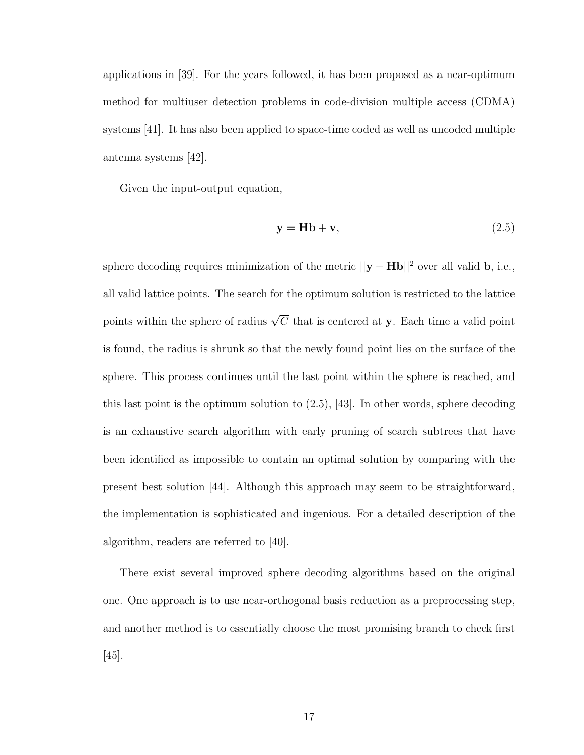applications in [39]. For the years followed, it has been proposed as a near-optimum method for multiuser detection problems in code-division multiple access (CDMA) systems [41]. It has also been applied to space-time coded as well as uncoded multiple antenna systems [42].

Given the input-output equation,

$$
y = Hb + v,\t(2.5)
$$

sphere decoding requires minimization of the metric  $||\mathbf{y} - \mathbf{H}\mathbf{b}||^2$  over all valid **b**, i.e., all valid lattice points. The search for the optimum solution is restricted to the lattice points within the sphere of radius  $\sqrt{C}$  that is centered at y. Each time a valid point is found, the radius is shrunk so that the newly found point lies on the surface of the sphere. This process continues until the last point within the sphere is reached, and this last point is the optimum solution to  $(2.5)$ , [43]. In other words, sphere decoding is an exhaustive search algorithm with early pruning of search subtrees that have been identified as impossible to contain an optimal solution by comparing with the present best solution [44]. Although this approach may seem to be straightforward, the implementation is sophisticated and ingenious. For a detailed description of the algorithm, readers are referred to [40].

There exist several improved sphere decoding algorithms based on the original one. One approach is to use near-orthogonal basis reduction as a preprocessing step, and another method is to essentially choose the most promising branch to check first  $|45|$ .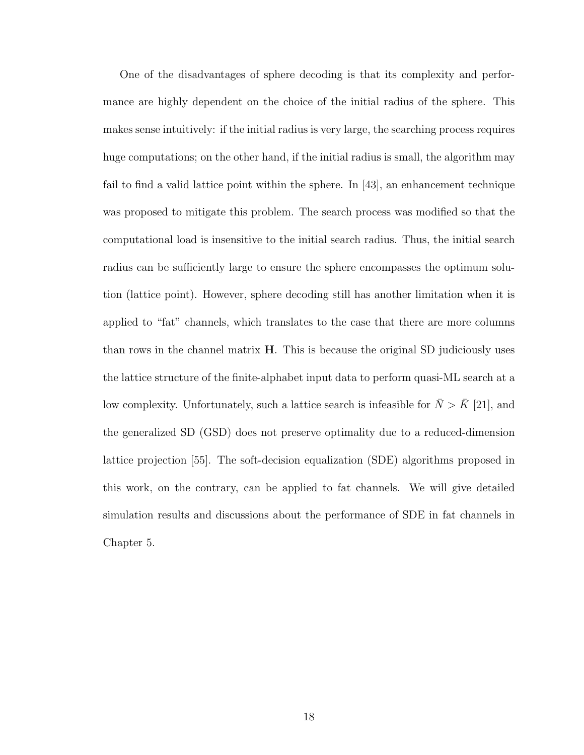One of the disadvantages of sphere decoding is that its complexity and performance are highly dependent on the choice of the initial radius of the sphere. This makes sense intuitively: if the initial radius is very large, the searching process requires huge computations; on the other hand, if the initial radius is small, the algorithm may fail to find a valid lattice point within the sphere. In [43], an enhancement technique was proposed to mitigate this problem. The search process was modified so that the computational load is insensitive to the initial search radius. Thus, the initial search radius can be sufficiently large to ensure the sphere encompasses the optimum solution (lattice point). However, sphere decoding still has another limitation when it is applied to "fat" channels, which translates to the case that there are more columns than rows in the channel matrix H. This is because the original SD judiciously uses the lattice structure of the finite-alphabet input data to perform quasi-ML search at a low complexity. Unfortunately, such a lattice search is infeasible for  $\bar{N} > \bar{K}$  [21], and the generalized SD (GSD) does not preserve optimality due to a reduced-dimension lattice projection [55]. The soft-decision equalization (SDE) algorithms proposed in this work, on the contrary, can be applied to fat channels. We will give detailed simulation results and discussions about the performance of SDE in fat channels in Chapter 5.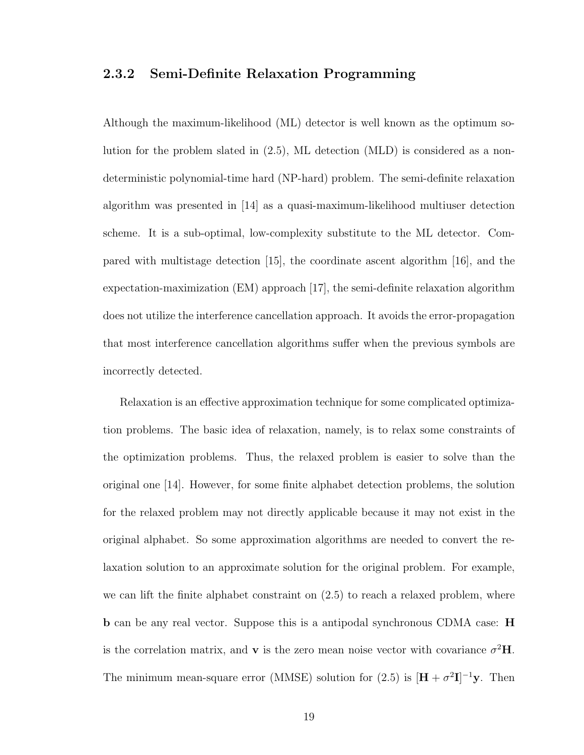#### 2.3.2 Semi-Definite Relaxation Programming

Although the maximum-likelihood (ML) detector is well known as the optimum solution for the problem slated in (2.5), ML detection (MLD) is considered as a nondeterministic polynomial-time hard (NP-hard) problem. The semi-definite relaxation algorithm was presented in [14] as a quasi-maximum-likelihood multiuser detection scheme. It is a sub-optimal, low-complexity substitute to the ML detector. Compared with multistage detection [15], the coordinate ascent algorithm [16], and the expectation-maximization (EM) approach [17], the semi-definite relaxation algorithm does not utilize the interference cancellation approach. It avoids the error-propagation that most interference cancellation algorithms suffer when the previous symbols are incorrectly detected.

Relaxation is an effective approximation technique for some complicated optimization problems. The basic idea of relaxation, namely, is to relax some constraints of the optimization problems. Thus, the relaxed problem is easier to solve than the original one [14]. However, for some finite alphabet detection problems, the solution for the relaxed problem may not directly applicable because it may not exist in the original alphabet. So some approximation algorithms are needed to convert the relaxation solution to an approximate solution for the original problem. For example, we can lift the finite alphabet constraint on (2.5) to reach a relaxed problem, where **b** can be any real vector. Suppose this is a antipodal synchronous CDMA case: **H** is the correlation matrix, and **v** is the zero mean noise vector with covariance  $\sigma^2$ **H**. The minimum mean-square error (MMSE) solution for (2.5) is  $[\mathbf{H} + \sigma^2 \mathbf{I}]^{-1} \mathbf{y}$ . Then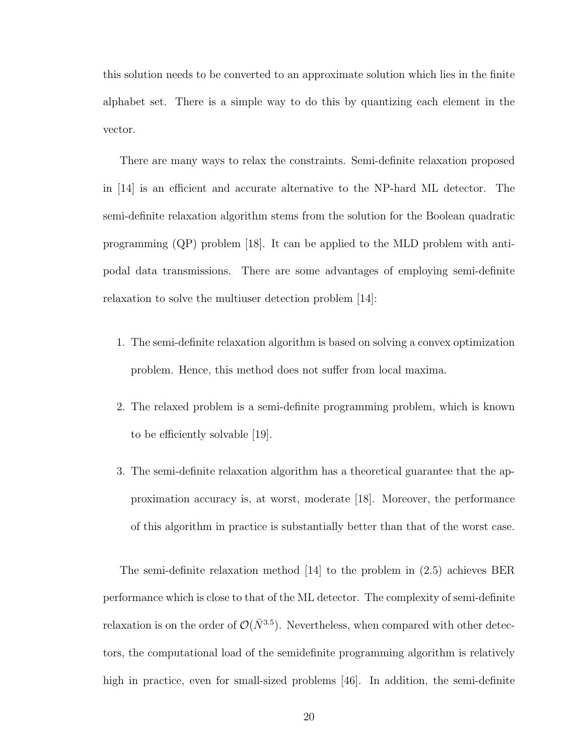this solution needs to be converted to an approximate solution which lies in the finite alphabet set. There is a simple way to do this by quantizing each element in the vector.

There are many ways to relax the constraints. Semi-definite relaxation proposed in [14] is an efficient and accurate alternative to the NP-hard ML detector. The semi-definite relaxation algorithm stems from the solution for the Boolean quadratic programming (QP) problem [18]. It can be applied to the MLD problem with antipodal data transmissions. There are some advantages of employing semi-definite relaxation to solve the multiuser detection problem [14]:

- 1. The semi-definite relaxation algorithm is based on solving a convex optimization problem. Hence, this method does not suffer from local maxima.
- 2. The relaxed problem is a semi-definite programming problem, which is known to be efficiently solvable [19].
- 3. The semi-definite relaxation algorithm has a theoretical guarantee that the approximation accuracy is, at worst, moderate [18]. Moreover, the performance of this algorithm in practice is substantially better than that of the worst case.

The semi-definite relaxation method [14] to the problem in (2.5) achieves BER performance which is close to that of the ML detector. The complexity of semi-definite relaxation is on the order of  $\mathcal{O}(\bar{N}^{3.5})$ . Nevertheless, when compared with other detectors, the computational load of the semidefinite programming algorithm is relatively high in practice, even for small-sized problems [46]. In addition, the semi-definite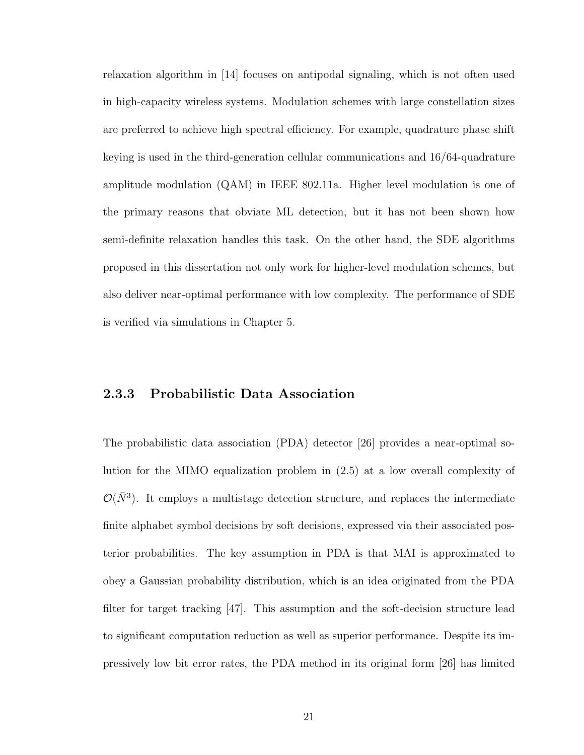relaxation algorithm in [14] focuses on antipodal signaling, which is not often used in high-capacity wireless systems. Modulation schemes with large constellation sizes are preferred to achieve high spectral efficiency. For example, quadrature phase shift keying is used in the third-generation cellular communications and 16/64-quadrature amplitude modulation (QAM) in IEEE 802.11a. Higher level modulation is one of the primary reasons that obviate ML detection, but it has not been shown how semi-definite relaxation handles this task. On the other hand, the SDE algorithms proposed in this dissertation not only work for higher-level modulation schemes, but also deliver near-optimal performance with low complexity. The performance of SDE is verified via simulations in Chapter 5.

#### 2.3.3 Probabilistic Data Association

The probabilistic data association (PDA) detector [26] provides a near-optimal solution for the MIMO equalization problem in (2.5) at a low overall complexity of  $\mathcal{O}(\bar{N}^3)$ . It employs a multistage detection structure, and replaces the intermediate finite alphabet symbol decisions by soft decisions, expressed via their associated posterior probabilities. The key assumption in PDA is that MAI is approximated to obey a Gaussian probability distribution, which is an idea originated from the PDA filter for target tracking [47]. This assumption and the soft-decision structure lead to significant computation reduction as well as superior performance. Despite its impressively low bit error rates, the PDA method in its original form [26] has limited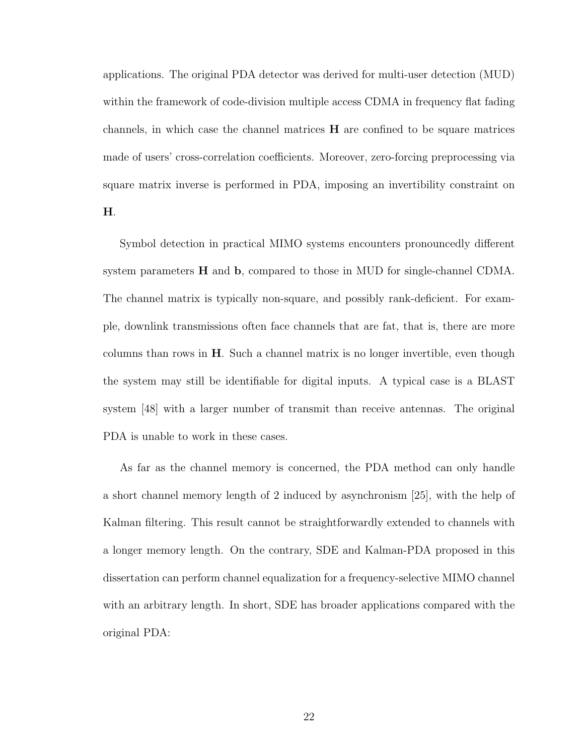applications. The original PDA detector was derived for multi-user detection (MUD) within the framework of code-division multiple access CDMA in frequency flat fading channels, in which case the channel matrices  $H$  are confined to be square matrices made of users' cross-correlation coefficients. Moreover, zero-forcing preprocessing via square matrix inverse is performed in PDA, imposing an invertibility constraint on

H.

Symbol detection in practical MIMO systems encounters pronouncedly different system parameters  $H$  and  $b$ , compared to those in MUD for single-channel CDMA. The channel matrix is typically non-square, and possibly rank-deficient. For example, downlink transmissions often face channels that are fat, that is, there are more columns than rows in  $H$ . Such a channel matrix is no longer invertible, even though the system may still be identifiable for digital inputs. A typical case is a BLAST system [48] with a larger number of transmit than receive antennas. The original PDA is unable to work in these cases.

As far as the channel memory is concerned, the PDA method can only handle a short channel memory length of 2 induced by asynchronism [25], with the help of Kalman filtering. This result cannot be straightforwardly extended to channels with a longer memory length. On the contrary, SDE and Kalman-PDA proposed in this dissertation can perform channel equalization for a frequency-selective MIMO channel with an arbitrary length. In short, SDE has broader applications compared with the original PDA: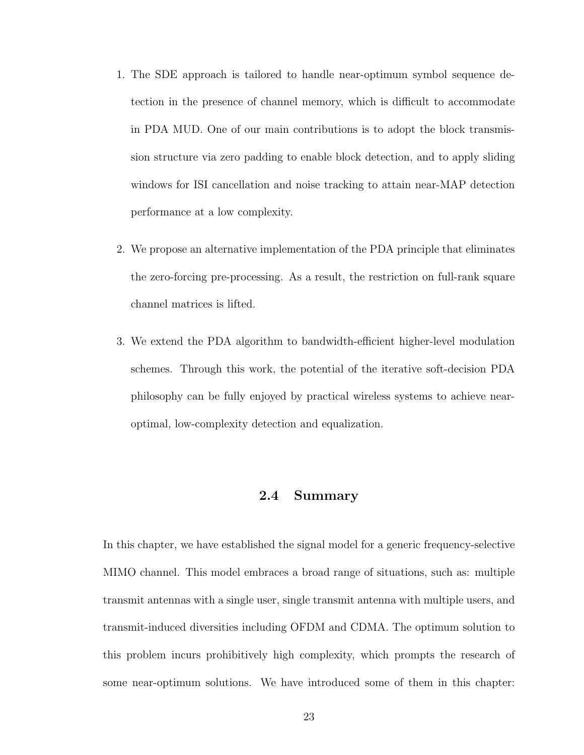- 1. The SDE approach is tailored to handle near-optimum symbol sequence detection in the presence of channel memory, which is difficult to accommodate in PDA MUD. One of our main contributions is to adopt the block transmission structure via zero padding to enable block detection, and to apply sliding windows for ISI cancellation and noise tracking to attain near-MAP detection performance at a low complexity.
- 2. We propose an alternative implementation of the PDA principle that eliminates the zero-forcing pre-processing. As a result, the restriction on full-rank square channel matrices is lifted.
- 3. We extend the PDA algorithm to bandwidth-efficient higher-level modulation schemes. Through this work, the potential of the iterative soft-decision PDA philosophy can be fully enjoyed by practical wireless systems to achieve nearoptimal, low-complexity detection and equalization.

#### 2.4 Summary

In this chapter, we have established the signal model for a generic frequency-selective MIMO channel. This model embraces a broad range of situations, such as: multiple transmit antennas with a single user, single transmit antenna with multiple users, and transmit-induced diversities including OFDM and CDMA. The optimum solution to this problem incurs prohibitively high complexity, which prompts the research of some near-optimum solutions. We have introduced some of them in this chapter: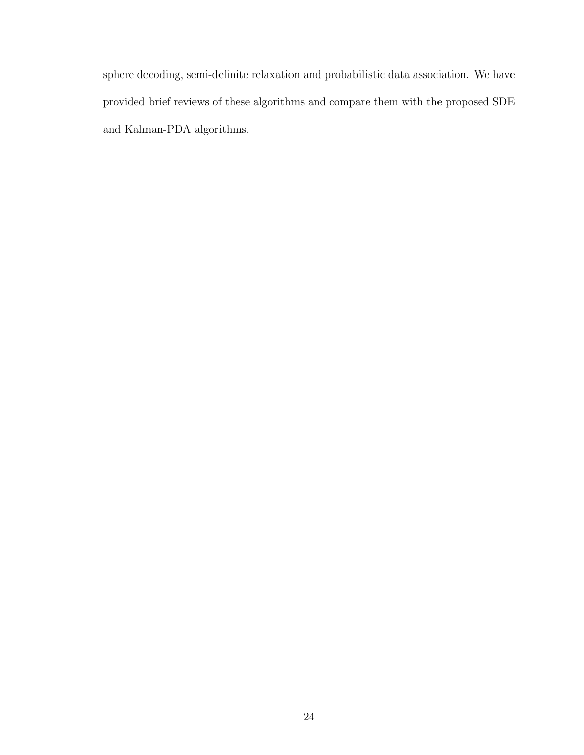sphere decoding, semi-definite relaxation and probabilistic data association. We have provided brief reviews of these algorithms and compare them with the proposed SDE and Kalman-PDA algorithms.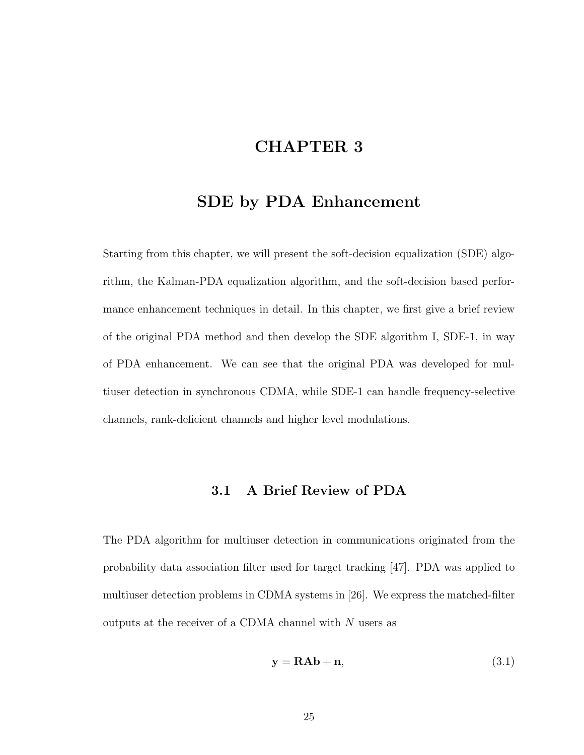# CHAPTER 3

## SDE by PDA Enhancement

Starting from this chapter, we will present the soft-decision equalization (SDE) algorithm, the Kalman-PDA equalization algorithm, and the soft-decision based performance enhancement techniques in detail. In this chapter, we first give a brief review of the original PDA method and then develop the SDE algorithm I, SDE-1, in way of PDA enhancement. We can see that the original PDA was developed for multiuser detection in synchronous CDMA, while SDE-1 can handle frequency-selective channels, rank-deficient channels and higher level modulations.

#### 3.1 A Brief Review of PDA

The PDA algorithm for multiuser detection in communications originated from the probability data association filter used for target tracking [47]. PDA was applied to multiuser detection problems in CDMA systems in [26]. We express the matched-filter outputs at the receiver of a CDMA channel with  $N$  users as

$$
y = RAb + n,\tag{3.1}
$$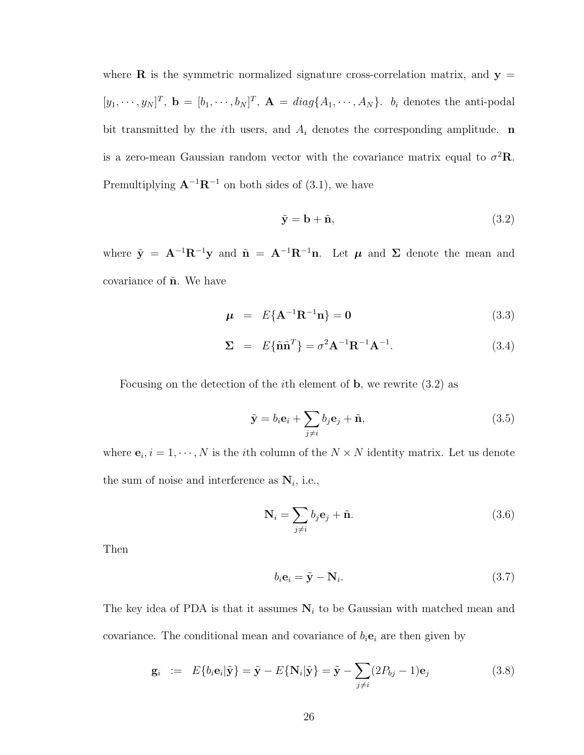where **R** is the symmetric normalized signature cross-correlation matrix, and  $y =$  $[y_1, \dots, y_N]^T$ ,  $\mathbf{b} = [b_1, \dots, b_N]^T$ ,  $\mathbf{A} = diag\{A_1, \dots, A_N\}$ .  $b_i$  denotes the anti-podal bit transmitted by the *i*th users, and  $A_i$  denotes the corresponding amplitude. **n** is a zero-mean Gaussian random vector with the covariance matrix equal to  $\sigma^2 \mathbf{R}$ . Premultiplying  $\mathbf{A}^{-1}\mathbf{R}^{-1}$  on both sides of (3.1), we have

$$
\tilde{\mathbf{y}} = \mathbf{b} + \tilde{\mathbf{n}},\tag{3.2}
$$

where  $\tilde{\mathbf{y}} = \mathbf{A}^{-1} \mathbf{R}^{-1} \mathbf{y}$  and  $\tilde{\mathbf{n}} = \mathbf{A}^{-1} \mathbf{R}^{-1} \mathbf{n}$ . Let  $\boldsymbol{\mu}$  and  $\boldsymbol{\Sigma}$  denote the mean and covariance of  $\tilde{\mathbf{n}}$ . We have

$$
\mu = E\{A^{-1}R^{-1}n\} = 0 \tag{3.3}
$$

$$
\Sigma = E\{\tilde{\mathbf{n}}\tilde{\mathbf{n}}^T\} = \sigma^2 \mathbf{A}^{-1} \mathbf{R}^{-1} \mathbf{A}^{-1}.
$$
 (3.4)

Focusing on the detection of the ith element of b, we rewrite (3.2) as

$$
\tilde{\mathbf{y}} = b_i \mathbf{e}_i + \sum_{j \neq i} b_j \mathbf{e}_j + \tilde{\mathbf{n}},
$$
\n(3.5)

where  $\mathbf{e}_i, i = 1, \dots, N$  is the *i*th column of the  $N \times N$  identity matrix. Let us denote the sum of noise and interference as  $N_i$ , i.e.,

$$
\mathbf{N}_{i} = \sum_{j \neq i} b_{j} \mathbf{e}_{j} + \tilde{\mathbf{n}}.
$$
 (3.6)

Then

$$
b_i \mathbf{e}_i = \tilde{\mathbf{y}} - \mathbf{N}_i. \tag{3.7}
$$

The key idea of PDA is that it assumes  $N_i$  to be Gaussian with matched mean and covariance. The conditional mean and covariance of  $b_i$ **e**<sub>i</sub> are then given by

$$
\mathbf{g}_i := E\{b_i \mathbf{e}_i | \tilde{\mathbf{y}}\} = \tilde{\mathbf{y}} - E\{\mathbf{N}_i | \tilde{\mathbf{y}}\} = \tilde{\mathbf{y}} - \sum_{j \neq i} (2P_{bj} - 1)\mathbf{e}_j \tag{3.8}
$$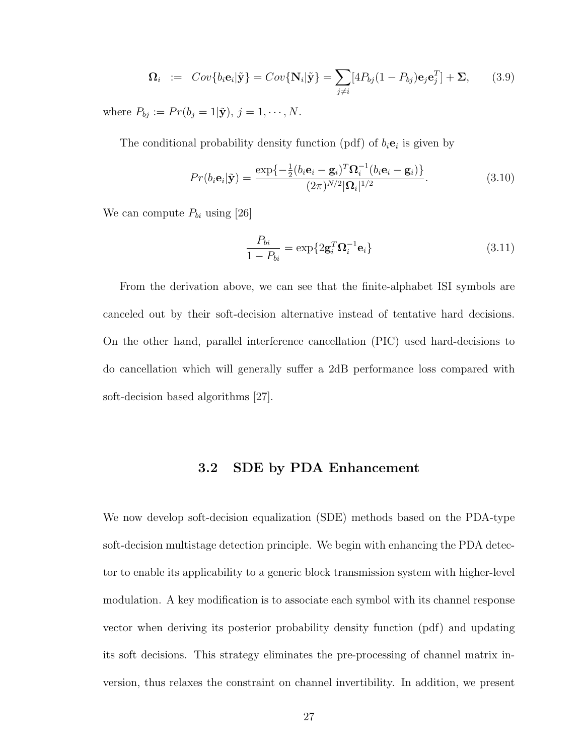$$
\Omega_i \quad := \quad Cov\{b_i \mathbf{e}_i | \tilde{\mathbf{y}}\} = Cov\{\mathbf{N}_i | \tilde{\mathbf{y}}\} = \sum_{j \neq i} [4P_{bj}(1 - P_{bj})\mathbf{e}_j \mathbf{e}_j^T] + \Sigma, \tag{3.9}
$$

where  $P_{bj} := Pr(b_j = 1 | \tilde{\mathbf{y}}), j = 1, \cdots, N$ .

The conditional probability density function (pdf) of  $b_i$ **e**<sub>i</sub> is given by

$$
Pr(b_i\mathbf{e}_i|\tilde{\mathbf{y}}) = \frac{\exp\{-\frac{1}{2}(b_i\mathbf{e}_i - \mathbf{g}_i)^T \mathbf{\Omega}_i^{-1}(b_i\mathbf{e}_i - \mathbf{g}_i)\}}{(2\pi)^{N/2} |\mathbf{\Omega}_i|^{1/2}}.
$$
(3.10)

We can compute  $P_{bi}$  using [26]

$$
\frac{P_{bi}}{1 - P_{bi}} = \exp\{2\mathbf{g}_i^T \mathbf{\Omega}_i^{-1} \mathbf{e}_i\}
$$
\n(3.11)

From the derivation above, we can see that the finite-alphabet ISI symbols are canceled out by their soft-decision alternative instead of tentative hard decisions. On the other hand, parallel interference cancellation (PIC) used hard-decisions to do cancellation which will generally suffer a 2dB performance loss compared with soft-decision based algorithms [27].

## 3.2 SDE by PDA Enhancement

We now develop soft-decision equalization (SDE) methods based on the PDA-type soft-decision multistage detection principle. We begin with enhancing the PDA detector to enable its applicability to a generic block transmission system with higher-level modulation. A key modification is to associate each symbol with its channel response vector when deriving its posterior probability density function (pdf) and updating its soft decisions. This strategy eliminates the pre-processing of channel matrix inversion, thus relaxes the constraint on channel invertibility. In addition, we present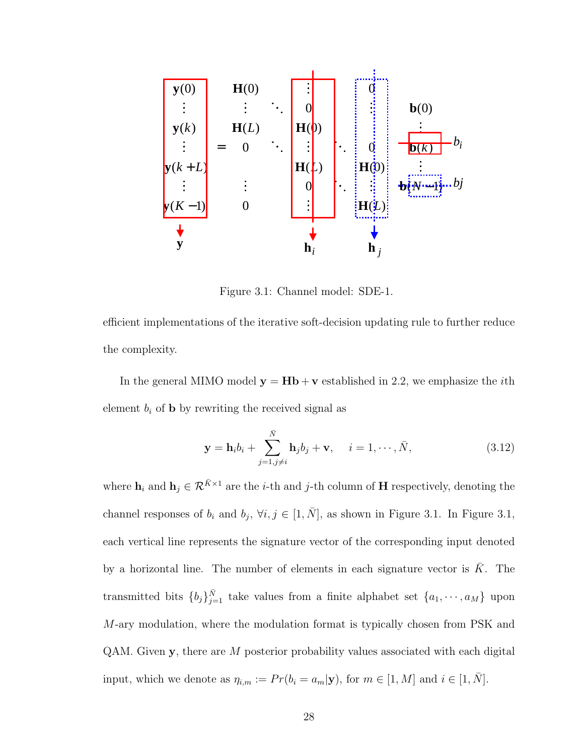

Figure 3.1: Channel model: SDE-1.

efficient implementations of the iterative soft-decision updating rule to further reduce the complexity.

In the general MIMO model  $y = Hb + v$  established in 2.2, we emphasize the *i*th element  $b_i$  of **b** by rewriting the received signal as

$$
\mathbf{y} = \mathbf{h}_i b_i + \sum_{j=1, j \neq i}^{\bar{N}} \mathbf{h}_j b_j + \mathbf{v}, \quad i = 1, \cdots, \bar{N},
$$
 (3.12)

where  $\mathbf{h}_i$  and  $\mathbf{h}_j \in \mathcal{R}^{\bar{K} \times 1}$  are the *i*-th and *j*-th column of **H** respectively, denoting the channel responses of  $b_i$  and  $b_j$ ,  $\forall i, j \in [1, \bar{N}]$ , as shown in Figure 3.1. In Figure 3.1, each vertical line represents the signature vector of the corresponding input denoted by a horizontal line. The number of elements in each signature vector is  $\overline{K}$ . The transmitted bits  ${b_j}_{j=1}^{\bar{N}}$  take values from a finite alphabet set  ${a_1, \dots, a_M}$  upon M-ary modulation, where the modulation format is typically chosen from PSK and QAM. Given y, there are M posterior probability values associated with each digital input, which we denote as  $\eta_{i,m} := Pr(b_i = a_m | \mathbf{y})$ , for  $m \in [1, M]$  and  $i \in [1, \overline{N}]$ .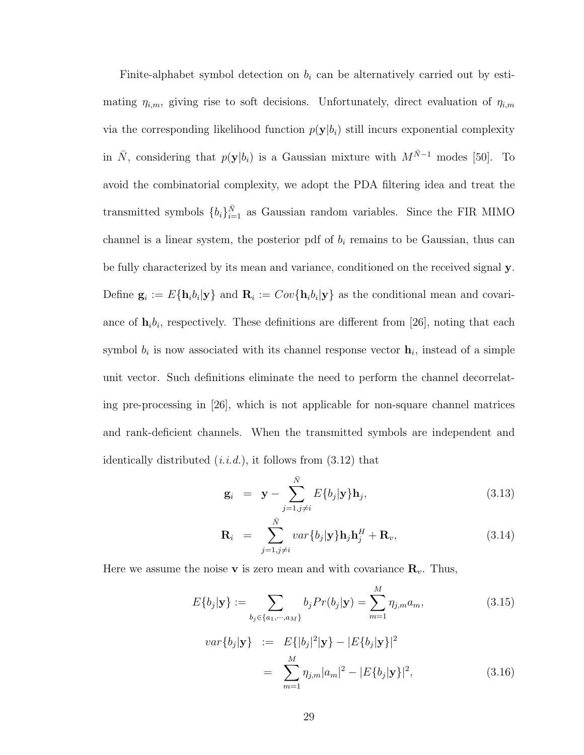Finite-alphabet symbol detection on  $b_i$  can be alternatively carried out by estimating  $\eta_{i,m}$ , giving rise to soft decisions. Unfortunately, direct evaluation of  $\eta_{i,m}$ via the corresponding likelihood function  $p(\mathbf{y}|b_i)$  still incurs exponential complexity in  $\bar{N}$ , considering that  $p(\mathbf{y}|b_i)$  is a Gaussian mixture with  $M^{\bar{N}-1}$  modes [50]. To avoid the combinatorial complexity, we adopt the PDA filtering idea and treat the transmitted symbols  ${b_i}_{i=1}^{\bar{N}}$  as Gaussian random variables. Since the FIR MIMO channel is a linear system, the posterior pdf of  $b_i$  remains to be Gaussian, thus can be fully characterized by its mean and variance, conditioned on the received signal y. Define  $\mathbf{g}_i := E\{\mathbf{h}_i b_i | \mathbf{y}\}\$  and  $\mathbf{R}_i := Cov\{\mathbf{h}_i b_i | \mathbf{y}\}\$ as the conditional mean and covariance of  $\mathbf{h}_i b_i$ , respectively. These definitions are different from [26], noting that each symbol  $b_i$  is now associated with its channel response vector  $\mathbf{h}_i$ , instead of a simple unit vector. Such definitions eliminate the need to perform the channel decorrelating pre-processing in [26], which is not applicable for non-square channel matrices and rank-deficient channels. When the transmitted symbols are independent and identically distributed  $(i.i.d.)$ , it follows from  $(3.12)$  that

$$
\mathbf{g}_i = \mathbf{y} - \sum_{j=1, j \neq i}^{\bar{N}} E\{b_j | \mathbf{y}\} \mathbf{h}_j, \tag{3.13}
$$

$$
\mathbf{R}_{i} = \sum_{j=1, j \neq i}^{\bar{N}} var\{b_{j}|\mathbf{y}\}\mathbf{h}_{j}\mathbf{h}_{j}^{H} + \mathbf{R}_{v}, \qquad (3.14)
$$

Here we assume the noise **v** is zero mean and with covariance  $\mathbf{R}_v$ . Thus,

$$
E\{b_j|\mathbf{y}\} := \sum_{b_j \in \{a_1, \cdots, a_M\}} b_j Pr(b_j|\mathbf{y}) = \sum_{m=1}^M \eta_{j,m} a_m,
$$
\n(3.15)

$$
var{b_j|\mathbf{y}} := E\{|b_j|^2|\mathbf{y}\} - |E\{b_j|\mathbf{y}\}|^2
$$
  
= 
$$
\sum_{m=1}^{M} \eta_{j,m} |a_m|^2 - |E\{b_j|\mathbf{y}\}|^2,
$$
 (3.16)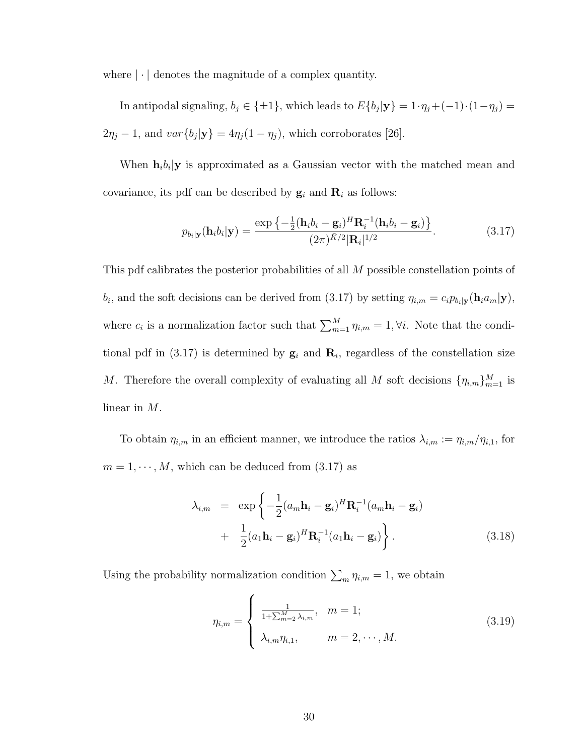where  $|\cdot|$  denotes the magnitude of a complex quantity.

In antipodal signaling,  $b_j \in {\pm 1}$ , which leads to  $E\{b_j | y\} = 1 \cdot \eta_j + (-1) \cdot (1 - \eta_j) =$  $2\eta_j - 1$ , and  $var\{b_j | \mathbf{y}\} = 4\eta_j(1 - \eta_j)$ , which corroborates [26].

When  $\mathbf{h}_i b_i | \mathbf{y}$  is approximated as a Gaussian vector with the matched mean and covariance, its pdf can be described by  $\mathbf{g}_i$  and  $\mathbf{R}_i$  as follows:

$$
p_{b_i|\mathbf{y}}(\mathbf{h}_i b_i|\mathbf{y}) = \frac{\exp\left\{-\frac{1}{2}(\mathbf{h}_i b_i - \mathbf{g}_i)^H \mathbf{R}_i^{-1}(\mathbf{h}_i b_i - \mathbf{g}_i)\right\}}{(2\pi)^{\bar{K}/2} |\mathbf{R}_i|^{1/2}}.
$$
(3.17)

This pdf calibrates the posterior probabilities of all M possible constellation points of  $b_i$ , and the soft decisions can be derived from (3.17) by setting  $\eta_{i,m} = c_i p_{b_i|\mathbf{y}}(\mathbf{h}_i a_m|\mathbf{y}),$ where  $c_i$  is a normalization factor such that  $\sum_{m=1}^{M} \eta_{i,m} = 1, \forall i$ . Note that the conditional pdf in (3.17) is determined by  $\mathbf{g}_i$  and  $\mathbf{R}_i$ , regardless of the constellation size M. Therefore the overall complexity of evaluating all M soft decisions  $\{\eta_{i,m}\}_{m=1}^M$  is linear in M.

To obtain  $\eta_{i,m}$  in an efficient manner, we introduce the ratios  $\lambda_{i,m} := \eta_{i,m}/\eta_{i,1}$ , for  $m = 1, \dots, M$ , which can be deduced from  $(3.17)$  as

$$
\lambda_{i,m} = \exp\left\{-\frac{1}{2}(a_m \mathbf{h}_i - \mathbf{g}_i)^H \mathbf{R}_i^{-1} (a_m \mathbf{h}_i - \mathbf{g}_i) + \frac{1}{2}(a_1 \mathbf{h}_i - \mathbf{g}_i)^H \mathbf{R}_i^{-1} (a_1 \mathbf{h}_i - \mathbf{g}_i)\right\}.
$$
\n(3.18)

Using the probability normalization condition  $\sum_m \eta_{i,m} = 1$ , we obtain

$$
\eta_{i,m} = \begin{cases} \frac{1}{1 + \sum_{m=2}^{M} \lambda_{i,m}}, & m = 1; \\ \lambda_{i,m} \eta_{i,1}, & m = 2, \cdots, M. \end{cases}
$$
 (3.19)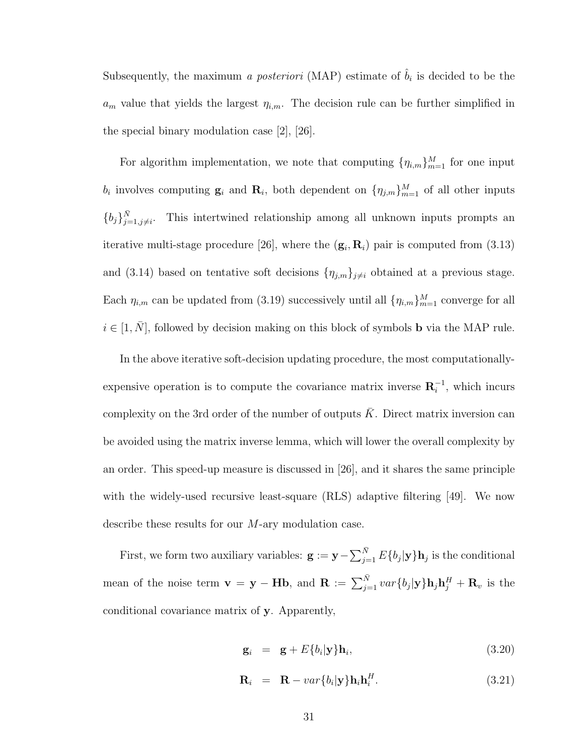Subsequently, the maximum *a posteriori* (MAP) estimate of  $\hat{b}_i$  is decided to be the  $a_m$  value that yields the largest  $\eta_{i,m}$ . The decision rule can be further simplified in the special binary modulation case [2], [26].

For algorithm implementation, we note that computing  $\{\eta_{i,m}\}_{m=1}^M$  for one input  $b_i$  involves computing  $\mathbf{g}_i$  and  $\mathbf{R}_i$ , both dependent on  $\{\eta_{j,m}\}_{m=1}^M$  of all other inputs  ${b_j}_{j=1,j\neq i}^{\bar{N}}$ . This intertwined relationship among all unknown inputs prompts an iterative multi-stage procedure [26], where the  $(\mathbf{g}_i, \mathbf{R}_i)$  pair is computed from (3.13) and (3.14) based on tentative soft decisions  $\{\eta_{j,m}\}_{j\neq i}$  obtained at a previous stage. Each  $\eta_{i,m}$  can be updated from (3.19) successively until all  $\{\eta_{i,m}\}_{m=1}^M$  converge for all  $i \in [1, N]$ , followed by decision making on this block of symbols **b** via the MAP rule.

In the above iterative soft-decision updating procedure, the most computationallyexpensive operation is to compute the covariance matrix inverse  $\mathbf{R}_i^{-1}$ , which incurs complexity on the 3rd order of the number of outputs  $\overline{K}$ . Direct matrix inversion can be avoided using the matrix inverse lemma, which will lower the overall complexity by an order. This speed-up measure is discussed in [26], and it shares the same principle with the widely-used recursive least-square (RLS) adaptive filtering [49]. We now describe these results for our M-ary modulation case.

First, we form two auxiliary variables:  $\mathbf{g} := \mathbf{y} - \sum_{i=1}^{N}$  $\sum_{j=1}^{N} E\{b_j | \mathbf{y}\}\mathbf{h}_j$  is the conditional mean of the noise term  $\mathbf{v} = \mathbf{y} - \mathbf{H} \mathbf{b}$ , and  $\mathbf{R} := \sum_{j=1}^{\bar{N}} var\{b_j | \mathbf{y}\} \mathbf{h}_j \mathbf{h}_j^H + \mathbf{R}_v$  is the conditional covariance matrix of y. Apparently,

$$
\mathbf{g}_i = \mathbf{g} + E\{b_i | \mathbf{y}\} \mathbf{h}_i, \tag{3.20}
$$

$$
\mathbf{R}_i = \mathbf{R} - var\{b_i|\mathbf{y}\} \mathbf{h}_i \mathbf{h}_i^H.
$$
 (3.21)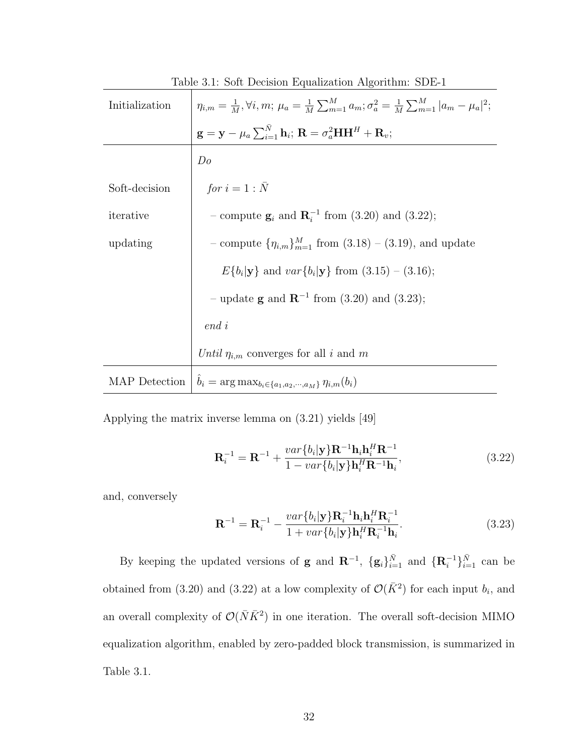| Lable 0.1. Dolt Decision Equalization Algorithmi. ODE-1 |                                                                                                                                                                                                                                                                                                                     |
|---------------------------------------------------------|---------------------------------------------------------------------------------------------------------------------------------------------------------------------------------------------------------------------------------------------------------------------------------------------------------------------|
| Initialization                                          | $\begin{array}{l} \eta_{i,m} = \frac{1}{M}, \forall i, m; \, \mu_a = \frac{1}{M} \sum_{m=1}^{M} a_m; \sigma_a^2 = \frac{1}{M} \sum_{m=1}^{M}  a_m - \mu_a ^2; \\ \mathbf{g} = \mathbf{y} - \mu_a \sum_{i=1}^{\bar{N}} \mathbf{h}_i; \, \mathbf{R} = \sigma_a^2 \mathbf{H} \mathbf{H}^H + \mathbf{R}_v; \end{array}$ |
|                                                         |                                                                                                                                                                                                                                                                                                                     |
|                                                         | Do                                                                                                                                                                                                                                                                                                                  |
| Soft-decision                                           | for $i=1:\bar{N}$                                                                                                                                                                                                                                                                                                   |
| iterative                                               | - compute $\mathbf{g}_i$ and $\mathbf{R}_i^{-1}$ from (3.20) and (3.22);                                                                                                                                                                                                                                            |
| updating                                                | - compute $\{\eta_{i,m}\}_{m=1}^M$ from $(3.18) - (3.19)$ , and update                                                                                                                                                                                                                                              |
|                                                         | $E\{b_i \mathbf{y}\}\$ and $var\{b_i \mathbf{y}\}\$ from $(3.15) - (3.16)$ ;                                                                                                                                                                                                                                        |
|                                                         | - update <b>g</b> and $\mathbb{R}^{-1}$ from (3.20) and (3.23);                                                                                                                                                                                                                                                     |
|                                                         | $end\,i$                                                                                                                                                                                                                                                                                                            |
|                                                         | Until $\eta_{i,m}$ converges for all i and m                                                                                                                                                                                                                                                                        |
| MAP Detection                                           | $\hat{b}_i = \arg \max_{b_i \in \{a_1, a_2, \cdots, a_M\}} \eta_{i,m}(b_i)$                                                                                                                                                                                                                                         |

Table 3.1: Soft Decision Equalization Algorithm: SDE-1

Applying the matrix inverse lemma on (3.21) yields [49]

$$
\mathbf{R}_{i}^{-1} = \mathbf{R}^{-1} + \frac{var\{b_{i}|\mathbf{y}\}\mathbf{R}^{-1}\mathbf{h}_{i}\mathbf{h}_{i}^{H}\mathbf{R}^{-1}}{1 - var\{b_{i}|\mathbf{y}\}\mathbf{h}_{i}^{H}\mathbf{R}^{-1}\mathbf{h}_{i}},
$$
\n(3.22)

and, conversely

$$
\mathbf{R}^{-1} = \mathbf{R}_i^{-1} - \frac{var\{b_i|\mathbf{y}\}\mathbf{R}_i^{-1}\mathbf{h}_i\mathbf{h}_i^H\mathbf{R}_i^{-1}}{1 + var\{b_i|\mathbf{y}\}\mathbf{h}_i^H\mathbf{R}_i^{-1}\mathbf{h}_i}.
$$
 (3.23)

By keeping the updated versions of **g** and  $\mathbf{R}^{-1}$ ,  $\{g_i\}_{i=1}^{\bar{N}}$  and  $\{\mathbf{R}_i^{-1}\}_{i=1}^{\bar{N}}$  can be obtained from (3.20) and (3.22) at a low complexity of  $\mathcal{O}(\bar{K}^2)$  for each input  $b_i$ , and an overall complexity of  $\mathcal{O}(N\bar{K}^2)$  in one iteration. The overall soft-decision MIMO equalization algorithm, enabled by zero-padded block transmission, is summarized in Table 3.1.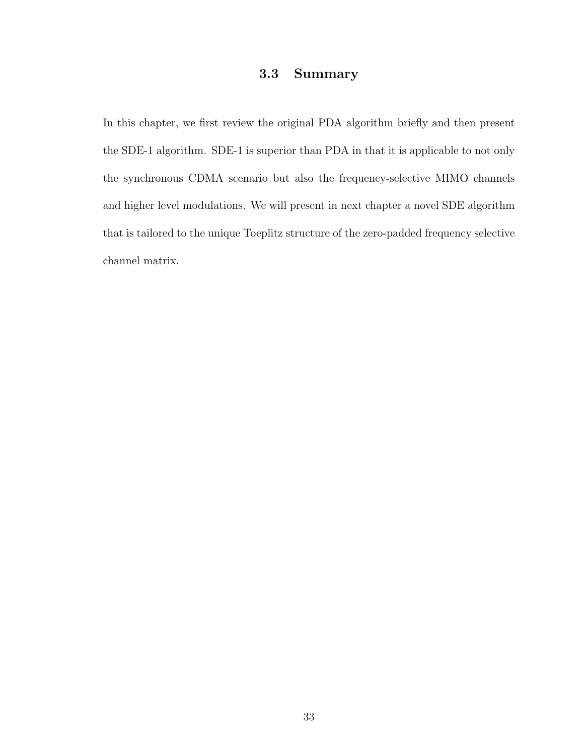### 3.3 Summary

In this chapter, we first review the original PDA algorithm briefly and then present the SDE-1 algorithm. SDE-1 is superior than PDA in that it is applicable to not only the synchronous CDMA scenario but also the frequency-selective MIMO channels and higher level modulations. We will present in next chapter a novel SDE algorithm that is tailored to the unique Toeplitz structure of the zero-padded frequency selective channel matrix.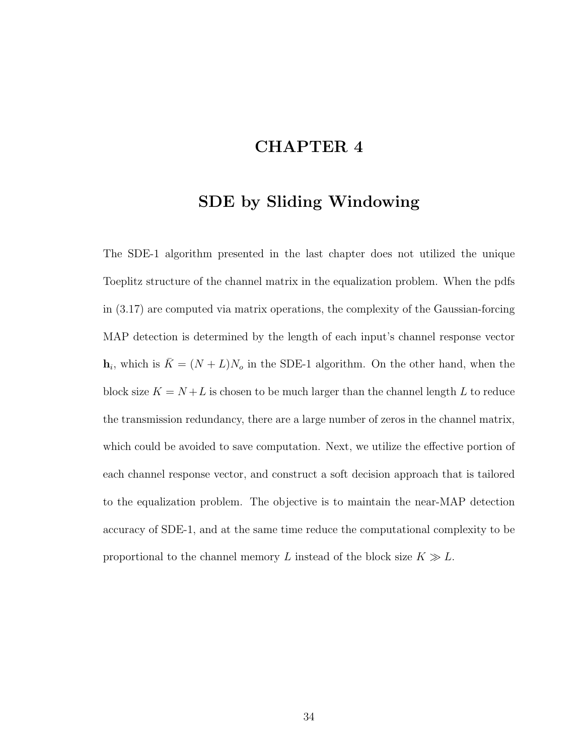# CHAPTER 4

## SDE by Sliding Windowing

The SDE-1 algorithm presented in the last chapter does not utilized the unique Toeplitz structure of the channel matrix in the equalization problem. When the pdfs in (3.17) are computed via matrix operations, the complexity of the Gaussian-forcing MAP detection is determined by the length of each input's channel response vector  $\mathbf{h}_i$ , which is  $\bar{K} = (N + L)N_o$  in the SDE-1 algorithm. On the other hand, when the block size  $K = N + L$  is chosen to be much larger than the channel length L to reduce the transmission redundancy, there are a large number of zeros in the channel matrix, which could be avoided to save computation. Next, we utilize the effective portion of each channel response vector, and construct a soft decision approach that is tailored to the equalization problem. The objective is to maintain the near-MAP detection accuracy of SDE-1, and at the same time reduce the computational complexity to be proportional to the channel memory L instead of the block size  $K \gg L$ .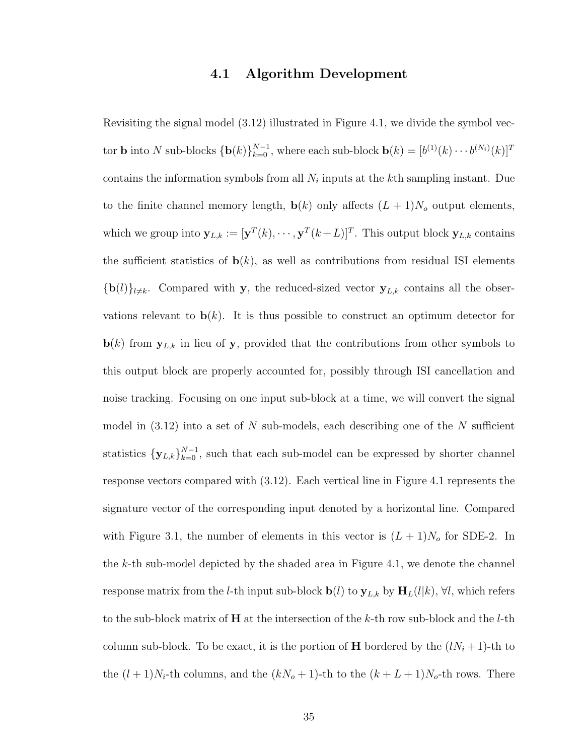#### 4.1 Algorithm Development

Revisiting the signal model (3.12) illustrated in Figure 4.1, we divide the symbol vector **b** into N sub-blocks  $\{\mathbf{b}(k)\}_{k=0}^{N-1}$ , where each sub-block  $\mathbf{b}(k) = [b^{(1)}(k) \cdots b^{(N_i)}(k)]^T$ contains the information symbols from all  $N_i$  inputs at the kth sampling instant. Due to the finite channel memory length,  $\mathbf{b}(k)$  only affects  $(L + 1)N_o$  output elements, which we group into  $\mathbf{y}_{L,k} := [\mathbf{y}^T(k), \cdots, \mathbf{y}^T(k+L)]^T$ . This output block  $\mathbf{y}_{L,k}$  contains the sufficient statistics of  $\mathbf{b}(k)$ , as well as contributions from residual ISI elements  ${\bf \{b}}(l)\}_{l\neq k}$ . Compared with y, the reduced-sized vector  ${\bf y}_{L,k}$  contains all the observations relevant to  $\mathbf{b}(k)$ . It is thus possible to construct an optimum detector for  $\mathbf{b}(k)$  from  $\mathbf{y}_{L,k}$  in lieu of y, provided that the contributions from other symbols to this output block are properly accounted for, possibly through ISI cancellation and noise tracking. Focusing on one input sub-block at a time, we will convert the signal model in  $(3.12)$  into a set of N sub-models, each describing one of the N sufficient statistics  ${\bf y}_{L,k}\}_{k=0}^{N-1}$ , such that each sub-model can be expressed by shorter channel response vectors compared with (3.12). Each vertical line in Figure 4.1 represents the signature vector of the corresponding input denoted by a horizontal line. Compared with Figure 3.1, the number of elements in this vector is  $(L+1)N_o$  for SDE-2. In the  $k$ -th sub-model depicted by the shaded area in Figure 4.1, we denote the channel response matrix from the *l*-th input sub-block  $\mathbf{b}(l)$  to  $\mathbf{y}_{L,k}$  by  $\mathbf{H}_{L}(l|k)$ ,  $\forall l$ , which refers to the sub-block matrix of  $H$  at the intersection of the k-th row sub-block and the l-th column sub-block. To be exact, it is the portion of **H** bordered by the  $(lN_i + 1)$ -th to the  $(l+1)N_i$ -th columns, and the  $(kN_o+1)$ -th to the  $(k+L+1)N_o$ -th rows. There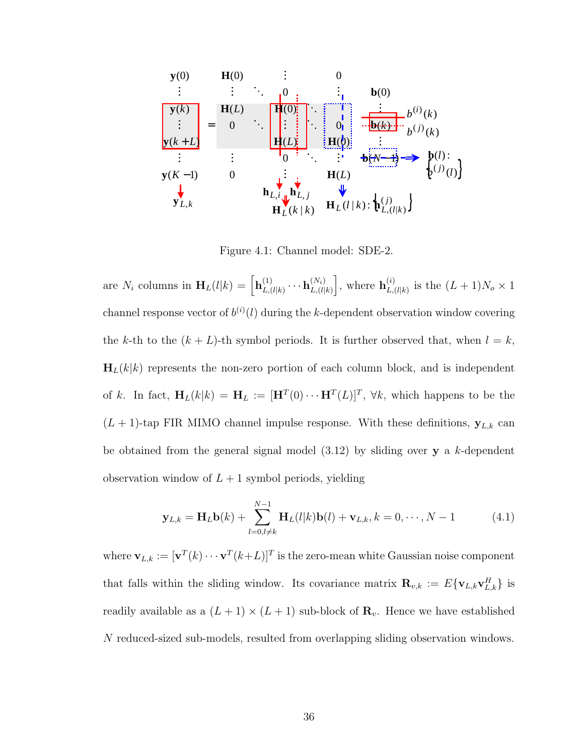$$
\begin{bmatrix}\n\mathbf{y}(0) \\
\vdots \\
\mathbf{y}(k) \\
\vdots \\
\mathbf{y}(k+L)\n\end{bmatrix} = \n\begin{bmatrix}\n\mathbf{H}(0) & \vdots & 0 \\
\vdots & \ddots & \vdots \\
\mathbf{H}(L) & \mathbf{H}(0) & \vdots \\
0 & \ddots & \mathbf{H}(L) \\
\vdots & \vdots & \ddots & \vdots \\
0 & \mathbf{H}(L) & \mathbf{H}(L)\n\end{bmatrix} \n\begin{bmatrix}\n\mathbf{b}(0) \\
\vdots \\
\mathbf{b}(k)\n\end{bmatrix} \n\begin{bmatrix}\n\mathbf{b}(0) \\
\vdots \\
\mathbf{b}(k)\n\end{bmatrix} \n\begin{bmatrix}\n\mathbf{b}(0) \\
\vdots \\
\mathbf{b}(k)\n\end{bmatrix} \n\begin{bmatrix}\n\mathbf{b}(i) \\
\mathbf{b}(i) \\
\mathbf{b}(i)\n\end{bmatrix}
$$
\n
$$
\mathbf{y}(k+L)
$$
\n
$$
\mathbf{y}(k-1)
$$
\n
$$
\mathbf{b}_{L,i} \mathbf{u} \mathbf{b}_{L,j} \n\mathbf{u}_{L}(l|k) : \n\mathbf{b}_{L,(l|k)} \n\mathbf{b}_{L,(l|k)}\n\end{bmatrix}
$$

Figure 4.1: Channel model: SDE-2.

are  $N_i$  columns in  $\mathbf{H}_L(l|k) = \left[ \mathbf{h}_{L,l}^{(1)} \right]$  $\mathbf{h}_{L,(l|k)}^{(1)}\cdots \mathbf{h}_{L,(l|k)}^{(N_i)}$  $L,(l|k)$ i , where  $\mathbf{h}_L^{(i)}$  $L^{(i)}_{L,(l|k)}$  is the  $(L+1)N_o \times 1$ channel response vector of  $b^{(i)}(l)$  during the k-dependent observation window covering the k-th to the  $(k + L)$ -th symbol periods. It is further observed that, when  $l = k$ ,  $\mathbf{H}_{L}(k|k)$  represents the non-zero portion of each column block, and is independent of k. In fact,  $H_L(k|k) = H_L := [H^T(0) \cdots H^T(L)]^T$ ,  $\forall k$ , which happens to be the  $(L + 1)$ -tap FIR MIMO channel impulse response. With these definitions,  $y_{L,k}$  can be obtained from the general signal model  $(3.12)$  by sliding over y a k-dependent observation window of  $L + 1$  symbol periods, yielding

$$
\mathbf{y}_{L,k} = \mathbf{H}_L \mathbf{b}(k) + \sum_{l=0, l \neq k}^{N-1} \mathbf{H}_L(l|k) \mathbf{b}(l) + \mathbf{v}_{L,k}, k = 0, \cdots, N-1
$$
(4.1)

where  $\mathbf{v}_{L,k} := [\mathbf{v}^T(k) \cdots \mathbf{v}^T(k+L)]^T$  is the zero-mean white Gaussian noise component that falls within the sliding window. Its covariance matrix  $\mathbf{R}_{v,k} := E\{\mathbf{v}_{L,k}\mathbf{v}_{L,k}^H\}$  is readily available as a  $(L + 1) \times (L + 1)$  sub-block of  $\mathbf{R}_v$ . Hence we have established N reduced-sized sub-models, resulted from overlapping sliding observation windows.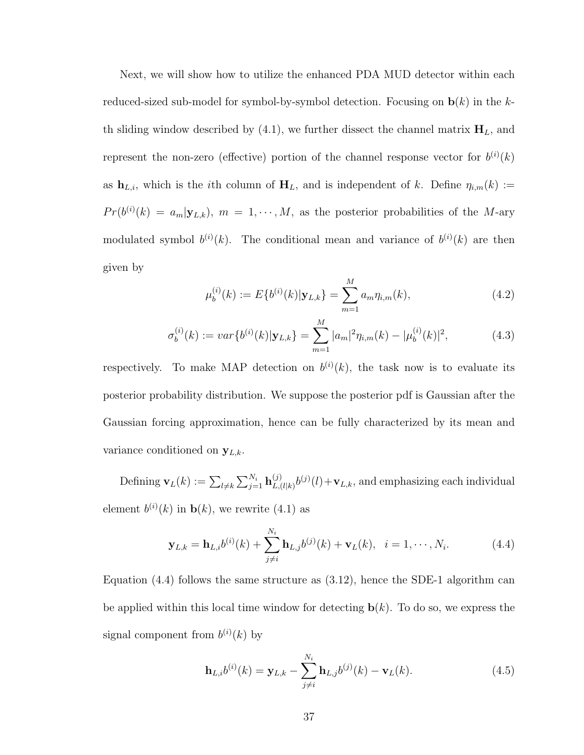Next, we will show how to utilize the enhanced PDA MUD detector within each reduced-sized sub-model for symbol-by-symbol detection. Focusing on  $\mathbf{b}(k)$  in the kth sliding window described by (4.1), we further dissect the channel matrix  $H_L$ , and represent the non-zero (effective) portion of the channel response vector for  $b^{(i)}(k)$ as  $\mathbf{h}_{L,i}$ , which is the *i*th column of  $\mathbf{H}_L$ , and is independent of k. Define  $\eta_{i,m}(k) :=$  $Pr(b^{(i)}(k) = a_m | \mathbf{y}_{L,k}), m = 1, \cdots, M$ , as the posterior probabilities of the M-ary modulated symbol  $b^{(i)}(k)$ . The conditional mean and variance of  $b^{(i)}(k)$  are then given by

$$
\mu_b^{(i)}(k) := E\{b^{(i)}(k)|\mathbf{y}_{L,k}\} = \sum_{m=1}^{M} a_m \eta_{i,m}(k),
$$
\n(4.2)

$$
\sigma_b^{(i)}(k) := var\{b^{(i)}(k)|\mathbf{y}_{L,k}\} = \sum_{m=1}^{M} |a_m|^2 \eta_{i,m}(k) - |\mu_b^{(i)}(k)|^2,
$$
\n(4.3)

respectively. To make MAP detection on  $b^{(i)}(k)$ , the task now is to evaluate its posterior probability distribution. We suppose the posterior pdf is Gaussian after the Gaussian forcing approximation, hence can be fully characterized by its mean and variance conditioned on  $\mathbf{y}_{L,k}$ .

Defining  $\mathbf{v}_L(k) := \sum_{l \neq k}$  $\sum_{i} N_i$  $_{j=1}^{N_i} \mathbf{h}_{L,0}^{(j)}$  $L_{L,(l|k)}^{(j)}b^{(j)}(l)+\mathbf{v}_{L,k}$ , and emphasizing each individual element  $b^{(i)}(k)$  in  $\mathbf{b}(k)$ , we rewrite (4.1) as

$$
\mathbf{y}_{L,k} = \mathbf{h}_{L,i} b^{(i)}(k) + \sum_{j \neq i}^{N_i} \mathbf{h}_{L,j} b^{(j)}(k) + \mathbf{v}_L(k), \quad i = 1, \cdots, N_i.
$$
 (4.4)

Equation  $(4.4)$  follows the same structure as  $(3.12)$ , hence the SDE-1 algorithm can be applied within this local time window for detecting  $\mathbf{b}(k)$ . To do so, we express the signal component from  $b^{(i)}(k)$  by

$$
\mathbf{h}_{L,i}b^{(i)}(k) = \mathbf{y}_{L,k} - \sum_{j \neq i}^{N_i} \mathbf{h}_{L,j}b^{(j)}(k) - \mathbf{v}_L(k).
$$
 (4.5)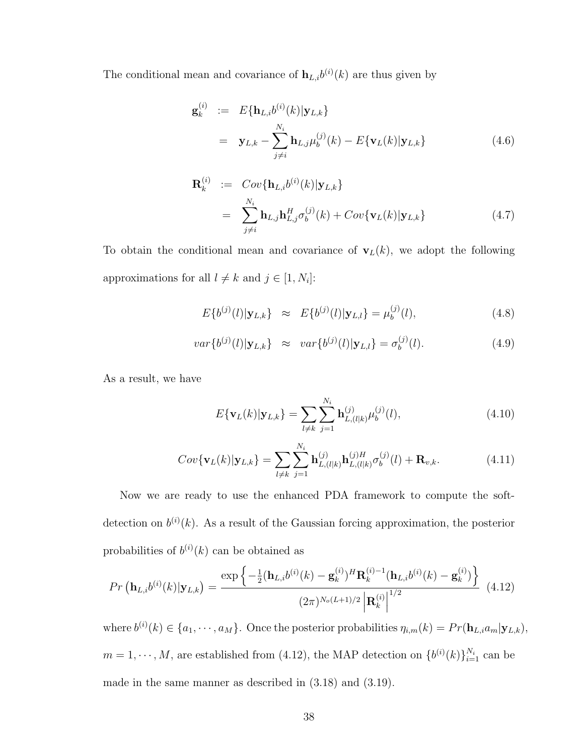The conditional mean and covariance of  $\mathbf{h}_{L,i}b^{(i)}(k)$  are thus given by

$$
\mathbf{g}_{k}^{(i)} := E\{\mathbf{h}_{L,i}b^{(i)}(k)|\mathbf{y}_{L,k}\}\
$$

$$
= \mathbf{y}_{L,k} - \sum_{j \neq i}^{N_i} \mathbf{h}_{L,j} \mu_b^{(j)}(k) - E\{\mathbf{v}_L(k)|\mathbf{y}_{L,k}\} \tag{4.6}
$$

$$
\mathbf{R}_{k}^{(i)} := Cov\{\mathbf{h}_{L,i}b^{(i)}(k)|\mathbf{y}_{L,k}\}\
$$

$$
= \sum_{j \neq i}^{N_i} \mathbf{h}_{L,j} \mathbf{h}_{L,j}^H \sigma_b^{(j)}(k) + Cov\{\mathbf{v}_L(k)|\mathbf{y}_{L,k}\}
$$
(4.7)

To obtain the conditional mean and covariance of  $\mathbf{v}_L(k)$ , we adopt the following approximations for all  $l \neq k$  and  $j \in [1, N_i]$ :

$$
E\{b^{(j)}(l)|\mathbf{y}_{L,k}\}\approx E\{b^{(j)}(l)|\mathbf{y}_{L,l}\}=\mu_b^{(j)}(l),\tag{4.8}
$$

$$
var\{b^{(j)}(l)|\mathbf{y}_{L,k}\}\approx var\{b^{(j)}(l)|\mathbf{y}_{L,l}\} = \sigma_b^{(j)}(l). \tag{4.9}
$$

As a result, we have

$$
E\{\mathbf{v}_L(k)|\mathbf{y}_{L,k}\} = \sum_{l \neq k} \sum_{j=1}^{N_i} \mathbf{h}_{L,(l|k)}^{(j)} \mu_b^{(j)}(l), \tag{4.10}
$$

$$
Cov{\mathbf{v}_L(k)|\mathbf{y}_{L,k}} = \sum_{l \neq k} \sum_{j=1}^{N_i} \mathbf{h}_{L,(l|k)}^{(j)} \mathbf{h}_{L,(l|k)}^{(j)H} \sigma_b^{(j)}(l) + \mathbf{R}_{v,k}.
$$
 (4.11)

Now we are ready to use the enhanced PDA framework to compute the softdetection on  $b^{(i)}(k)$ . As a result of the Gaussian forcing approximation, the posterior probabilities of  $b^{(i)}(k)$  can be obtained as

$$
Pr\left(\mathbf{h}_{L,i}b^{(i)}(k)|\mathbf{y}_{L,k}\right) = \frac{\exp\left\{-\frac{1}{2}(\mathbf{h}_{L,i}b^{(i)}(k) - \mathbf{g}_k^{(i)})^H \mathbf{R}_k^{(i)-1}(\mathbf{h}_{L,i}b^{(i)}(k) - \mathbf{g}_k^{(i)})\right\}}{(2\pi)^{N_o(L+1)/2} \left|\mathbf{R}_k^{(i)}\right|^{1/2}} \tag{4.12}
$$

where  $b^{(i)}(k) \in \{a_1, \dots, a_M\}$ . Once the posterior probabilities  $\eta_{i,m}(k) = Pr(\mathbf{h}_{L,i}a_m|\mathbf{y}_{L,k}),$  $m = 1, \dots, M$ , are established from (4.12), the MAP detection on  $\{b^{(i)}(k)\}_{i=1}^{N_i}$  can be made in the same manner as described in (3.18) and (3.19).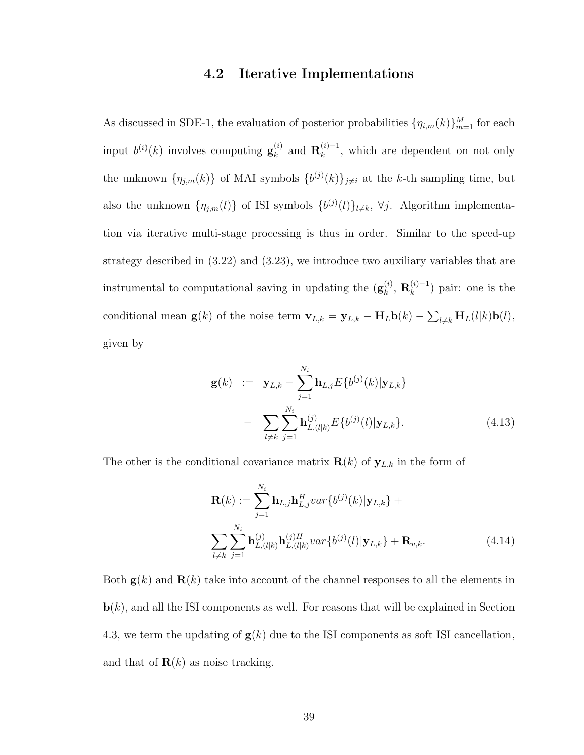#### 4.2 Iterative Implementations

As discussed in SDE-1, the evaluation of posterior probabilities  $\{\eta_{i,m}(k)\}_{m=1}^M$  for each input  $b^{(i)}(k)$  involves computing  $\mathbf{g}_k^{(i)}$  $_{k}^{(i)}$  and  $\mathbf{R}_{k}^{(i)-1}$  $\binom{n}{k}$ , which are dependent on not only the unknown  $\{\eta_{j,m}(k)\}\$  of MAI symbols  $\{b^{(j)}(k)\}_{j\neq i}$  at the k-th sampling time, but also the unknown  $\{\eta_{j,m}(l)\}\$  of ISI symbols  $\{b^{(j)}(l)\}_{l\neq k}$ ,  $\forall j$ . Algorithm implementation via iterative multi-stage processing is thus in order. Similar to the speed-up strategy described in (3.22) and (3.23), we introduce two auxiliary variables that are instrumental to computational saving in updating the  $(\mathbf{g}_k^{(i)})$  $\mathbf{R}_k^{(i)},\ \mathbf{R}_k^{(i)-1}$  $\binom{n}{k}$  pair: one is the conditional mean  $\mathbf{g}(k)$  of the noise term  $\mathbf{v}_{L,k} = \mathbf{y}_{L,k} - \mathbf{H}_{L}\mathbf{b}(k)$  –  $\overline{ }$  $_{l\neq k}$ **H**<sub>L</sub>(l|k)**b**(l), given by

$$
\mathbf{g}(k) := \mathbf{y}_{L,k} - \sum_{j=1}^{N_i} \mathbf{h}_{L,j} E\{b^{(j)}(k)|\mathbf{y}_{L,k}\}\n- \sum_{l \neq k} \sum_{j=1}^{N_i} \mathbf{h}_{L,(l|k)}^{(j)} E\{b^{(j)}(l)|\mathbf{y}_{L,k}\}.
$$
\n(4.13)

The other is the conditional covariance matrix  $\mathbf{R}(k)$  of  $\mathbf{y}_{L,k}$  in the form of

$$
\mathbf{R}(k) := \sum_{j=1}^{N_i} \mathbf{h}_{L,j} \mathbf{h}_{L,j}^H var\{b^{(j)}(k)|\mathbf{y}_{L,k}\} + \sum_{l \neq k} \sum_{j=1}^{N_i} \mathbf{h}_{L,(l|k)}^{(j)} \mathbf{h}_{L,(l|k)}^{(j)H} var\{b^{(j)}(l)|\mathbf{y}_{L,k}\} + \mathbf{R}_{v,k}.
$$
\n(4.14)

Both  $g(k)$  and  $R(k)$  take into account of the channel responses to all the elements in  $\mathbf{b}(k)$ , and all the ISI components as well. For reasons that will be explained in Section 4.3, we term the updating of  $g(k)$  due to the ISI components as soft ISI cancellation, and that of  $\mathbf{R}(k)$  as noise tracking.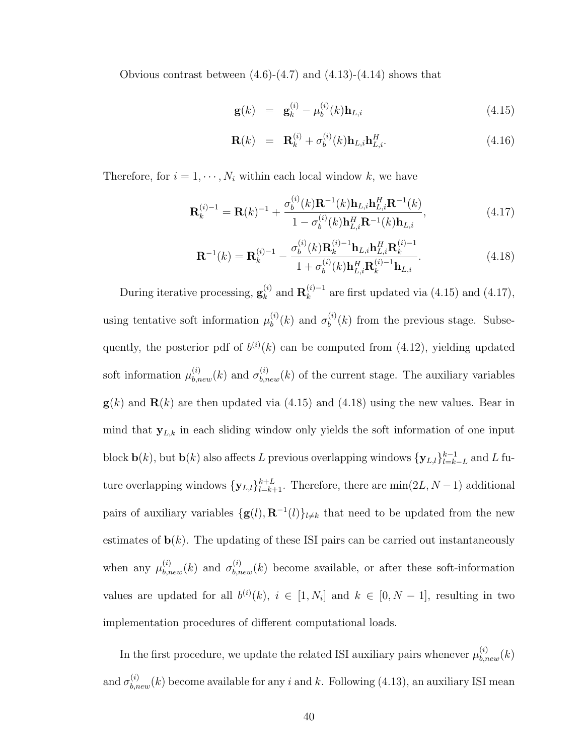Obvious contrast between  $(4.6)-(4.7)$  and  $(4.13)-(4.14)$  shows that

$$
\mathbf{g}(k) = \mathbf{g}_k^{(i)} - \mu_b^{(i)}(k)\mathbf{h}_{L,i} \tag{4.15}
$$

$$
\mathbf{R}(k) = \mathbf{R}_k^{(i)} + \sigma_b^{(i)}(k)\mathbf{h}_{L,i}\mathbf{h}_{L,i}^H.
$$
 (4.16)

Therefore, for  $i = 1, \dots, N_i$  within each local window k, we have

$$
\mathbf{R}_{k}^{(i)-1} = \mathbf{R}(k)^{-1} + \frac{\sigma_b^{(i)}(k)\mathbf{R}^{-1}(k)\mathbf{h}_{L,i}\mathbf{h}_{L,i}^H \mathbf{R}^{-1}(k)}{1 - \sigma_b^{(i)}(k)\mathbf{h}_{L,i}^H \mathbf{R}^{-1}(k)\mathbf{h}_{L,i}},
$$
(4.17)

$$
\mathbf{R}^{-1}(k) = \mathbf{R}_{k}^{(i)-1} - \frac{\sigma_{b}^{(i)}(k)\mathbf{R}_{k}^{(i)-1}\mathbf{h}_{L,i}\mathbf{h}_{L,i}^{H}\mathbf{R}_{k}^{(i)-1}}{1 + \sigma_{b}^{(i)}(k)\mathbf{h}_{L,i}^{H}\mathbf{R}_{k}^{(i)-1}\mathbf{h}_{L,i}}.
$$
(4.18)

During iterative processing,  $\mathbf{g}_k^{(i)}$  $_k^{(i)}$  and  $\mathbf{R}_k^{(i)-1}$  $\binom{n}{k}$  are first updated via (4.15) and (4.17), using tentative soft information  $\mu_h^{(i)}$  $\sigma_b^{(i)}(k)$  and  $\sigma_b^{(i)}$  $b^{(i)}(k)$  from the previous stage. Subsequently, the posterior pdf of  $b^{(i)}(k)$  can be computed from (4.12), yielding updated soft information  $\mu_{b,new}^{(i)}(k)$  and  $\sigma_{b,new}^{(i)}(k)$  of the current stage. The auxiliary variables  $g(k)$  and  $R(k)$  are then updated via (4.15) and (4.18) using the new values. Bear in mind that  $y_{L,k}$  in each sliding window only yields the soft information of one input block  $\mathbf{b}(k)$ , but  $\mathbf{b}(k)$  also affects L previous overlapping windows  $\{\mathbf{y}_{L,l}\}_{l=k}^{k-1}$  $_{l=k-L}^{k-1}$  and L future overlapping windows  ${\mathbf{y}_{L,l}}_{l=k+1}^{k+L}$ . Therefore, there are  $\min(2L, N-1)$  additional pairs of auxiliary variables  $\{g(l), \mathbf{R}^{-1}(l)\}_{l \neq k}$  that need to be updated from the new estimates of  $\mathbf{b}(k)$ . The updating of these ISI pairs can be carried out instantaneously when any  $\mu_{b,new}^{(i)}(k)$  and  $\sigma_{b,new}^{(i)}(k)$  become available, or after these soft-information values are updated for all  $b^{(i)}(k)$ ,  $i \in [1, N_i]$  and  $k \in [0, N - 1]$ , resulting in two implementation procedures of different computational loads.

In the first procedure, we update the related ISI auxiliary pairs whenever  $\mu_{b,new}^{(i)}(k)$ and  $\sigma_{b,new}^{(i)}(k)$  become available for any i and k. Following (4.13), an auxiliary ISI mean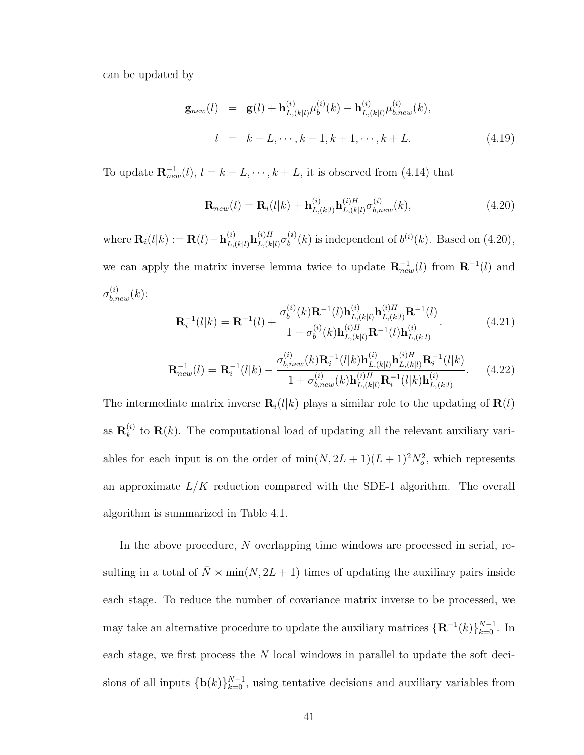can be updated by

$$
\mathbf{g}_{new}(l) = \mathbf{g}(l) + \mathbf{h}_{L,(k|l)}^{(i)} \mu_b^{(i)}(k) - \mathbf{h}_{L,(k|l)}^{(i)} \mu_{b,new}^{(i)}(k),
$$
  
\n
$$
l = k - L, \cdots, k - 1, k + 1, \cdots, k + L.
$$
 (4.19)

To update  $\mathbf{R}_{new}^{-1}(l)$ ,  $l = k - L, \dots, k + L$ , it is observed from (4.14) that

$$
\mathbf{R}_{new}(l) = \mathbf{R}_{i}(l|k) + \mathbf{h}_{L,(k|l)}^{(i)} \mathbf{h}_{L,(k|l)}^{(i)H} \sigma_{b,new}^{(i)}(k),
$$
\n(4.20)

where  $\mathbf{R}_i(l|k) := \mathbf{R}(l) - \mathbf{h}_{L,i}^{(i)}$  $\mathbf{h}_{L,(k|l)}^{(i)} \mathbf{h}_{L,(k)}^{(i)H}$  $_{L,(k|l)}^{(i)H}\sigma_{b}^{(i)}$  $b<sup>(i)</sup>(k)$  is independent of  $b<sup>(i)</sup>(k)$ . Based on  $(4.20)$ , we can apply the matrix inverse lemma twice to update  $\mathbf{R}_{new}^{-1}(l)$  from  $\mathbf{R}^{-1}(l)$  and  $\sigma_{b,new}^{(i)}(k)$ :  $\overline{a}$ 

$$
\mathbf{R}_{i}^{-1}(l|k) = \mathbf{R}^{-1}(l) + \frac{\sigma_{b}^{(i)}(k)\mathbf{R}^{-1}(l)\mathbf{h}_{L,(k|l)}^{(i)}\mathbf{h}_{L,(k|l)}^{(i)H}\mathbf{R}^{-1}(l)}{1 - \sigma_{b}^{(i)}(k)\mathbf{h}_{L,(k|l)}^{(i)H}\mathbf{R}^{-1}(l)\mathbf{h}_{L,(k|l)}^{(i)}}.
$$
(4.21)

$$
\mathbf{R}_{new}^{-1}(l) = \mathbf{R}_{i}^{-1}(l|k) - \frac{\sigma_{b,new}^{(i)}(k)\mathbf{R}_{i}^{-1}(l|k)\mathbf{h}_{L,(k|l)}^{(i)}\mathbf{h}_{L,(k|l)}^{(i)H}\mathbf{R}_{i}^{-1}(l|k)}{1 + \sigma_{b,new}^{(i)}(k)\mathbf{h}_{L,(k|l)}^{(i)H}\mathbf{R}_{i}^{-1}(l|k)\mathbf{h}_{L,(k|l)}^{(i)}}.
$$
(4.22)

The intermediate matrix inverse  $\mathbf{R}_i(l|k)$  plays a similar role to the updating of  $\mathbf{R}(l)$ as  $\mathbf{R}_k^{(i)}$  $\mathbf{R}(k)$ . The computational load of updating all the relevant auxiliary variables for each input is on the order of  $\min(N, 2L + 1)(L + 1)^2 N_o^2$ , which represents an approximate  $L/K$  reduction compared with the SDE-1 algorithm. The overall algorithm is summarized in Table 4.1.

In the above procedure, N overlapping time windows are processed in serial, resulting in a total of  $\overline{N} \times min(N, 2L + 1)$  times of updating the auxiliary pairs inside each stage. To reduce the number of covariance matrix inverse to be processed, we may take an alternative procedure to update the auxiliary matrices  $\{\mathbf{R}^{-1}(k)\}_{k=0}^{N-1}$ . In each stage, we first process the  $N$  local windows in parallel to update the soft decisions of all inputs  $\{b(k)\}_{k=0}^{N-1}$ , using tentative decisions and auxiliary variables from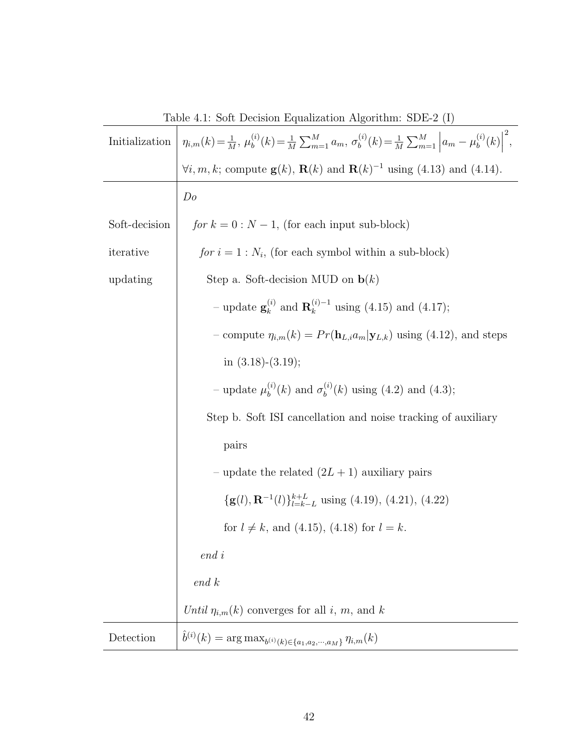| Table 4.1: Soft Decision Equalization Algorithm: SDE-2 (1) |                                                                                                                                                                       |
|------------------------------------------------------------|-----------------------------------------------------------------------------------------------------------------------------------------------------------------------|
| Initialization                                             | $\eta_{i,m}(k) = \frac{1}{M}, \mu_b^{(i)}(k) = \frac{1}{M} \sum_{m=1}^{M} a_m, \sigma_b^{(i)}(k) = \frac{1}{M} \sum_{m=1}^{M} \left  a_m - \mu_b^{(i)}(k) \right ^2,$ |
|                                                            | $\forall i, m, k$ ; compute $\mathbf{g}(k)$ , $\mathbf{R}(k)$ and $\mathbf{R}(k)^{-1}$ using (4.13) and (4.14).                                                       |
|                                                            | Do                                                                                                                                                                    |
| Soft-decision                                              | for $k = 0$ : $N - 1$ , (for each input sub-block)                                                                                                                    |
| iterative                                                  | for $i = 1 : N_i$ , (for each symbol within a sub-block)                                                                                                              |
| updating                                                   | Step a. Soft-decision MUD on $\mathbf{b}(k)$                                                                                                                          |
|                                                            | - update $\mathbf{g}_{k}^{(i)}$ and $\mathbf{R}_{k}^{(i)-1}$ using (4.15) and (4.17);                                                                                 |
|                                                            | - compute $\eta_{i,m}(k) = Pr(\mathbf{h}_{L,i}a_m \mathbf{y}_{L,k})$ using (4.12), and steps                                                                          |
|                                                            | in $(3.18)-(3.19)$ ;                                                                                                                                                  |
|                                                            | - update $\mu_b^{(i)}(k)$ and $\sigma_b^{(i)}(k)$ using (4.2) and (4.3);                                                                                              |
|                                                            | Step b. Soft ISI cancellation and noise tracking of auxiliary                                                                                                         |
|                                                            | pairs                                                                                                                                                                 |
|                                                            | – update the related $(2L + 1)$ auxiliary pairs                                                                                                                       |
|                                                            | $\{g(l), \mathbf{R}^{-1}(l)\}_{l=k-L}^{k+L}$ using (4.19), (4.21), (4.22)                                                                                             |
|                                                            | for $l \neq k$ , and (4.15), (4.18) for $l = k$ .                                                                                                                     |
|                                                            | $end\,i$                                                                                                                                                              |
|                                                            | end k                                                                                                                                                                 |
|                                                            | Until $\eta_{i,m}(k)$ converges for all i, m, and k                                                                                                                   |
| Detection                                                  | $\hat{b}^{(i)}(k) = \arg \max_{b^{(i)}(k) \in \{a_1, a_2, \cdots, a_M\}} \eta_{i,m}(k)$                                                                               |

Table 4.1: Soft Decision Equalization Algorithm: SDE-2 (I)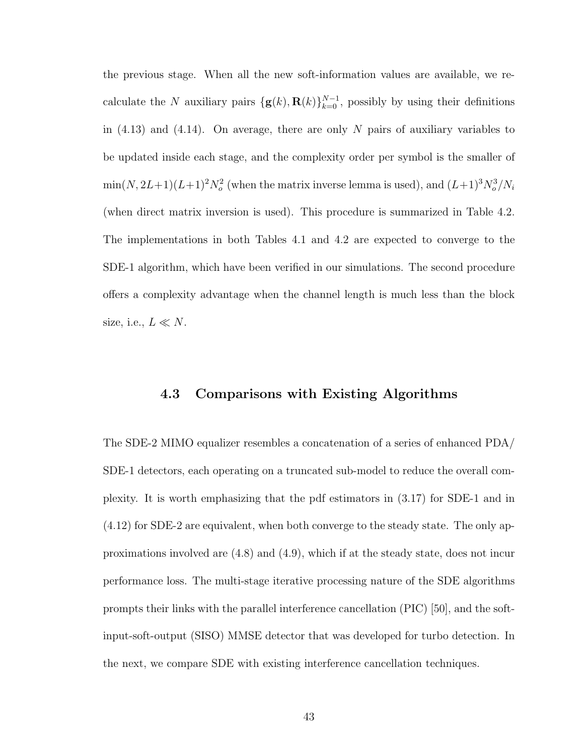the previous stage. When all the new soft-information values are available, we recalculate the N auxiliary pairs  $\{g(k), R(k)\}_{k=0}^{N-1}$ , possibly by using their definitions in  $(4.13)$  and  $(4.14)$ . On average, there are only N pairs of auxiliary variables to be updated inside each stage, and the complexity order per symbol is the smaller of  $\min(N, 2L+1)(L+1)^2 N_o^2$  (when the matrix inverse lemma is used), and  $(L+1)^3 N_o^3/N_i$ (when direct matrix inversion is used). This procedure is summarized in Table 4.2. The implementations in both Tables 4.1 and 4.2 are expected to converge to the SDE-1 algorithm, which have been verified in our simulations. The second procedure offers a complexity advantage when the channel length is much less than the block size, i.e.,  $L \ll N$ .

#### 4.3 Comparisons with Existing Algorithms

The SDE-2 MIMO equalizer resembles a concatenation of a series of enhanced PDA/ SDE-1 detectors, each operating on a truncated sub-model to reduce the overall complexity. It is worth emphasizing that the pdf estimators in (3.17) for SDE-1 and in (4.12) for SDE-2 are equivalent, when both converge to the steady state. The only approximations involved are (4.8) and (4.9), which if at the steady state, does not incur performance loss. The multi-stage iterative processing nature of the SDE algorithms prompts their links with the parallel interference cancellation (PIC) [50], and the softinput-soft-output (SISO) MMSE detector that was developed for turbo detection. In the next, we compare SDE with existing interference cancellation techniques.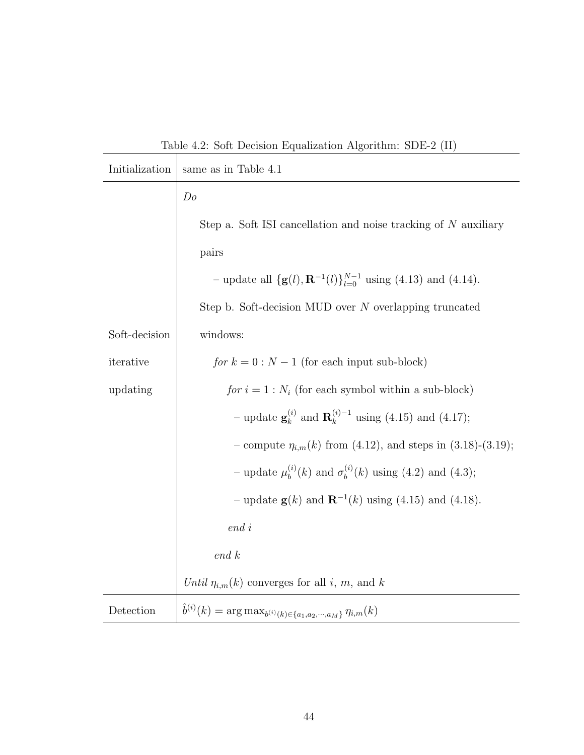Table 4.2: Soft Decision Equalization Algorithm: SDE-2 (II)

| Initialization | same as in Table 4.1                                                                    |
|----------------|-----------------------------------------------------------------------------------------|
|                | Do                                                                                      |
|                | Step a. Soft ISI cancellation and noise tracking of $N$ auxiliary                       |
|                | pairs                                                                                   |
|                | - update all $\{g(l), \mathbf{R}^{-1}(l)\}_{l=0}^{N-1}$ using (4.13) and (4.14).        |
|                | Step b. Soft-decision MUD over N overlapping truncated                                  |
| Soft-decision  | windows:                                                                                |
| iterative      | for $k = 0$ : $N - 1$ (for each input sub-block)                                        |
| updating       | for $i = 1 : N_i$ (for each symbol within a sub-block)                                  |
|                | - update $\mathbf{g}_{k}^{(i)}$ and $\mathbf{R}_{k}^{(i)-1}$ using (4.15) and (4.17);   |
|                | - compute $\eta_{i,m}(k)$ from (4.12), and steps in (3.18)-(3.19);                      |
|                | - update $\mu_b^{(i)}(k)$ and $\sigma_b^{(i)}(k)$ using (4.2) and (4.3);                |
|                | - update $g(k)$ and $R^{-1}(k)$ using (4.15) and (4.18).                                |
|                | $end\ i$                                                                                |
|                | end k                                                                                   |
|                | Until $\eta_{i,m}(k)$ converges for all i, m, and k                                     |
| Detection      | $\hat{b}^{(i)}(k) = \arg \max_{b^{(i)}(k) \in \{a_1, a_2, \cdots, a_M\}} \eta_{i,m}(k)$ |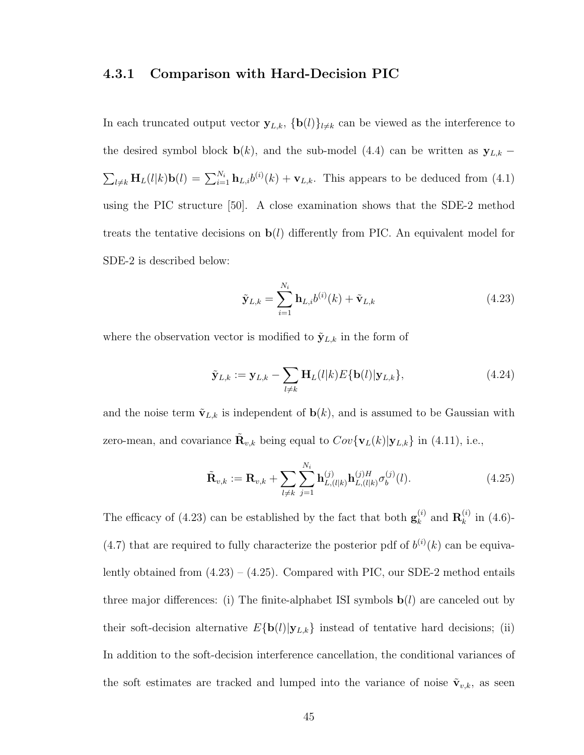#### 4.3.1 Comparison with Hard-Decision PIC

In each truncated output vector  $y_{L,k}$ ,  $\{b(l)\}_{l\neq k}$  can be viewed as the interference to the desired symbol block **b**(k), and the sub-model (4.4) can be written as  $\mathbf{y}_{L,k}$  −  $\sum_{l\neq k} \mathbf{H}_{L}(l|k)\mathbf{b}(l) = \sum_{i=1}^{N_i} \mathbf{h}_{L,i} b^{(i)}(k) + \mathbf{v}_{L,k}$ . This appears to be deduced from (4.1) using the PIC structure [50]. A close examination shows that the SDE-2 method treats the tentative decisions on  $\mathbf{b}(l)$  differently from PIC. An equivalent model for SDE-2 is described below:

$$
\tilde{\mathbf{y}}_{L,k} = \sum_{i=1}^{N_i} \mathbf{h}_{L,i} b^{(i)}(k) + \tilde{\mathbf{v}}_{L,k}
$$
\n(4.23)

where the observation vector is modified to  $\tilde{\mathbf{y}}_{L,k}$  in the form of

$$
\tilde{\mathbf{y}}_{L,k} := \mathbf{y}_{L,k} - \sum_{l \neq k} \mathbf{H}_L(l|k) E\{\mathbf{b}(l)|\mathbf{y}_{L,k}\},\tag{4.24}
$$

and the noise term  $\tilde{\mathbf{v}}_{L,k}$  is independent of  $\mathbf{b}(k)$ , and is assumed to be Gaussian with zero-mean, and covariance  $\tilde{\mathbf{R}}_{v,k}$  being equal to  $Cov{\mathbf{v}_L(k)|\mathbf{y}_{L,k}}$  in (4.11), i.e.,

$$
\tilde{\mathbf{R}}_{v,k} := \mathbf{R}_{v,k} + \sum_{l \neq k} \sum_{j=1}^{N_i} \mathbf{h}_{L,(l|k)}^{(j)} \mathbf{h}_{L,(l|k)}^{(j)H} \sigma_b^{(j)}(l). \tag{4.25}
$$

The efficacy of (4.23) can be established by the fact that both  $\mathbf{g}_{k}^{(i)}$  $_{k}^{\left( i\right) }$  and  $\mathbf{R}_{k}^{\left( i\right) }$  $\binom{n}{k}$  in (4.6)-(4.7) that are required to fully characterize the posterior pdf of  $b^{(i)}(k)$  can be equivalently obtained from  $(4.23) - (4.25)$ . Compared with PIC, our SDE-2 method entails three major differences: (i) The finite-alphabet ISI symbols  $\mathbf{b}(l)$  are canceled out by their soft-decision alternative  $E{\bf{b}}(l)|{\bf{y}}_{L,k}$  instead of tentative hard decisions; (ii) In addition to the soft-decision interference cancellation, the conditional variances of the soft estimates are tracked and lumped into the variance of noise  $\tilde{\mathbf{v}}_{v,k}$ , as seen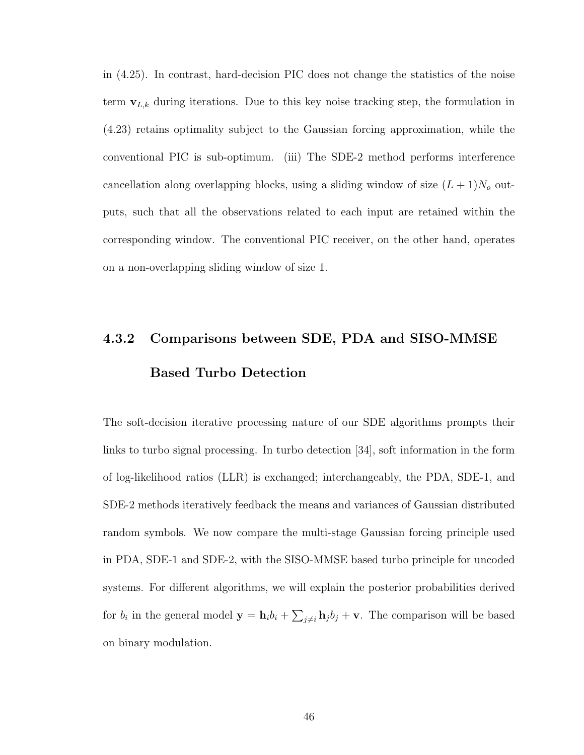in (4.25). In contrast, hard-decision PIC does not change the statistics of the noise term  $v_{L,k}$  during iterations. Due to this key noise tracking step, the formulation in (4.23) retains optimality subject to the Gaussian forcing approximation, while the conventional PIC is sub-optimum. (iii) The SDE-2 method performs interference cancellation along overlapping blocks, using a sliding window of size  $(L + 1)N_o$  outputs, such that all the observations related to each input are retained within the corresponding window. The conventional PIC receiver, on the other hand, operates on a non-overlapping sliding window of size 1.

# 4.3.2 Comparisons between SDE, PDA and SISO-MMSE Based Turbo Detection

The soft-decision iterative processing nature of our SDE algorithms prompts their links to turbo signal processing. In turbo detection [34], soft information in the form of log-likelihood ratios (LLR) is exchanged; interchangeably, the PDA, SDE-1, and SDE-2 methods iteratively feedback the means and variances of Gaussian distributed random symbols. We now compare the multi-stage Gaussian forcing principle used in PDA, SDE-1 and SDE-2, with the SISO-MMSE based turbo principle for uncoded systems. For different algorithms, we will explain the posterior probabilities derived for  $b_i$  in the general model  $y = h_i b_i +$  $\overline{ }$  $j\neq i$  **h**<sub>j</sub> $b_j$  + **v**. The comparison will be based on binary modulation.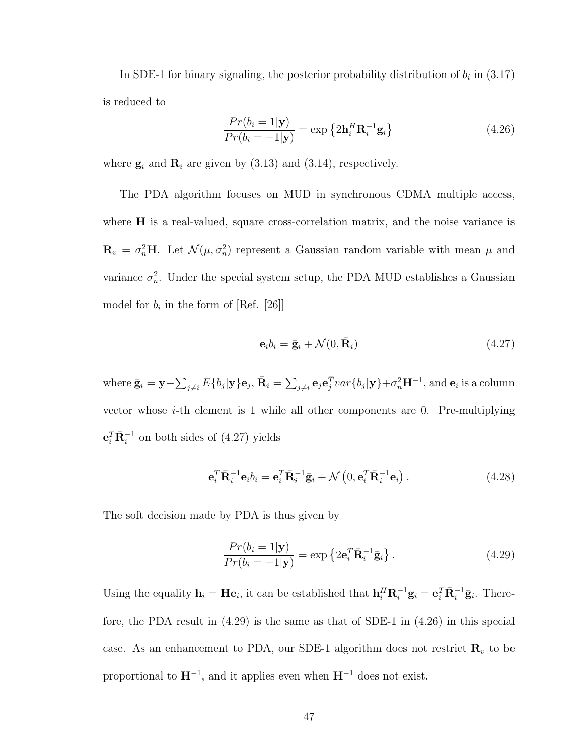In SDE-1 for binary signaling, the posterior probability distribution of  $b_i$  in (3.17) is reduced to

$$
\frac{Pr(b_i = 1|\mathbf{y})}{Pr(b_i = -1|\mathbf{y})} = \exp\left\{2\mathbf{h}_i^H \mathbf{R}_i^{-1} \mathbf{g}_i\right\}
$$
\n(4.26)

where  $\mathbf{g}_i$  and  $\mathbf{R}_i$  are given by (3.13) and (3.14), respectively.

The PDA algorithm focuses on MUD in synchronous CDMA multiple access, where **H** is a real-valued, square cross-correlation matrix, and the noise variance is  $\mathbf{R}_v = \sigma_n^2 \mathbf{H}$ . Let  $\mathcal{N}(\mu, \sigma_n^2)$  represent a Gaussian random variable with mean  $\mu$  and variance  $\sigma_n^2$ . Under the special system setup, the PDA MUD establishes a Gaussian model for  $b_i$  in the form of [Ref. [26]]

$$
\mathbf{e}_i b_i = \bar{\mathbf{g}}_i + \mathcal{N}(0, \bar{\mathbf{R}}_i) \tag{4.27}
$$

where  $\bar{\mathbf{g}}_i = \mathbf{y} \overline{ }$  $_{j\neq i}E\{b_j|\mathbf{y}\}\mathbf{e}_j,\bar{\mathbf{R}}_i=% \sum_{j\neq j}^{K}\sum_{j\neq j}^{K}\tilde{\mathbf{R}}_j,\bar{\mathbf{R}}_i=\sum_{j\neq j}^{K}E\{b_j|\mathbf{y}\}$  $\overline{ }$  $\sum_{j\neq i} \mathbf{e}_j \mathbf{e}_j^T var\{b_j | \mathbf{y}\} + \sigma_n^2 \mathbf{H}^{-1}, \text{and } \mathbf{e}_i \text{ is a column}$ vector whose  $i$ -th element is 1 while all other components are 0. Pre-multiplying  $\mathbf{e}_i^T \bar{\mathbf{R}}_i^{-1}$  on both sides of (4.27) yields

$$
\mathbf{e}_i^T \mathbf{\bar{R}}_i^{-1} \mathbf{e}_i b_i = \mathbf{e}_i^T \mathbf{\bar{R}}_i^{-1} \mathbf{\bar{g}}_i + \mathcal{N}\left(0, \mathbf{e}_i^T \mathbf{\bar{R}}_i^{-1} \mathbf{e}_i\right).
$$
 (4.28)

The soft decision made by PDA is thus given by

$$
\frac{Pr(b_i = 1|\mathbf{y})}{Pr(b_i = -1|\mathbf{y})} = \exp\left\{2\mathbf{e}_i^T \bar{\mathbf{R}}_i^{-1} \bar{\mathbf{g}}_i\right\}.
$$
\n(4.29)

Using the equality  $\mathbf{h}_i = \mathbf{H} \mathbf{e}_i$ , it can be established that  $\mathbf{h}_i^H \mathbf{R}_i^{-1} \mathbf{g}_i = \mathbf{e}_i^T \bar{\mathbf{R}}_i^{-1} \bar{\mathbf{g}}_i$ . Therefore, the PDA result in (4.29) is the same as that of SDE-1 in (4.26) in this special case. As an enhancement to PDA, our SDE-1 algorithm does not restrict  $\mathbf{R}_v$  to be proportional to  $H^{-1}$ , and it applies even when  $H^{-1}$  does not exist.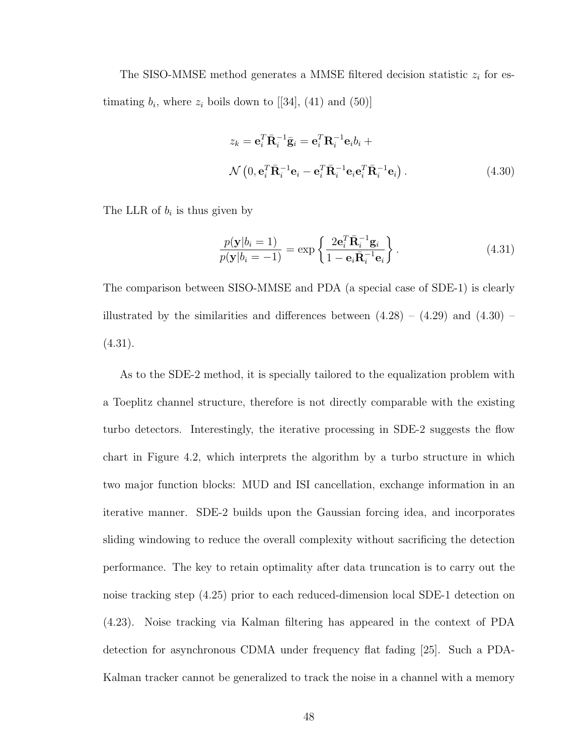The SISO-MMSE method generates a MMSE filtered decision statistic  $z_i$  for estimating  $b_i$ , where  $z_i$  boils down to [[34], (41) and (50)]

$$
z_k = \mathbf{e}_i^T \bar{\mathbf{R}}_i^{-1} \bar{\mathbf{g}}_i = \mathbf{e}_i^T \mathbf{R}_i^{-1} \mathbf{e}_i b_i +
$$
  

$$
\mathcal{N}\left(0, \mathbf{e}_i^T \bar{\mathbf{R}}_i^{-1} \mathbf{e}_i - \mathbf{e}_i^T \bar{\mathbf{R}}_i^{-1} \mathbf{e}_i \mathbf{e}_i^T \bar{\mathbf{R}}_i^{-1} \mathbf{e}_i\right).
$$
 (4.30)

The LLR of  $b_i$  is thus given by

$$
\frac{p(\mathbf{y}|b_i=1)}{p(\mathbf{y}|b_i=-1)} = \exp\left\{\frac{2\mathbf{e}_i^T \bar{\mathbf{R}}_i^{-1} \mathbf{g}_i}{1-\mathbf{e}_i \bar{\mathbf{R}}_i^{-1} \mathbf{e}_i}\right\}.
$$
\n(4.31)

The comparison between SISO-MMSE and PDA (a special case of SDE-1) is clearly illustrated by the similarities and differences between  $(4.28) - (4.29)$  and  $(4.30)$  $(4.31).$ 

As to the SDE-2 method, it is specially tailored to the equalization problem with a Toeplitz channel structure, therefore is not directly comparable with the existing turbo detectors. Interestingly, the iterative processing in SDE-2 suggests the flow chart in Figure 4.2, which interprets the algorithm by a turbo structure in which two major function blocks: MUD and ISI cancellation, exchange information in an iterative manner. SDE-2 builds upon the Gaussian forcing idea, and incorporates sliding windowing to reduce the overall complexity without sacrificing the detection performance. The key to retain optimality after data truncation is to carry out the noise tracking step (4.25) prior to each reduced-dimension local SDE-1 detection on (4.23). Noise tracking via Kalman filtering has appeared in the context of PDA detection for asynchronous CDMA under frequency flat fading [25]. Such a PDA-Kalman tracker cannot be generalized to track the noise in a channel with a memory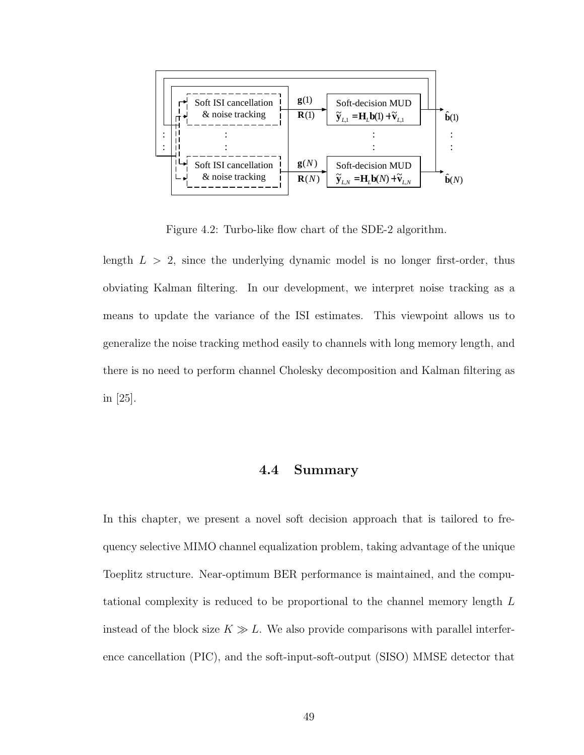

Figure 4.2: Turbo-like flow chart of the SDE-2 algorithm.

length  $L > 2$ , since the underlying dynamic model is no longer first-order, thus obviating Kalman filtering. In our development, we interpret noise tracking as a means to update the variance of the ISI estimates. This viewpoint allows us to generalize the noise tracking method easily to channels with long memory length, and there is no need to perform channel Cholesky decomposition and Kalman filtering as in [25].

## 4.4 Summary

In this chapter, we present a novel soft decision approach that is tailored to frequency selective MIMO channel equalization problem, taking advantage of the unique Toeplitz structure. Near-optimum BER performance is maintained, and the computational complexity is reduced to be proportional to the channel memory length L instead of the block size  $K \gg L$ . We also provide comparisons with parallel interference cancellation (PIC), and the soft-input-soft-output (SISO) MMSE detector that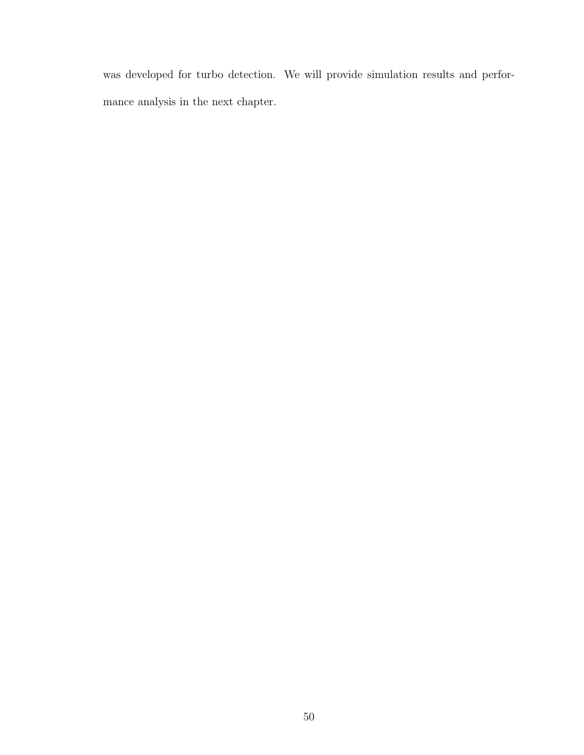was developed for turbo detection. We will provide simulation results and performance analysis in the next chapter.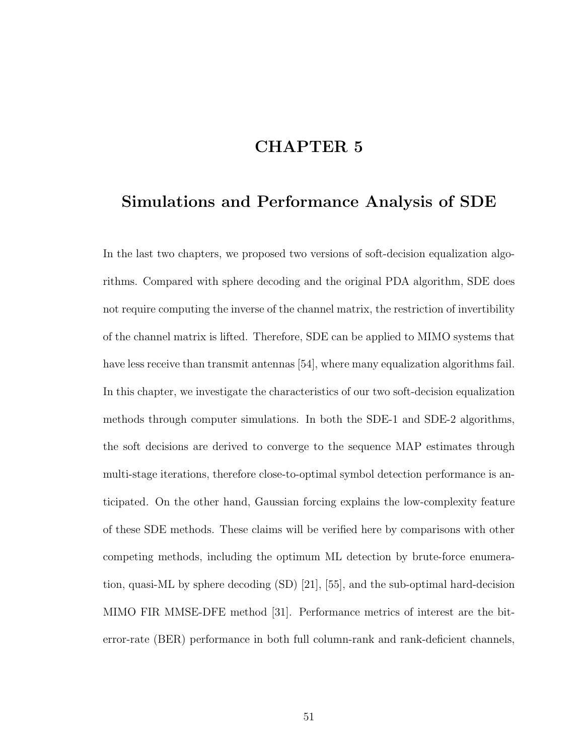# CHAPTER 5

## Simulations and Performance Analysis of SDE

In the last two chapters, we proposed two versions of soft-decision equalization algorithms. Compared with sphere decoding and the original PDA algorithm, SDE does not require computing the inverse of the channel matrix, the restriction of invertibility of the channel matrix is lifted. Therefore, SDE can be applied to MIMO systems that have less receive than transmit antennas [54], where many equalization algorithms fail. In this chapter, we investigate the characteristics of our two soft-decision equalization methods through computer simulations. In both the SDE-1 and SDE-2 algorithms, the soft decisions are derived to converge to the sequence MAP estimates through multi-stage iterations, therefore close-to-optimal symbol detection performance is anticipated. On the other hand, Gaussian forcing explains the low-complexity feature of these SDE methods. These claims will be verified here by comparisons with other competing methods, including the optimum ML detection by brute-force enumeration, quasi-ML by sphere decoding (SD) [21], [55], and the sub-optimal hard-decision MIMO FIR MMSE-DFE method [31]. Performance metrics of interest are the biterror-rate (BER) performance in both full column-rank and rank-deficient channels,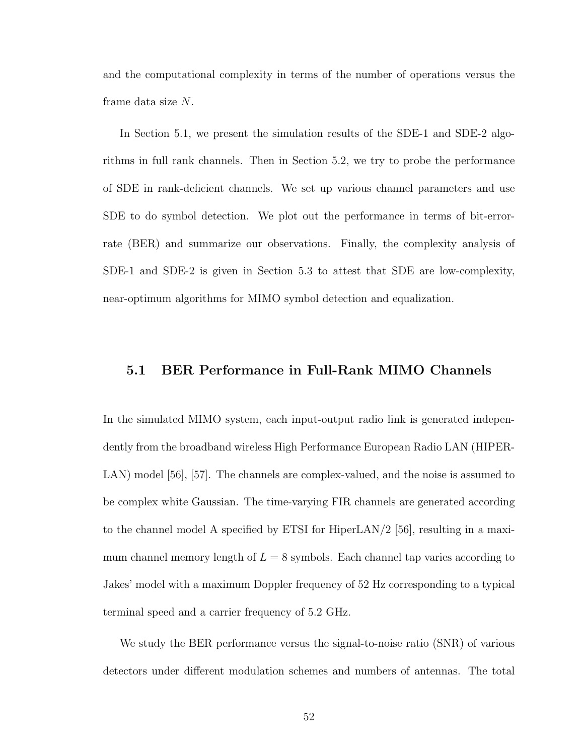and the computational complexity in terms of the number of operations versus the frame data size N.

In Section 5.1, we present the simulation results of the SDE-1 and SDE-2 algorithms in full rank channels. Then in Section 5.2, we try to probe the performance of SDE in rank-deficient channels. We set up various channel parameters and use SDE to do symbol detection. We plot out the performance in terms of bit-errorrate (BER) and summarize our observations. Finally, the complexity analysis of SDE-1 and SDE-2 is given in Section 5.3 to attest that SDE are low-complexity, near-optimum algorithms for MIMO symbol detection and equalization.

#### 5.1 BER Performance in Full-Rank MIMO Channels

In the simulated MIMO system, each input-output radio link is generated independently from the broadband wireless High Performance European Radio LAN (HIPER-LAN) model [56], [57]. The channels are complex-valued, and the noise is assumed to be complex white Gaussian. The time-varying FIR channels are generated according to the channel model A specified by ETSI for HiperLAN/2 [56], resulting in a maximum channel memory length of  $L = 8$  symbols. Each channel tap varies according to Jakes' model with a maximum Doppler frequency of 52 Hz corresponding to a typical terminal speed and a carrier frequency of 5.2 GHz.

We study the BER performance versus the signal-to-noise ratio (SNR) of various detectors under different modulation schemes and numbers of antennas. The total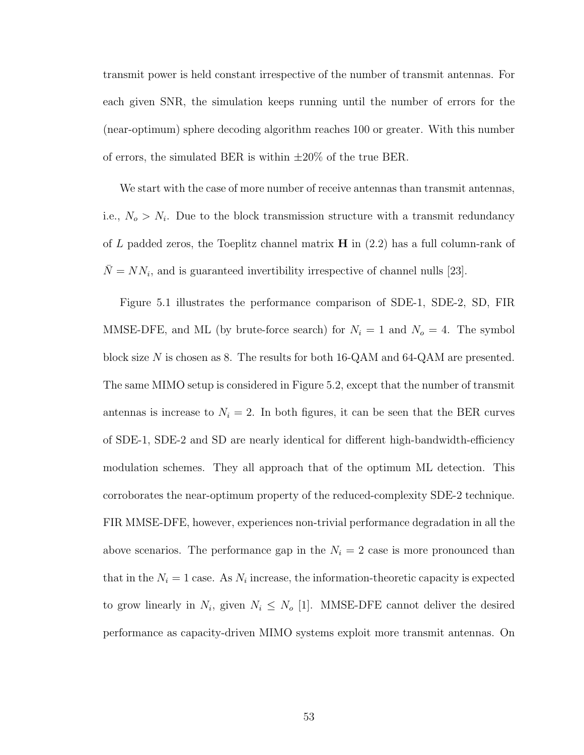transmit power is held constant irrespective of the number of transmit antennas. For each given SNR, the simulation keeps running until the number of errors for the (near-optimum) sphere decoding algorithm reaches 100 or greater. With this number of errors, the simulated BER is within  $\pm 20\%$  of the true BER.

We start with the case of more number of receive antennas than transmit antennas, i.e.,  $N_o > N_i$ . Due to the block transmission structure with a transmit redundancy of L padded zeros, the Toeplitz channel matrix  $\bf{H}$  in (2.2) has a full column-rank of  $\overline{N} = NN_i$ , and is guaranteed invertibility irrespective of channel nulls [23].

Figure 5.1 illustrates the performance comparison of SDE-1, SDE-2, SD, FIR MMSE-DFE, and ML (by brute-force search) for  $N_i = 1$  and  $N_o = 4$ . The symbol block size N is chosen as 8. The results for both 16-QAM and 64-QAM are presented. The same MIMO setup is considered in Figure 5.2, except that the number of transmit antennas is increase to  $N_i = 2$ . In both figures, it can be seen that the BER curves of SDE-1, SDE-2 and SD are nearly identical for different high-bandwidth-efficiency modulation schemes. They all approach that of the optimum ML detection. This corroborates the near-optimum property of the reduced-complexity SDE-2 technique. FIR MMSE-DFE, however, experiences non-trivial performance degradation in all the above scenarios. The performance gap in the  $N_i = 2$  case is more pronounced than that in the  $N_i = 1$  case. As  $N_i$  increase, the information-theoretic capacity is expected to grow linearly in  $N_i$ , given  $N_i \leq N_o$  [1]. MMSE-DFE cannot deliver the desired performance as capacity-driven MIMO systems exploit more transmit antennas. On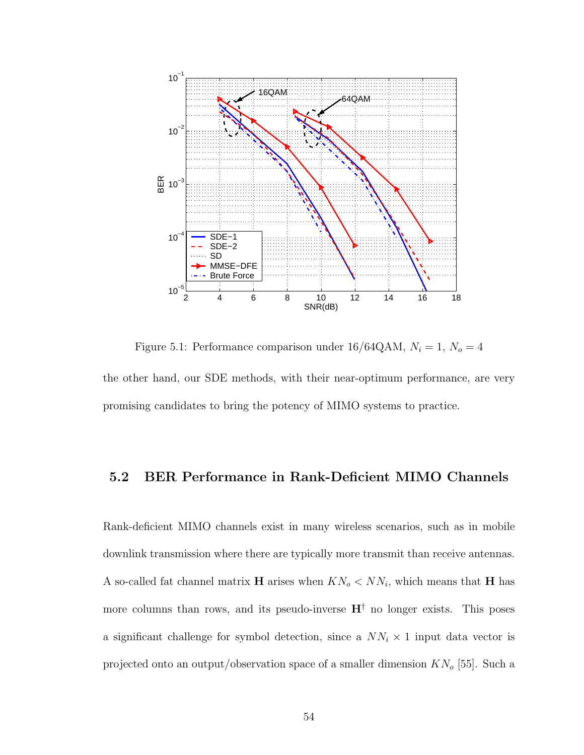

Figure 5.1: Performance comparison under 16/64QAM,  $N_i = 1$ ,  $N_o = 4$ the other hand, our SDE methods, with their near-optimum performance, are very promising candidates to bring the potency of MIMO systems to practice.

#### 5.2 BER Performance in Rank-Deficient MIMO Channels

Rank-deficient MIMO channels exist in many wireless scenarios, such as in mobile downlink transmission where there are typically more transmit than receive antennas. A so-called fat channel matrix **H** arises when  $KN_o < NN_i$ , which means that **H** has more columns than rows, and its pseudo-inverse  $H^{\dagger}$  no longer exists. This poses a significant challenge for symbol detection, since a  $NN_i \times 1$  input data vector is projected onto an output/observation space of a smaller dimension  $KN_o$  [55]. Such a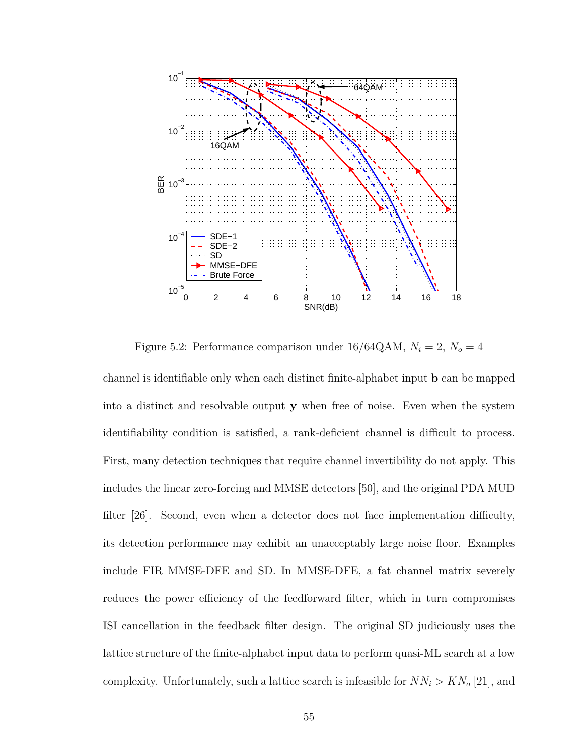

Figure 5.2: Performance comparison under 16/64QAM,  $N_i = 2$ ,  $N_o = 4$ 

channel is identifiable only when each distinct finite-alphabet input b can be mapped into a distinct and resolvable output y when free of noise. Even when the system identifiability condition is satisfied, a rank-deficient channel is difficult to process. First, many detection techniques that require channel invertibility do not apply. This includes the linear zero-forcing and MMSE detectors [50], and the original PDA MUD filter [26]. Second, even when a detector does not face implementation difficulty, its detection performance may exhibit an unacceptably large noise floor. Examples include FIR MMSE-DFE and SD. In MMSE-DFE, a fat channel matrix severely reduces the power efficiency of the feedforward filter, which in turn compromises ISI cancellation in the feedback filter design. The original SD judiciously uses the lattice structure of the finite-alphabet input data to perform quasi-ML search at a low complexity. Unfortunately, such a lattice search is infeasible for  $NN_i > KN_o$  [21], and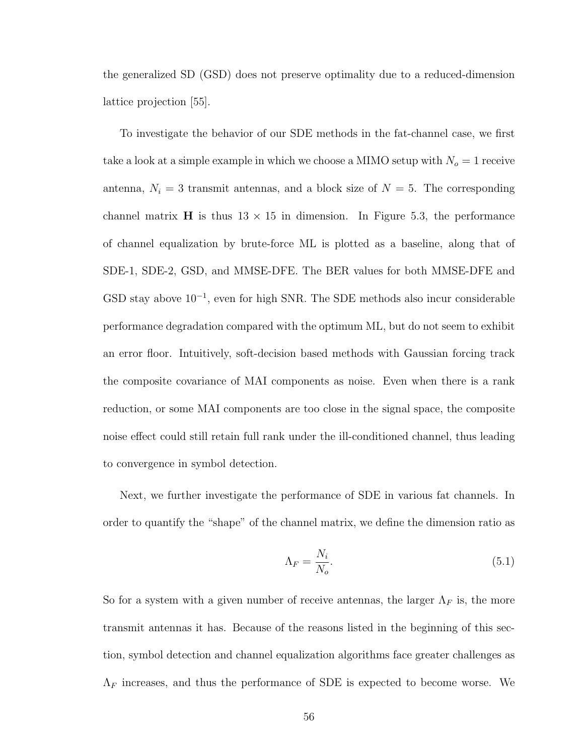the generalized SD (GSD) does not preserve optimality due to a reduced-dimension lattice projection [55].

To investigate the behavior of our SDE methods in the fat-channel case, we first take a look at a simple example in which we choose a MIMO setup with  $N_o = 1$  receive antenna,  $N_i = 3$  transmit antennas, and a block size of  $N = 5$ . The corresponding channel matrix **H** is thus  $13 \times 15$  in dimension. In Figure 5.3, the performance of channel equalization by brute-force ML is plotted as a baseline, along that of SDE-1, SDE-2, GSD, and MMSE-DFE. The BER values for both MMSE-DFE and  $GSD$  stay above  $10^{-1}$ , even for high SNR. The SDE methods also incur considerable performance degradation compared with the optimum ML, but do not seem to exhibit an error floor. Intuitively, soft-decision based methods with Gaussian forcing track the composite covariance of MAI components as noise. Even when there is a rank reduction, or some MAI components are too close in the signal space, the composite noise effect could still retain full rank under the ill-conditioned channel, thus leading to convergence in symbol detection.

Next, we further investigate the performance of SDE in various fat channels. In order to quantify the "shape" of the channel matrix, we define the dimension ratio as

$$
\Lambda_F = \frac{N_i}{N_o}.\tag{5.1}
$$

So for a system with a given number of receive antennas, the larger  $\Lambda_F$  is, the more transmit antennas it has. Because of the reasons listed in the beginning of this section, symbol detection and channel equalization algorithms face greater challenges as  $\Lambda_F$  increases, and thus the performance of SDE is expected to become worse. We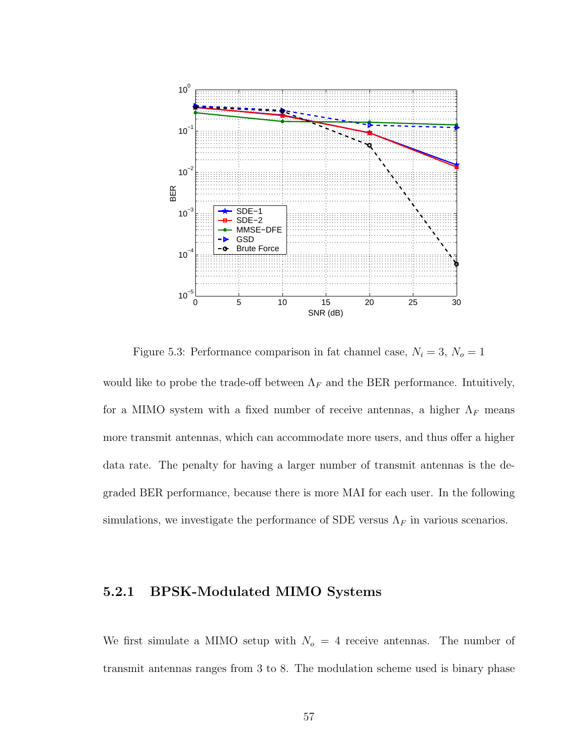

Figure 5.3: Performance comparison in fat channel case,  $N_i = 3$ ,  $N_o = 1$ 

would like to probe the trade-off between  $\Lambda_F$  and the BER performance. Intuitively, for a MIMO system with a fixed number of receive antennas, a higher  $\Lambda_F$  means more transmit antennas, which can accommodate more users, and thus offer a higher data rate. The penalty for having a larger number of transmit antennas is the degraded BER performance, because there is more MAI for each user. In the following simulations, we investigate the performance of SDE versus  $\Lambda_F$  in various scenarios.

#### 5.2.1 BPSK-Modulated MIMO Systems

We first simulate a MIMO setup with  $N_o = 4$  receive antennas. The number of transmit antennas ranges from 3 to 8. The modulation scheme used is binary phase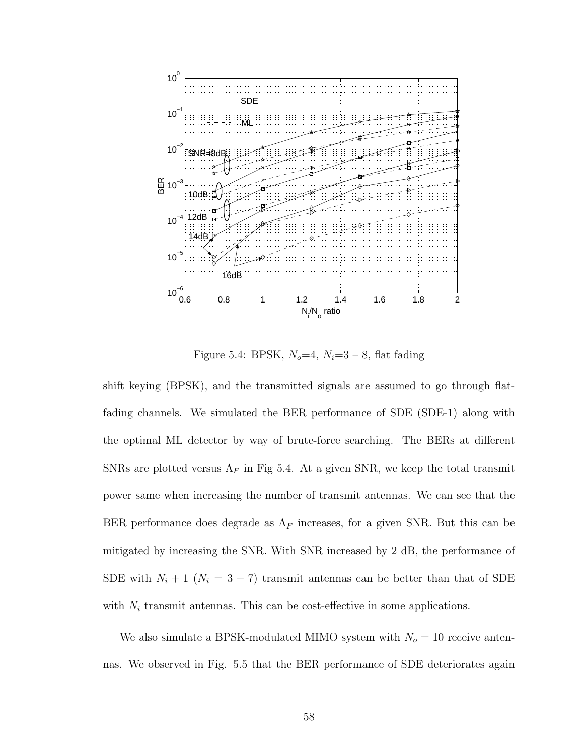

Figure 5.4: BPSK,  $N_o=4$ ,  $N_i=3-8$ , flat fading

shift keying (BPSK), and the transmitted signals are assumed to go through flatfading channels. We simulated the BER performance of SDE (SDE-1) along with the optimal ML detector by way of brute-force searching. The BERs at different SNRs are plotted versus  $\Lambda_F$  in Fig 5.4. At a given SNR, we keep the total transmit power same when increasing the number of transmit antennas. We can see that the BER performance does degrade as  $\Lambda_F$  increases, for a given SNR. But this can be mitigated by increasing the SNR. With SNR increased by 2 dB, the performance of SDE with  $N_i + 1$  ( $N_i = 3 - 7$ ) transmit antennas can be better than that of SDE with  $N_i$  transmit antennas. This can be cost-effective in some applications.

We also simulate a BPSK-modulated MIMO system with  $N_o = 10$  receive antennas. We observed in Fig. 5.5 that the BER performance of SDE deteriorates again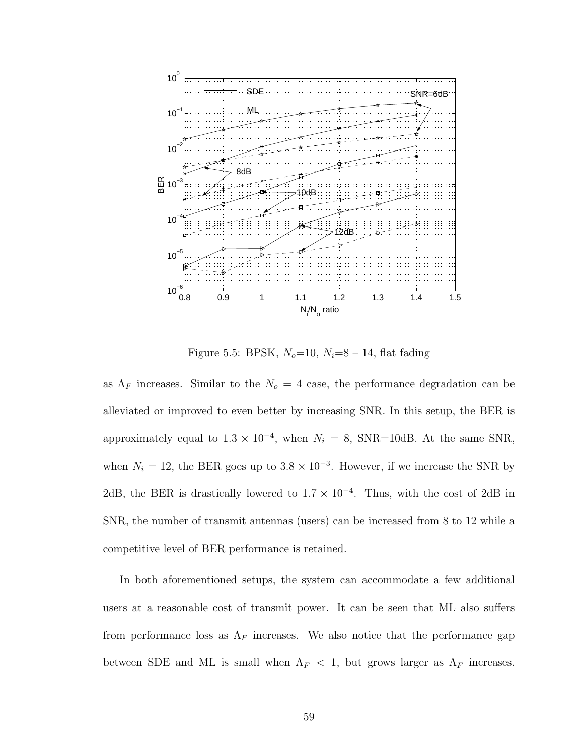

Figure 5.5: BPSK,  $N_o=10$ ,  $N_i=8-14$ , flat fading

as  $\Lambda_F$  increases. Similar to the  $N_o = 4$  case, the performance degradation can be alleviated or improved to even better by increasing SNR. In this setup, the BER is approximately equal to  $1.3 \times 10^{-4}$ , when  $N_i = 8$ , SNR=10dB. At the same SNR, when  $N_i = 12$ , the BER goes up to  $3.8 \times 10^{-3}$ . However, if we increase the SNR by 2dB, the BER is drastically lowered to  $1.7 \times 10^{-4}$ . Thus, with the cost of 2dB in SNR, the number of transmit antennas (users) can be increased from 8 to 12 while a competitive level of BER performance is retained.

In both aforementioned setups, the system can accommodate a few additional users at a reasonable cost of transmit power. It can be seen that ML also suffers from performance loss as  $\Lambda_F$  increases. We also notice that the performance gap between SDE and ML is small when  $\Lambda_F$  < 1, but grows larger as  $\Lambda_F$  increases.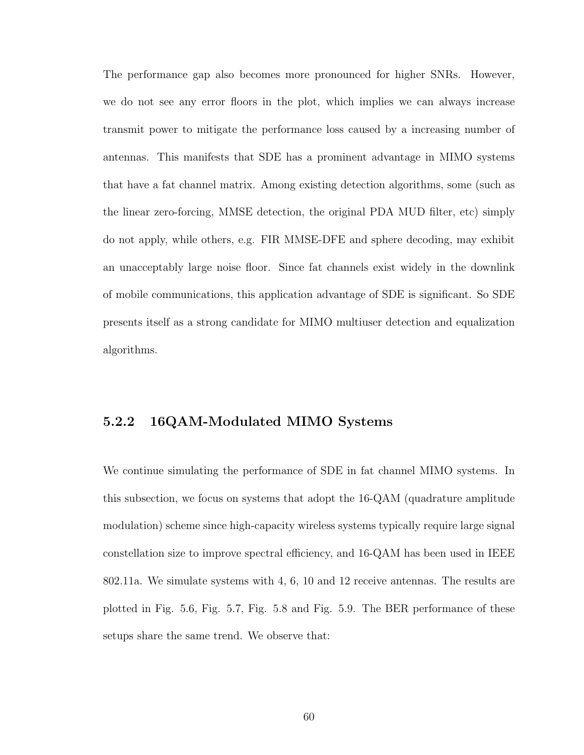The performance gap also becomes more pronounced for higher SNRs. However, we do not see any error floors in the plot, which implies we can always increase transmit power to mitigate the performance loss caused by a increasing number of antennas. This manifests that SDE has a prominent advantage in MIMO systems that have a fat channel matrix. Among existing detection algorithms, some (such as the linear zero-forcing, MMSE detection, the original PDA MUD filter, etc) simply do not apply, while others, e.g. FIR MMSE-DFE and sphere decoding, may exhibit an unacceptably large noise floor. Since fat channels exist widely in the downlink of mobile communications, this application advantage of SDE is significant. So SDE presents itself as a strong candidate for MIMO multiuser detection and equalization algorithms.

## 5.2.2 16QAM-Modulated MIMO Systems

We continue simulating the performance of SDE in fat channel MIMO systems. In this subsection, we focus on systems that adopt the 16-QAM (quadrature amplitude modulation) scheme since high-capacity wireless systems typically require large signal constellation size to improve spectral efficiency, and 16-QAM has been used in IEEE 802.11a. We simulate systems with 4, 6, 10 and 12 receive antennas. The results are plotted in Fig. 5.6, Fig. 5.7, Fig. 5.8 and Fig. 5.9. The BER performance of these setups share the same trend. We observe that: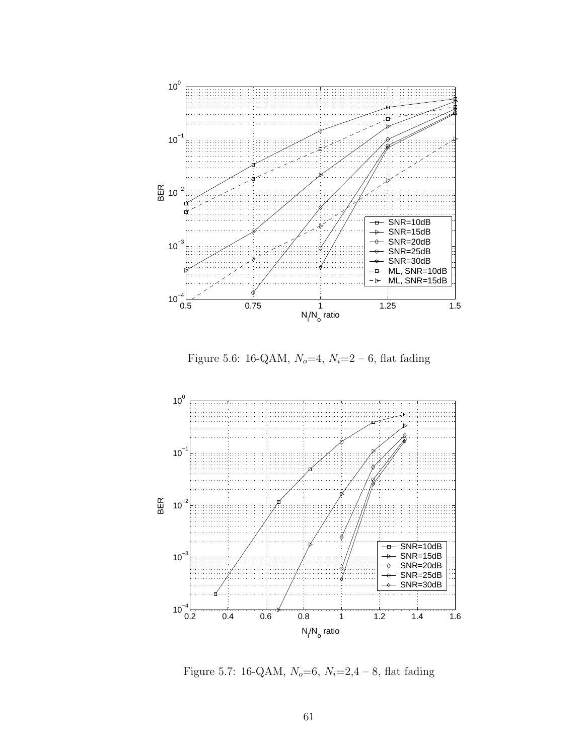

Figure 5.6: 16-QAM,  $N_o=4$ ,  $N_i=2-6$ , flat fading



Figure 5.7: 16-QAM,  $N_o=6$ ,  $N_i=2,4-8$ , flat fading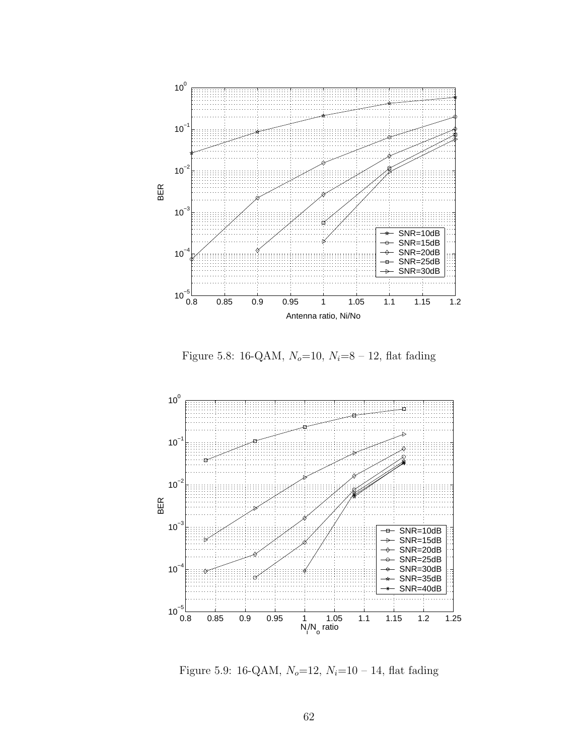

Figure 5.8: 16-QAM,  $N_o=10$ ,  $N_i=8-12$ , flat fading



Figure 5.9: 16-QAM,  $N_o=12$ ,  $N_i=10-14$ , flat fading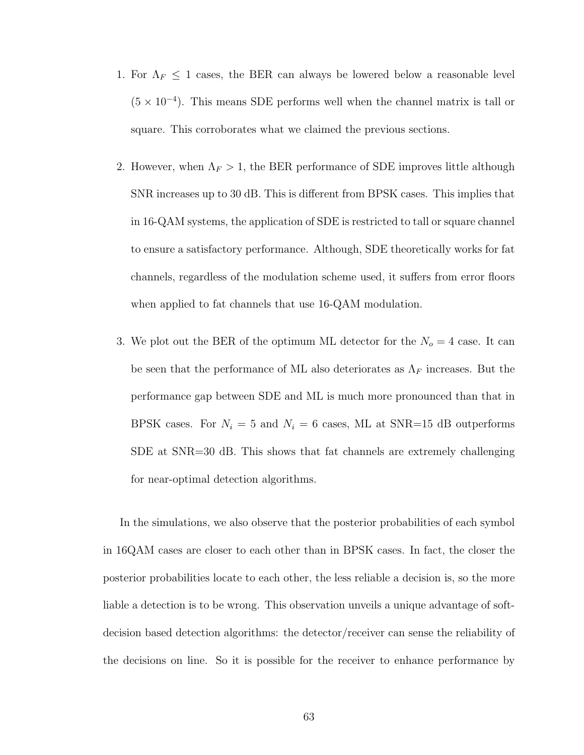- 1. For  $\Lambda_F \leq 1$  cases, the BER can always be lowered below a reasonable level  $(5 \times 10^{-4})$ . This means SDE performs well when the channel matrix is tall or square. This corroborates what we claimed the previous sections.
- 2. However, when  $\Lambda_F > 1$ , the BER performance of SDE improves little although SNR increases up to 30 dB. This is different from BPSK cases. This implies that in 16-QAM systems, the application of SDE is restricted to tall or square channel to ensure a satisfactory performance. Although, SDE theoretically works for fat channels, regardless of the modulation scheme used, it suffers from error floors when applied to fat channels that use 16-QAM modulation.
- 3. We plot out the BER of the optimum ML detector for the  $N<sub>o</sub> = 4$  case. It can be seen that the performance of ML also deteriorates as  $\Lambda_F$  increases. But the performance gap between SDE and ML is much more pronounced than that in BPSK cases. For  $N_i = 5$  and  $N_i = 6$  cases, ML at SNR=15 dB outperforms SDE at SNR=30 dB. This shows that fat channels are extremely challenging for near-optimal detection algorithms.

In the simulations, we also observe that the posterior probabilities of each symbol in 16QAM cases are closer to each other than in BPSK cases. In fact, the closer the posterior probabilities locate to each other, the less reliable a decision is, so the more liable a detection is to be wrong. This observation unveils a unique advantage of softdecision based detection algorithms: the detector/receiver can sense the reliability of the decisions on line. So it is possible for the receiver to enhance performance by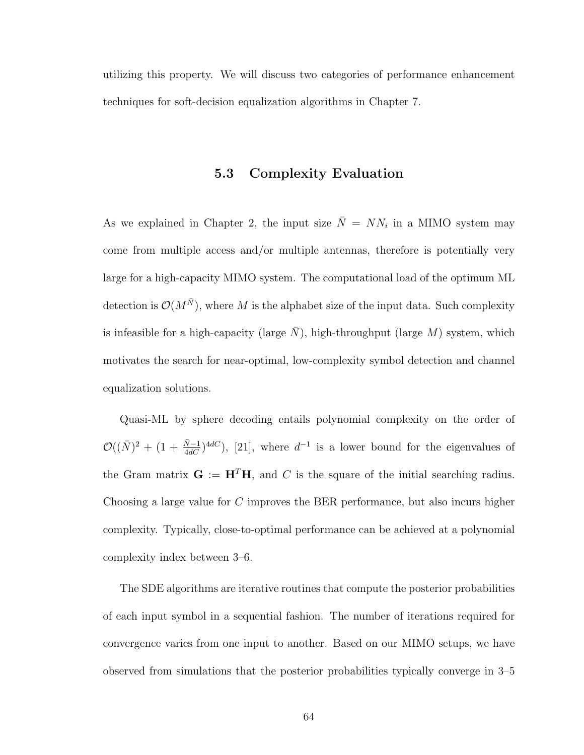utilizing this property. We will discuss two categories of performance enhancement techniques for soft-decision equalization algorithms in Chapter 7.

## 5.3 Complexity Evaluation

As we explained in Chapter 2, the input size  $\overline{N} = NN_i$  in a MIMO system may come from multiple access and/or multiple antennas, therefore is potentially very large for a high-capacity MIMO system. The computational load of the optimum ML detection is  $\mathcal{O}(M^{\bar{N}})$ , where M is the alphabet size of the input data. Such complexity is infeasible for a high-capacity (large  $\overline{N}$ ), high-throughput (large  $M$ ) system, which motivates the search for near-optimal, low-complexity symbol detection and channel equalization solutions.

Quasi-ML by sphere decoding entails polynomial complexity on the order of  $\mathcal{O}((\bar{N})^2 + (1 + \frac{\bar{N}-1}{4dC})^{4dC}),$  [21], where  $d^{-1}$  is a lower bound for the eigenvalues of the Gram matrix  $G := H<sup>T</sup>H$ , and C is the square of the initial searching radius. Choosing a large value for C improves the BER performance, but also incurs higher complexity. Typically, close-to-optimal performance can be achieved at a polynomial complexity index between 3–6.

The SDE algorithms are iterative routines that compute the posterior probabilities of each input symbol in a sequential fashion. The number of iterations required for convergence varies from one input to another. Based on our MIMO setups, we have observed from simulations that the posterior probabilities typically converge in 3–5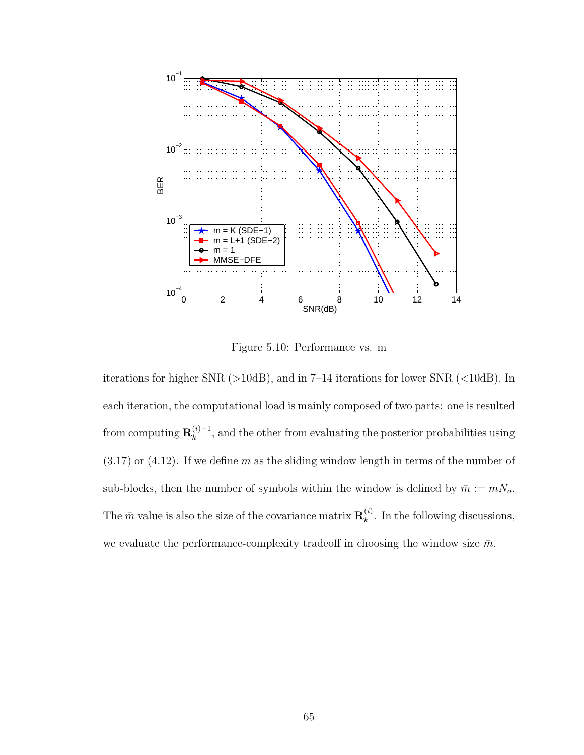

Figure 5.10: Performance vs. m

iterations for higher SNR (>10dB), and in 7–14 iterations for lower SNR (<10dB). In each iteration, the computational load is mainly composed of two parts: one is resulted from computing  $\mathbf{R}_k^{(i)-1}$  $\binom{n}{k}$ , and the other from evaluating the posterior probabilities using  $(3.17)$  or  $(4.12)$ . If we define m as the sliding window length in terms of the number of sub-blocks, then the number of symbols within the window is defined by  $\bar{m}:=mN_o.$ The  $\bar{m}$  value is also the size of the covariance matrix  $\mathbf{R}_{k}^{(i)}$  $\binom{n}{k}$ . In the following discussions, we evaluate the performance-complexity tradeoff in choosing the window size  $\bar{m}$ .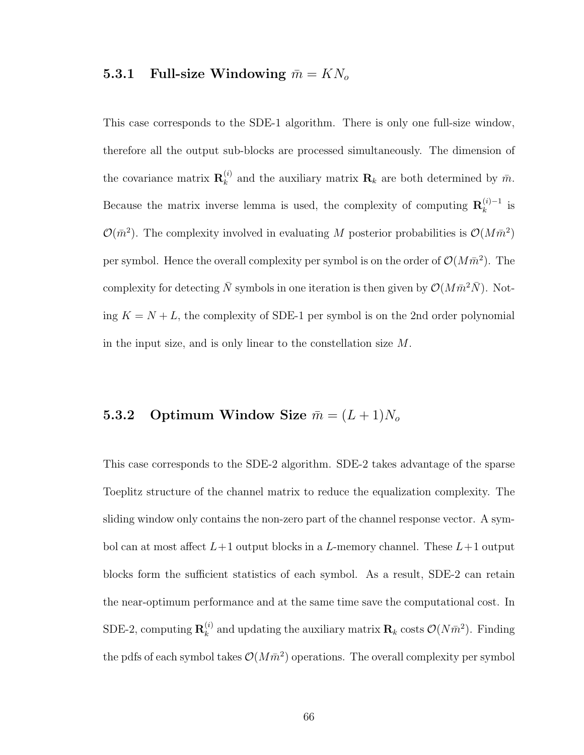## 5.3.1 Full-size Windowing  $\bar{m} = KN_o$

This case corresponds to the SDE-1 algorithm. There is only one full-size window, therefore all the output sub-blocks are processed simultaneously. The dimension of the covariance matrix  $\mathbf{R}_k^{(i)}$  $\mathbf{R}_k^{(i)}$  and the auxiliary matrix  $\mathbf{R}_k$  are both determined by  $\bar{m}$ . Because the matrix inverse lemma is used, the complexity of computing  $\mathbf{R}_k^{(i)-1}$  $\frac{1}{k}$  is  $\mathcal{O}(\bar{m}^2)$ . The complexity involved in evaluating M posterior probabilities is  $\mathcal{O}(M\bar{m}^2)$ per symbol. Hence the overall complexity per symbol is on the order of  $\mathcal{O}(M\bar{m}^2)$ . The complexity for detecting  $\bar{N}$  symbols in one iteration is then given by  $\mathcal{O}(M\bar{m}^2\bar{N})$ . Noting  $K = N + L$ , the complexity of SDE-1 per symbol is on the 2nd order polynomial in the input size, and is only linear to the constellation size M.

# 5.3.2 Optimum Window Size  $\bar{m} = (L+1)N_o$

This case corresponds to the SDE-2 algorithm. SDE-2 takes advantage of the sparse Toeplitz structure of the channel matrix to reduce the equalization complexity. The sliding window only contains the non-zero part of the channel response vector. A symbol can at most affect  $L+1$  output blocks in a L-memory channel. These  $L+1$  output blocks form the sufficient statistics of each symbol. As a result, SDE-2 can retain the near-optimum performance and at the same time save the computational cost. In SDE-2, computing  $\mathbf{R}_k^{(i)}$  $\mathbf{R}_k^{(i)}$  and updating the auxiliary matrix  $\mathbf{R}_k$  costs  $\mathcal{O}(N\bar{m}^2)$ . Finding the pdfs of each symbol takes  $\mathcal{O}(M\bar{m}^2)$  operations. The overall complexity per symbol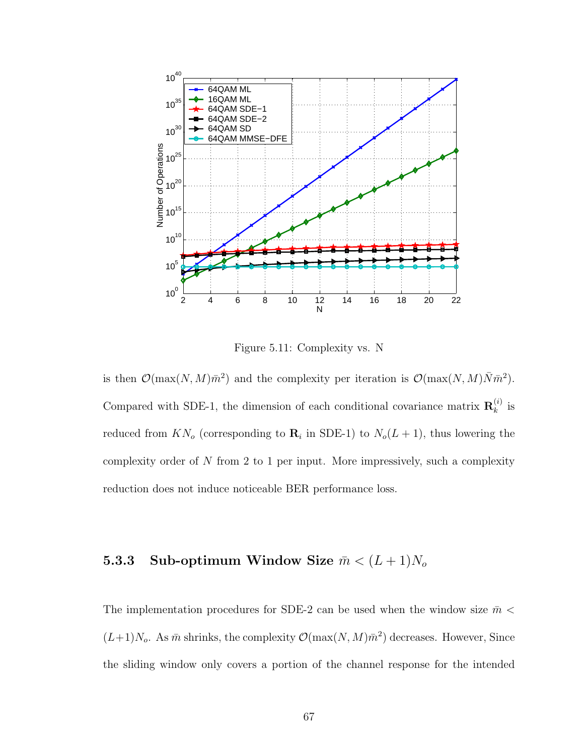

Figure 5.11: Complexity vs. N

is then  $\mathcal{O}(\max(N, M)\bar{m}^2)$  and the complexity per iteration is  $\mathcal{O}(\max(N, M)\bar{N}\bar{m}^2)$ . Compared with SDE-1, the dimension of each conditional covariance matrix  $\mathbf{R}_{k}^{(i)}$  $\stackrel{(i)}{k}$  is reduced from  $KN_o$  (corresponding to  $\mathbf{R}_i$  in SDE-1) to  $N_o(L+1)$ , thus lowering the complexity order of N from 2 to 1 per input. More impressively, such a complexity reduction does not induce noticeable BER performance loss.

# 5.3.3 Sub-optimum Window Size  $\bar{m} < (L+1)N_o$

The implementation procedures for SDE-2 can be used when the window size  $\bar{m}$  <  $(L+1)N_o$ . As  $\bar{m}$  shrinks, the complexity  $\mathcal{O}(\max(N, M)\bar{m}^2)$  decreases. However, Since the sliding window only covers a portion of the channel response for the intended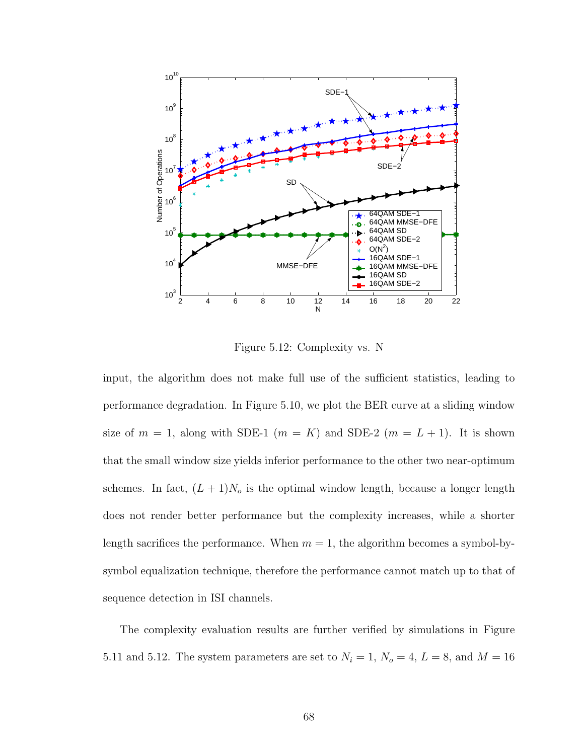

Figure 5.12: Complexity vs. N

input, the algorithm does not make full use of the sufficient statistics, leading to performance degradation. In Figure 5.10, we plot the BER curve at a sliding window size of  $m = 1$ , along with SDE-1  $(m = K)$  and SDE-2  $(m = L + 1)$ . It is shown that the small window size yields inferior performance to the other two near-optimum schemes. In fact,  $(L + 1)N_o$  is the optimal window length, because a longer length does not render better performance but the complexity increases, while a shorter length sacrifices the performance. When  $m = 1$ , the algorithm becomes a symbol-bysymbol equalization technique, therefore the performance cannot match up to that of sequence detection in ISI channels.

The complexity evaluation results are further verified by simulations in Figure 5.11 and 5.12. The system parameters are set to  $N_i = 1$ ,  $N_o = 4$ ,  $L = 8$ , and  $M = 16$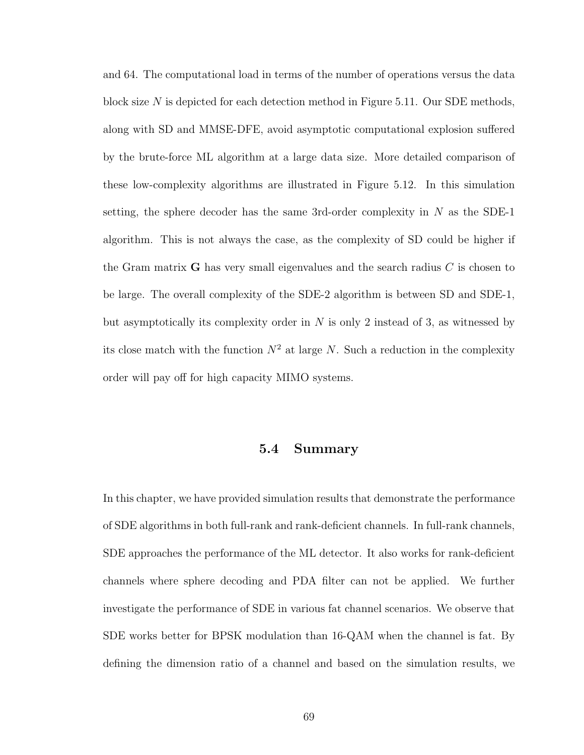and 64. The computational load in terms of the number of operations versus the data block size N is depicted for each detection method in Figure 5.11. Our SDE methods, along with SD and MMSE-DFE, avoid asymptotic computational explosion suffered by the brute-force ML algorithm at a large data size. More detailed comparison of these low-complexity algorithms are illustrated in Figure 5.12. In this simulation setting, the sphere decoder has the same 3rd-order complexity in  $N$  as the SDE-1 algorithm. This is not always the case, as the complexity of SD could be higher if the Gram matrix  $\bf{G}$  has very small eigenvalues and the search radius  $C$  is chosen to be large. The overall complexity of the SDE-2 algorithm is between SD and SDE-1, but asymptotically its complexity order in  $N$  is only 2 instead of 3, as witnessed by its close match with the function  $N^2$  at large N. Such a reduction in the complexity order will pay off for high capacity MIMO systems.

### 5.4 Summary

In this chapter, we have provided simulation results that demonstrate the performance of SDE algorithms in both full-rank and rank-deficient channels. In full-rank channels, SDE approaches the performance of the ML detector. It also works for rank-deficient channels where sphere decoding and PDA filter can not be applied. We further investigate the performance of SDE in various fat channel scenarios. We observe that SDE works better for BPSK modulation than 16-QAM when the channel is fat. By defining the dimension ratio of a channel and based on the simulation results, we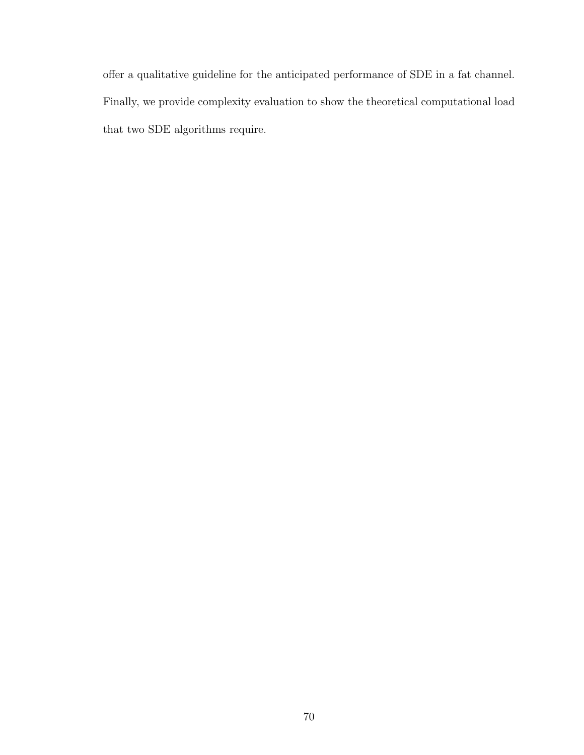offer a qualitative guideline for the anticipated performance of SDE in a fat channel. Finally, we provide complexity evaluation to show the theoretical computational load that two SDE algorithms require.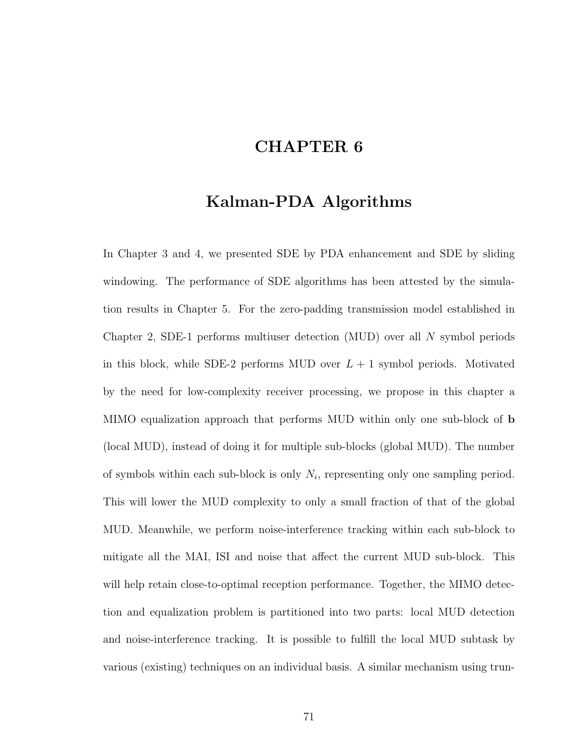# CHAPTER 6

# Kalman-PDA Algorithms

In Chapter 3 and 4, we presented SDE by PDA enhancement and SDE by sliding windowing. The performance of SDE algorithms has been attested by the simulation results in Chapter 5. For the zero-padding transmission model established in Chapter 2, SDE-1 performs multiuser detection (MUD) over all N symbol periods in this block, while SDE-2 performs MUD over  $L + 1$  symbol periods. Motivated by the need for low-complexity receiver processing, we propose in this chapter a MIMO equalization approach that performs MUD within only one sub-block of b (local MUD), instead of doing it for multiple sub-blocks (global MUD). The number of symbols within each sub-block is only  $N_i$ , representing only one sampling period. This will lower the MUD complexity to only a small fraction of that of the global MUD. Meanwhile, we perform noise-interference tracking within each sub-block to mitigate all the MAI, ISI and noise that affect the current MUD sub-block. This will help retain close-to-optimal reception performance. Together, the MIMO detection and equalization problem is partitioned into two parts: local MUD detection and noise-interference tracking. It is possible to fulfill the local MUD subtask by various (existing) techniques on an individual basis. A similar mechanism using trun-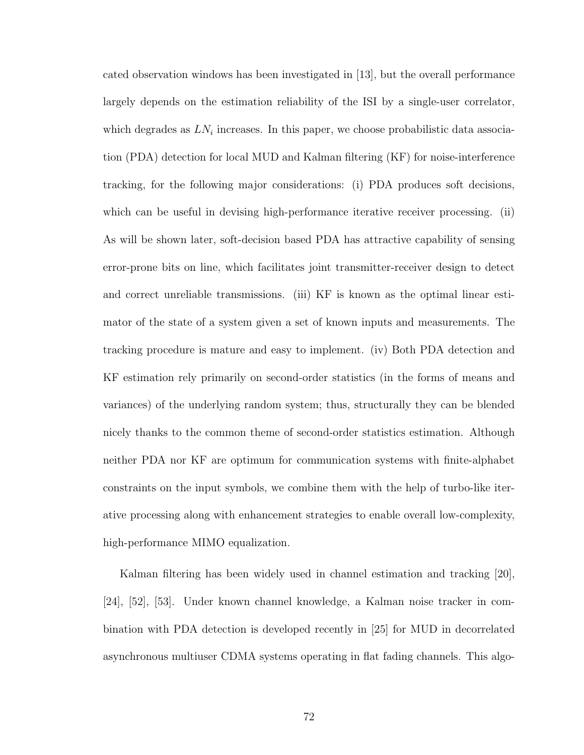cated observation windows has been investigated in [13], but the overall performance largely depends on the estimation reliability of the ISI by a single-user correlator, which degrades as  $LN_i$  increases. In this paper, we choose probabilistic data association (PDA) detection for local MUD and Kalman filtering (KF) for noise-interference tracking, for the following major considerations: (i) PDA produces soft decisions, which can be useful in devising high-performance iterative receiver processing. (ii) As will be shown later, soft-decision based PDA has attractive capability of sensing error-prone bits on line, which facilitates joint transmitter-receiver design to detect and correct unreliable transmissions. (iii) KF is known as the optimal linear estimator of the state of a system given a set of known inputs and measurements. The tracking procedure is mature and easy to implement. (iv) Both PDA detection and KF estimation rely primarily on second-order statistics (in the forms of means and variances) of the underlying random system; thus, structurally they can be blended nicely thanks to the common theme of second-order statistics estimation. Although neither PDA nor KF are optimum for communication systems with finite-alphabet constraints on the input symbols, we combine them with the help of turbo-like iterative processing along with enhancement strategies to enable overall low-complexity, high-performance MIMO equalization.

Kalman filtering has been widely used in channel estimation and tracking [20], [24], [52], [53]. Under known channel knowledge, a Kalman noise tracker in combination with PDA detection is developed recently in [25] for MUD in decorrelated asynchronous multiuser CDMA systems operating in flat fading channels. This algo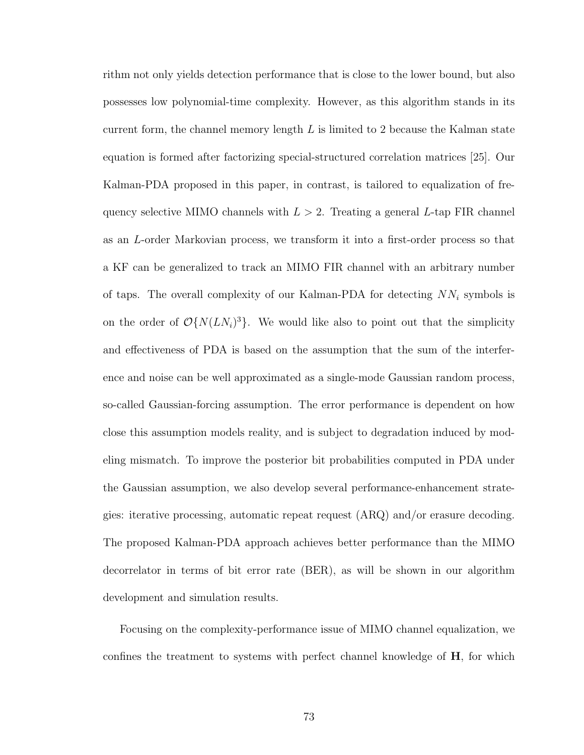rithm not only yields detection performance that is close to the lower bound, but also possesses low polynomial-time complexity. However, as this algorithm stands in its current form, the channel memory length  $L$  is limited to 2 because the Kalman state equation is formed after factorizing special-structured correlation matrices [25]. Our Kalman-PDA proposed in this paper, in contrast, is tailored to equalization of frequency selective MIMO channels with  $L > 2$ . Treating a general L-tap FIR channel as an L-order Markovian process, we transform it into a first-order process so that a KF can be generalized to track an MIMO FIR channel with an arbitrary number of taps. The overall complexity of our Kalman-PDA for detecting  $NN_i$  symbols is on the order of  $\mathcal{O}\{N(LN_i)^3\}$ . We would like also to point out that the simplicity and effectiveness of PDA is based on the assumption that the sum of the interference and noise can be well approximated as a single-mode Gaussian random process, so-called Gaussian-forcing assumption. The error performance is dependent on how close this assumption models reality, and is subject to degradation induced by modeling mismatch. To improve the posterior bit probabilities computed in PDA under the Gaussian assumption, we also develop several performance-enhancement strategies: iterative processing, automatic repeat request (ARQ) and/or erasure decoding. The proposed Kalman-PDA approach achieves better performance than the MIMO decorrelator in terms of bit error rate (BER), as will be shown in our algorithm development and simulation results.

Focusing on the complexity-performance issue of MIMO channel equalization, we confines the treatment to systems with perfect channel knowledge of H, for which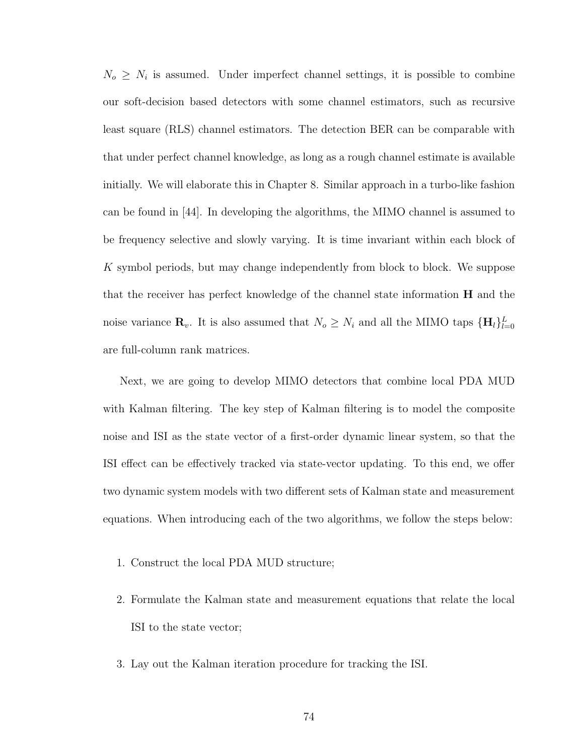$N_o \geq N_i$  is assumed. Under imperfect channel settings, it is possible to combine our soft-decision based detectors with some channel estimators, such as recursive least square (RLS) channel estimators. The detection BER can be comparable with that under perfect channel knowledge, as long as a rough channel estimate is available initially. We will elaborate this in Chapter 8. Similar approach in a turbo-like fashion can be found in [44]. In developing the algorithms, the MIMO channel is assumed to be frequency selective and slowly varying. It is time invariant within each block of K symbol periods, but may change independently from block to block. We suppose that the receiver has perfect knowledge of the channel state information H and the noise variance  $\mathbf{R}_v$ . It is also assumed that  $N_o \geq N_i$  and all the MIMO taps  $\{\mathbf{H}_l\}_{l=0}^L$ are full-column rank matrices.

Next, we are going to develop MIMO detectors that combine local PDA MUD with Kalman filtering. The key step of Kalman filtering is to model the composite noise and ISI as the state vector of a first-order dynamic linear system, so that the ISI effect can be effectively tracked via state-vector updating. To this end, we offer two dynamic system models with two different sets of Kalman state and measurement equations. When introducing each of the two algorithms, we follow the steps below:

- 1. Construct the local PDA MUD structure;
- 2. Formulate the Kalman state and measurement equations that relate the local ISI to the state vector;
- 3. Lay out the Kalman iteration procedure for tracking the ISI.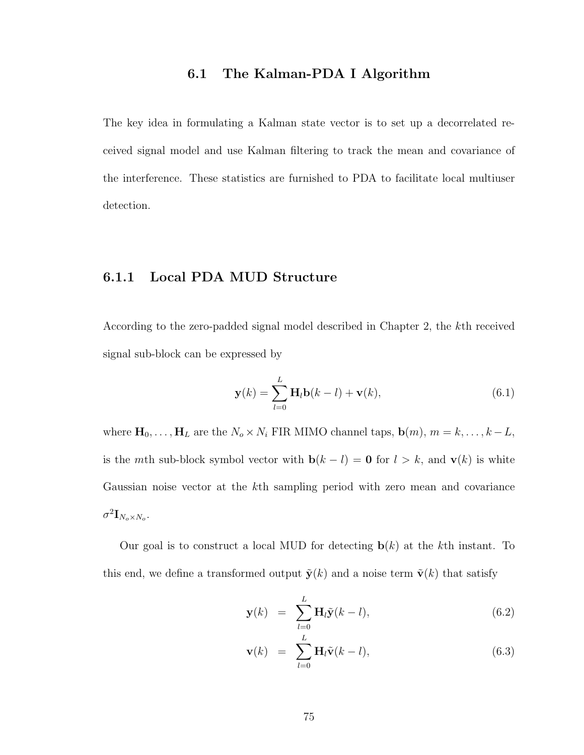### 6.1 The Kalman-PDA I Algorithm

The key idea in formulating a Kalman state vector is to set up a decorrelated received signal model and use Kalman filtering to track the mean and covariance of the interference. These statistics are furnished to PDA to facilitate local multiuser detection.

## 6.1.1 Local PDA MUD Structure

According to the zero-padded signal model described in Chapter 2, the kth received signal sub-block can be expressed by

$$
\mathbf{y}(k) = \sum_{l=0}^{L} \mathbf{H}_l \mathbf{b}(k-l) + \mathbf{v}(k),
$$
\n(6.1)

where  $\mathbf{H}_0, \ldots, \mathbf{H}_L$  are the  $N_o \times N_i$  FIR MIMO channel taps,  $\mathbf{b}(m)$ ,  $m = k, \ldots, k - L$ , is the *mth* sub-block symbol vector with  $\mathbf{b}(k - l) = \mathbf{0}$  for  $l > k$ , and  $\mathbf{v}(k)$  is white Gaussian noise vector at the kth sampling period with zero mean and covariance  $\sigma^2 {\bf I}_{N_o \times N_o}.$ 

Our goal is to construct a local MUD for detecting  $\mathbf{b}(k)$  at the kth instant. To this end, we define a transformed output  $\tilde{\mathbf{y}}(k)$  and a noise term  $\tilde{\mathbf{v}}(k)$  that satisfy

$$
\mathbf{y}(k) = \sum_{l=0}^{L} \mathbf{H}_l \tilde{\mathbf{y}}(k-l), \qquad (6.2)
$$

$$
\mathbf{v}(k) = \sum_{l=0}^{L} \mathbf{H}_l \tilde{\mathbf{v}}(k-l), \qquad (6.3)
$$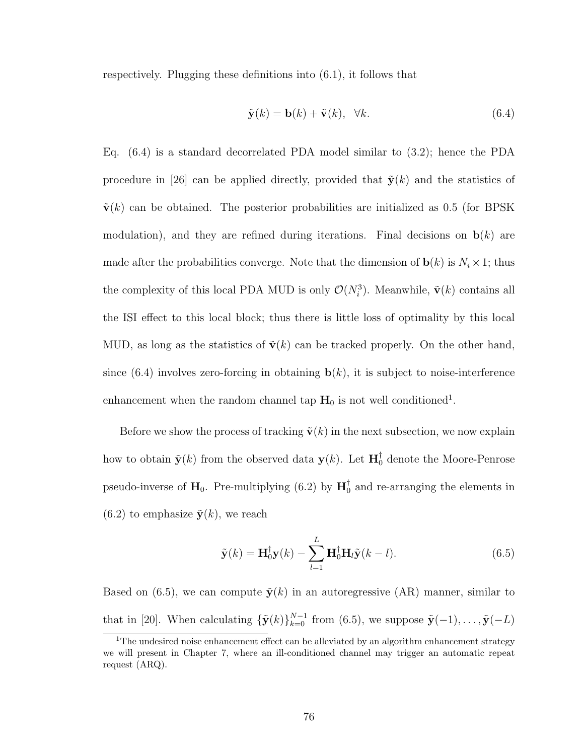respectively. Plugging these definitions into (6.1), it follows that

$$
\tilde{\mathbf{y}}(k) = \mathbf{b}(k) + \tilde{\mathbf{v}}(k), \quad \forall k. \tag{6.4}
$$

Eq. (6.4) is a standard decorrelated PDA model similar to (3.2); hence the PDA procedure in [26] can be applied directly, provided that  $\tilde{\mathbf{y}}(k)$  and the statistics of  $\tilde{\mathbf{v}}(k)$  can be obtained. The posterior probabilities are initialized as 0.5 (for BPSK modulation), and they are refined during iterations. Final decisions on  $\mathbf{b}(k)$  are made after the probabilities converge. Note that the dimension of  $\mathbf{b}(k)$  is  $N_i \times 1$ ; thus the complexity of this local PDA MUD is only  $\mathcal{O}(N_i^3)$ . Meanwhile,  $\tilde{\mathbf{v}}(k)$  contains all the ISI effect to this local block; thus there is little loss of optimality by this local MUD, as long as the statistics of  $\tilde{\mathbf{v}}(k)$  can be tracked properly. On the other hand, since  $(6.4)$  involves zero-forcing in obtaining  $\mathbf{b}(k)$ , it is subject to noise-interference enhancement when the random channel tap  $H_0$  is not well conditioned<sup>1</sup>.

Before we show the process of tracking  $\tilde{\mathbf{v}}(k)$  in the next subsection, we now explain how to obtain  $\tilde{\mathbf{y}}(k)$  from the observed data  $\mathbf{y}(k)$ . Let  $\mathbf{H}_0^{\dagger}$  denote the Moore-Penrose pseudo-inverse of  $H_0$ . Pre-multiplying (6.2) by  $H_0^{\dagger}$  $_{0}^{^{\dagger}}$  and re-arranging the elements in  $(6.2)$  to emphasize  $\tilde{\mathbf{y}}(k)$ , we reach

$$
\tilde{\mathbf{y}}(k) = \mathbf{H}_0^{\dagger} \mathbf{y}(k) - \sum_{l=1}^{L} \mathbf{H}_0^{\dagger} \mathbf{H}_l \tilde{\mathbf{y}}(k-l).
$$
 (6.5)

Based on (6.5), we can compute  $\tilde{\mathbf{y}}(k)$  in an autoregressive (AR) manner, similar to that in [20]. When calculating  $\{\tilde{\mathbf{y}}(k)\}_{k=0}^{N-1}$  from (6.5), we suppose  $\tilde{\mathbf{y}}(-1), \ldots, \tilde{\mathbf{y}}(-L)$ 

<sup>&</sup>lt;sup>1</sup>The undesired noise enhancement effect can be alleviated by an algorithm enhancement strategy we will present in Chapter 7, where an ill-conditioned channel may trigger an automatic repeat request (ARQ).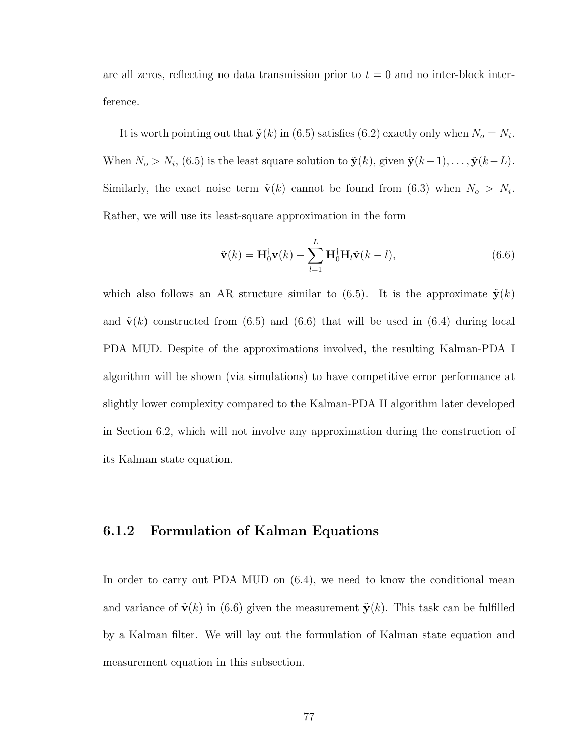are all zeros, reflecting no data transmission prior to  $t = 0$  and no inter-block interference.

It is worth pointing out that  $\tilde{\mathbf{y}}(k)$  in (6.5) satisfies (6.2) exactly only when  $N_o = N_i$ . When  $N_o > N_i$ , (6.5) is the least square solution to  $\tilde{\mathbf{y}}(k)$ , given  $\tilde{\mathbf{y}}(k-1)$ , ...,  $\tilde{\mathbf{y}}(k-L)$ . Similarly, the exact noise term  $\tilde{\mathbf{v}}(k)$  cannot be found from (6.3) when  $N_o > N_i$ . Rather, we will use its least-square approximation in the form

$$
\tilde{\mathbf{v}}(k) = \mathbf{H}_0^{\dagger} \mathbf{v}(k) - \sum_{l=1}^{L} \mathbf{H}_0^{\dagger} \mathbf{H}_l \tilde{\mathbf{v}}(k-l), \qquad (6.6)
$$

which also follows an AR structure similar to (6.5). It is the approximate  $\tilde{\mathbf{y}}(k)$ and  $\tilde{\mathbf{v}}(k)$  constructed from (6.5) and (6.6) that will be used in (6.4) during local PDA MUD. Despite of the approximations involved, the resulting Kalman-PDA I algorithm will be shown (via simulations) to have competitive error performance at slightly lower complexity compared to the Kalman-PDA II algorithm later developed in Section 6.2, which will not involve any approximation during the construction of its Kalman state equation.

### 6.1.2 Formulation of Kalman Equations

In order to carry out PDA MUD on  $(6.4)$ , we need to know the conditional mean and variance of  $\tilde{\mathbf{v}}(k)$  in (6.6) given the measurement  $\tilde{\mathbf{y}}(k)$ . This task can be fulfilled by a Kalman filter. We will lay out the formulation of Kalman state equation and measurement equation in this subsection.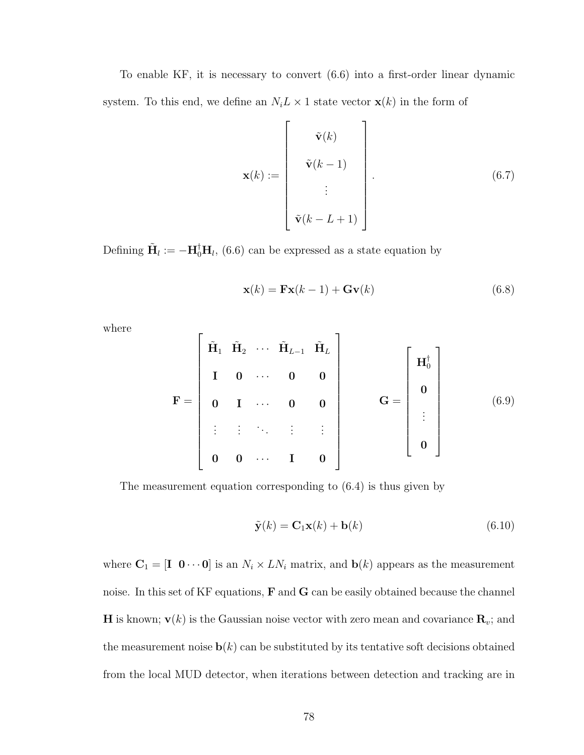To enable KF, it is necessary to convert (6.6) into a first-order linear dynamic system. To this end, we define an  $N_i L \times 1$  state vector  $\mathbf{x}(k)$  in the form of

$$
\mathbf{x}(k) := \begin{bmatrix} \tilde{\mathbf{v}}(k) \\ \tilde{\mathbf{v}}(k-1) \\ \vdots \\ \tilde{\mathbf{v}}(k-L+1) \end{bmatrix} .
$$
 (6.7)

Defining  $\tilde{\mathbf{H}}_l := -\mathbf{H}_0^{\dagger} \mathbf{H}_l$ , (6.6) can be expressed as a state equation by

$$
\mathbf{x}(k) = \mathbf{F}\mathbf{x}(k-1) + \mathbf{G}\mathbf{v}(k)
$$
\n(6.8)

where

$$
\mathbf{F} = \begin{bmatrix} \tilde{\mathbf{H}}_1 & \tilde{\mathbf{H}}_2 & \cdots & \tilde{\mathbf{H}}_{L-1} & \tilde{\mathbf{H}}_L \\ \mathbf{I} & \mathbf{0} & \cdots & \mathbf{0} & \mathbf{0} \\ \mathbf{0} & \mathbf{I} & \cdots & \mathbf{0} & \mathbf{0} \\ \vdots & \vdots & \ddots & \vdots & \vdots \\ \mathbf{0} & \mathbf{0} & \cdots & \mathbf{I} & \mathbf{0} \end{bmatrix} \qquad \mathbf{G} = \begin{bmatrix} \mathbf{H}_0^{\dagger} \\ \mathbf{0} \\ \vdots \\ \mathbf{0} \end{bmatrix} \qquad (6.9)
$$

The measurement equation corresponding to (6.4) is thus given by

$$
\tilde{\mathbf{y}}(k) = \mathbf{C}_1 \mathbf{x}(k) + \mathbf{b}(k) \tag{6.10}
$$

where  $\mathbf{C}_1 = [\mathbf{I} \ \mathbf{0} \cdots \mathbf{0}]$  is an  $N_i \times LN_i$  matrix, and  $\mathbf{b}(k)$  appears as the measurement noise. In this set of KF equations, **F** and **G** can be easily obtained because the channel **H** is known;  $\mathbf{v}(k)$  is the Gaussian noise vector with zero mean and covariance  $\mathbf{R}_v$ ; and the measurement noise  $\mathbf{b}(k)$  can be substituted by its tentative soft decisions obtained from the local MUD detector, when iterations between detection and tracking are in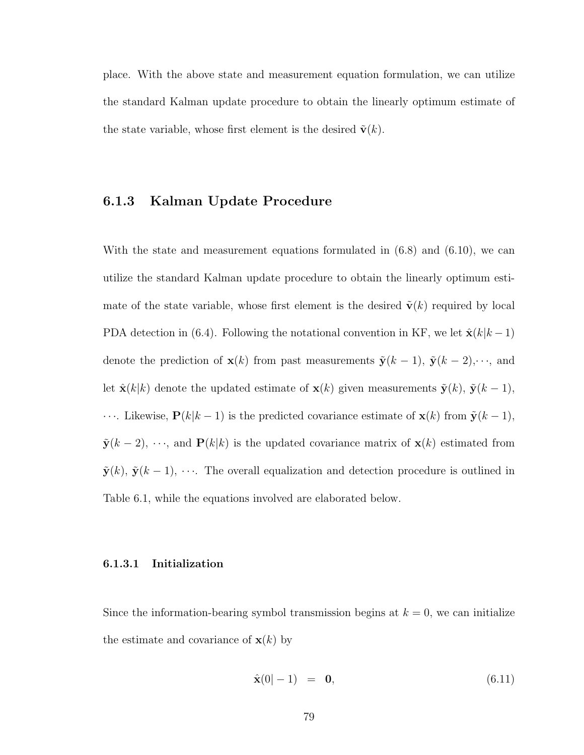place. With the above state and measurement equation formulation, we can utilize the standard Kalman update procedure to obtain the linearly optimum estimate of the state variable, whose first element is the desired  $\tilde{\mathbf{v}}(k)$ .

## 6.1.3 Kalman Update Procedure

With the state and measurement equations formulated in  $(6.8)$  and  $(6.10)$ , we can utilize the standard Kalman update procedure to obtain the linearly optimum estimate of the state variable, whose first element is the desired  $\tilde{\mathbf{v}}(k)$  required by local PDA detection in (6.4). Following the notational convention in KF, we let  $\hat{\mathbf{x}}(k|k-1)$ denote the prediction of  $\mathbf{x}(k)$  from past measurements  $\tilde{\mathbf{y}}(k-1)$ ,  $\tilde{\mathbf{y}}(k-2)$ ,  $\cdots$ , and let  $\hat{\mathbf{x}}(k|k)$  denote the updated estimate of  $\mathbf{x}(k)$  given measurements  $\tilde{\mathbf{y}}(k)$ ,  $\tilde{\mathbf{y}}(k-1)$ , • · ·. Likewise,  $\mathbf{P}(k|k-1)$  is the predicted covariance estimate of  $\mathbf{x}(k)$  from  $\tilde{\mathbf{y}}(k-1)$ ,  $\tilde{\mathbf{y}}(k-2), \dots$ , and  $\mathbf{P}(k|k)$  is the updated covariance matrix of  $\mathbf{x}(k)$  estimated from  $\tilde{\mathbf{y}}(k)$ ,  $\tilde{\mathbf{y}}(k-1)$ ,  $\cdots$ . The overall equalization and detection procedure is outlined in Table 6.1, while the equations involved are elaborated below.

#### 6.1.3.1 Initialization

Since the information-bearing symbol transmission begins at  $k = 0$ , we can initialize the estimate and covariance of  $\mathbf{x}(k)$  by

$$
\hat{\mathbf{x}}(0|-1) = \mathbf{0},\tag{6.11}
$$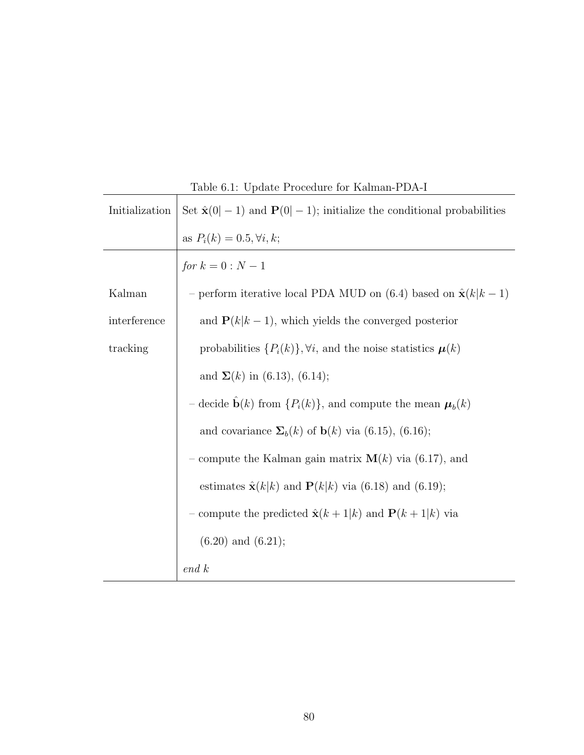| Initialization | Set $\hat{\mathbf{x}}(0 -1)$ and $\mathbf{P}(0 -1)$ ; initialize the conditional probabilities |
|----------------|------------------------------------------------------------------------------------------------|
|                | as $P_i(k) = 0.5, \forall i, k;$                                                               |
|                | <i>for</i> $k = 0 : N - 1$                                                                     |
| Kalman         | - perform iterative local PDA MUD on (6.4) based on $\hat{\mathbf{x}}(k k-1)$                  |
| interference   | and $P(k k-1)$ , which yields the converged posterior                                          |
| tracking       | probabilities $\{P_i(k)\}, \forall i$ , and the noise statistics $\boldsymbol{\mu}(k)$         |
|                | and $\Sigma(k)$ in (6.13), (6.14);                                                             |
|                | - decide $\mathbf{b}(k)$ from $\{P_i(k)\}\$ , and compute the mean $\boldsymbol{\mu}_b(k)$     |
|                | and covariance $\Sigma_b(k)$ of $\mathbf{b}(k)$ via (6.15), (6.16);                            |
|                | - compute the Kalman gain matrix $\mathbf{M}(k)$ via (6.17), and                               |
|                | estimates $\hat{\mathbf{x}}(k k)$ and $\mathbf{P}(k k)$ via (6.18) and (6.19);                 |
|                | - compute the predicted $\hat{\mathbf{x}}(k+1 k)$ and $\mathbf{P}(k+1 k)$ via                  |
|                | $(6.20)$ and $(6.21)$ ;                                                                        |
|                | end k                                                                                          |

Table 6.1: Update Procedure for Kalman-PDA-I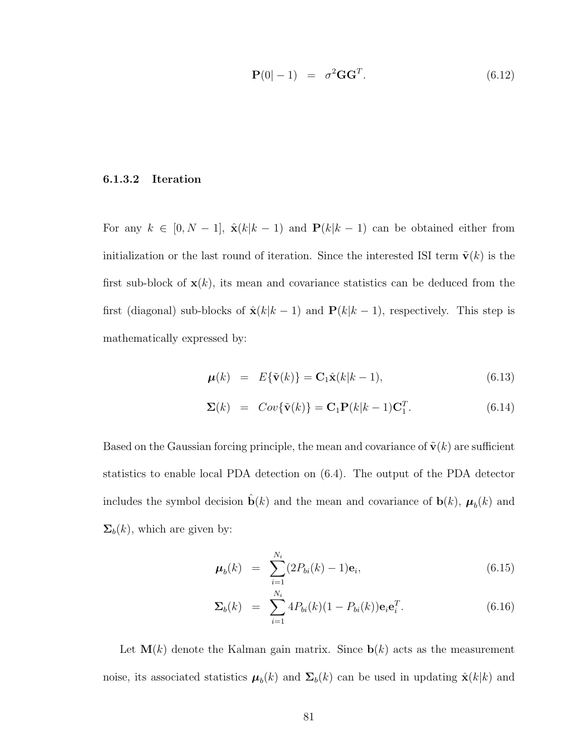$$
\mathbf{P}(0|-1) = \sigma^2 \mathbf{G} \mathbf{G}^T. \tag{6.12}
$$

#### 6.1.3.2 Iteration

For any  $k \in [0, N - 1]$ ,  $\hat{\mathbf{x}}(k|k - 1)$  and  $\mathbf{P}(k|k - 1)$  can be obtained either from initialization or the last round of iteration. Since the interested ISI term  $\tilde{\mathbf{v}}(k)$  is the first sub-block of  $\mathbf{x}(k)$ , its mean and covariance statistics can be deduced from the first (diagonal) sub-blocks of  $\hat{\mathbf{x}}(k|k-1)$  and  $\mathbf{P}(k|k-1)$ , respectively. This step is mathematically expressed by:

$$
\boldsymbol{\mu}(k) = E\{\tilde{\mathbf{v}}(k)\} = \mathbf{C}_1 \hat{\mathbf{x}}(k|k-1), \tag{6.13}
$$

$$
\Sigma(k) = Cov\{\tilde{\mathbf{v}}(k)\} = \mathbf{C}_1 \mathbf{P}(k|k-1)\mathbf{C}_1^T.
$$
\n(6.14)

Based on the Gaussian forcing principle, the mean and covariance of  $\tilde{\mathbf{v}}(k)$  are sufficient statistics to enable local PDA detection on (6.4). The output of the PDA detector includes the symbol decision  $\hat{\mathbf{b}}(k)$  and the mean and covariance of  $\mathbf{b}(k)$ ,  $\boldsymbol{\mu}_b(k)$  and  $\Sigma_b(k)$ , which are given by:

$$
\mu_b(k) = \sum_{i=1}^{N_i} (2P_{bi}(k) - 1)\mathbf{e}_i, \qquad (6.15)
$$

$$
\Sigma_b(k) = \sum_{i=1}^{N_i} 4P_{bi}(k)(1 - P_{bi}(k))\mathbf{e}_i \mathbf{e}_i^T.
$$
 (6.16)

Let  $\mathbf{M}(k)$  denote the Kalman gain matrix. Since  $\mathbf{b}(k)$  acts as the measurement noise, its associated statistics  $\mu_b(k)$  and  $\Sigma_b(k)$  can be used in updating  $\hat{\mathbf{x}}(k|k)$  and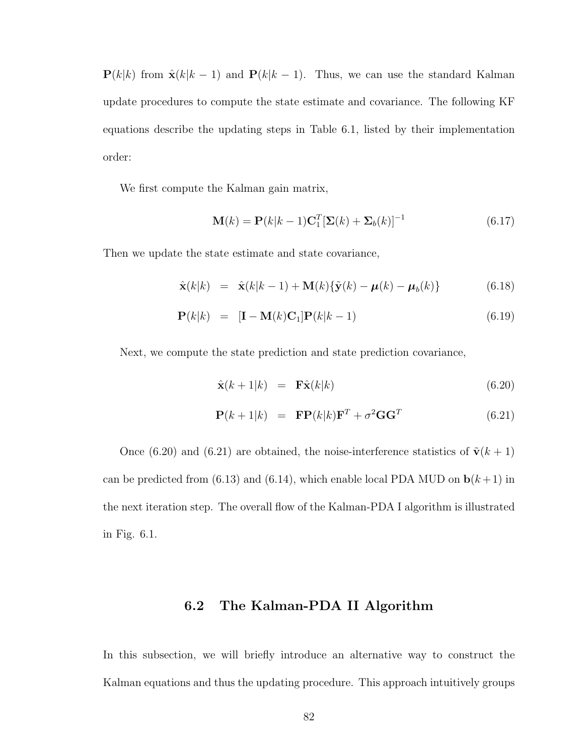$P(k|k)$  from  $\hat{\mathbf{x}}(k|k-1)$  and  $P(k|k-1)$ . Thus, we can use the standard Kalman update procedures to compute the state estimate and covariance. The following KF equations describe the updating steps in Table 6.1, listed by their implementation order:

We first compute the Kalman gain matrix,

$$
\mathbf{M}(k) = \mathbf{P}(k|k-1)\mathbf{C}_1^T[\mathbf{\Sigma}(k) + \mathbf{\Sigma}_b(k)]^{-1}
$$
\n(6.17)

Then we update the state estimate and state covariance,

$$
\hat{\mathbf{x}}(k|k) = \hat{\mathbf{x}}(k|k-1) + \mathbf{M}(k)\{\tilde{\mathbf{y}}(k) - \boldsymbol{\mu}(k) - \boldsymbol{\mu}_b(k)\}\
$$
(6.18)

$$
\mathbf{P}(k|k) = [\mathbf{I} - \mathbf{M}(k)\mathbf{C}_1]\mathbf{P}(k|k-1) \tag{6.19}
$$

Next, we compute the state prediction and state prediction covariance,

$$
\hat{\mathbf{x}}(k+1|k) = \mathbf{F}\hat{\mathbf{x}}(k|k) \tag{6.20}
$$

$$
\mathbf{P}(k+1|k) = \mathbf{F}\mathbf{P}(k|k)\mathbf{F}^T + \sigma^2 \mathbf{G}\mathbf{G}^T \tag{6.21}
$$

Once (6.20) and (6.21) are obtained, the noise-interference statistics of  $\tilde{\mathbf{v}}(k+1)$ can be predicted from (6.13) and (6.14), which enable local PDA MUD on  $\mathbf{b}(k+1)$  in the next iteration step. The overall flow of the Kalman-PDA I algorithm is illustrated in Fig. 6.1.

## 6.2 The Kalman-PDA II Algorithm

In this subsection, we will briefly introduce an alternative way to construct the Kalman equations and thus the updating procedure. This approach intuitively groups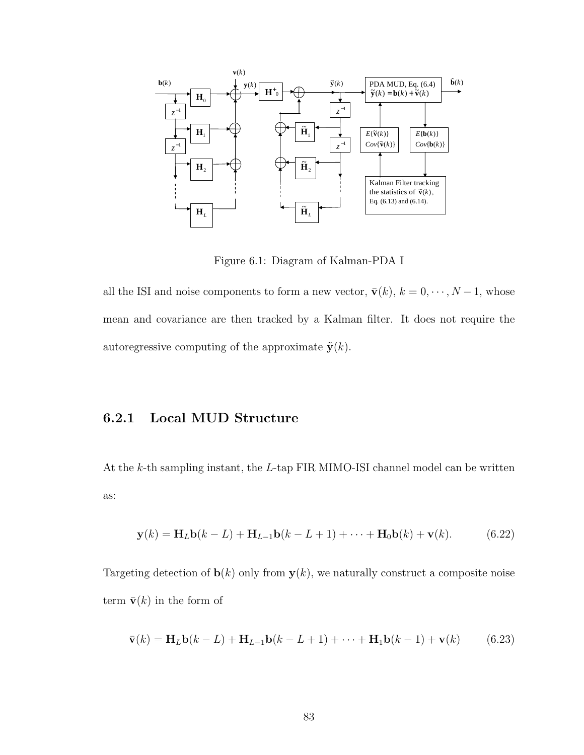

Figure 6.1: Diagram of Kalman-PDA I

all the ISI and noise components to form a new vector,  $\bar{\mathbf{v}}(k)$ ,  $k = 0, \dots, N-1$ , whose mean and covariance are then tracked by a Kalman filter. It does not require the autoregressive computing of the approximate  $\tilde{\mathbf{y}}(k)$ .

# 6.2.1 Local MUD Structure

At the k-th sampling instant, the L-tap FIR MIMO-ISI channel model can be written as:

$$
\mathbf{y}(k) = \mathbf{H}_L \mathbf{b}(k - L) + \mathbf{H}_{L-1} \mathbf{b}(k - L + 1) + \dots + \mathbf{H}_0 \mathbf{b}(k) + \mathbf{v}(k).
$$
 (6.22)

Targeting detection of  $\mathbf{b}(k)$  only from  $\mathbf{y}(k)$ , we naturally construct a composite noise term  $\bar{\mathbf{v}}(k)$  in the form of

$$
\bar{\mathbf{v}}(k) = \mathbf{H}_{L}\mathbf{b}(k-L) + \mathbf{H}_{L-1}\mathbf{b}(k-L+1) + \cdots + \mathbf{H}_{1}\mathbf{b}(k-1) + \mathbf{v}(k) \tag{6.23}
$$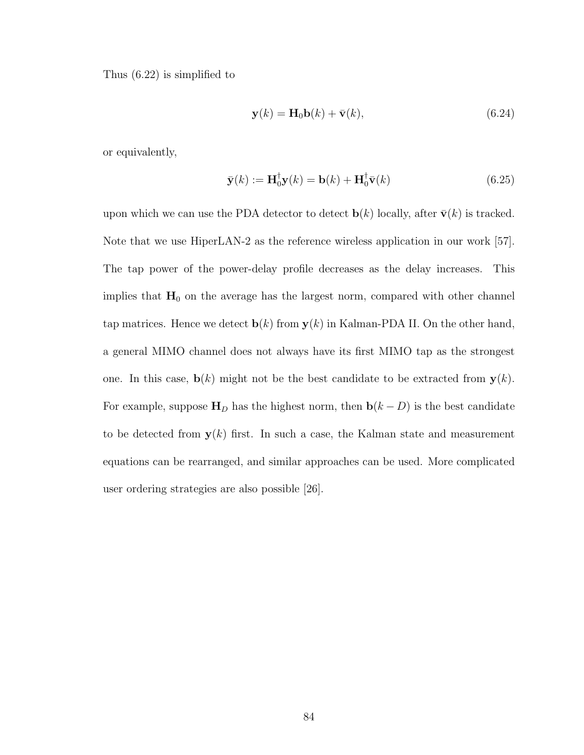Thus (6.22) is simplified to

$$
\mathbf{y}(k) = \mathbf{H}_0 \mathbf{b}(k) + \bar{\mathbf{v}}(k),\tag{6.24}
$$

or equivalently,

$$
\bar{\mathbf{y}}(k) := \mathbf{H}_0^{\dagger} \mathbf{y}(k) = \mathbf{b}(k) + \mathbf{H}_0^{\dagger} \bar{\mathbf{v}}(k)
$$
(6.25)

upon which we can use the PDA detector to detect  $\mathbf{b}(k)$  locally, after  $\bar{\mathbf{v}}(k)$  is tracked. Note that we use HiperLAN-2 as the reference wireless application in our work [57]. The tap power of the power-delay profile decreases as the delay increases. This implies that  $H_0$  on the average has the largest norm, compared with other channel tap matrices. Hence we detect  $\mathbf{b}(k)$  from  $\mathbf{y}(k)$  in Kalman-PDA II. On the other hand, a general MIMO channel does not always have its first MIMO tap as the strongest one. In this case,  $\mathbf{b}(k)$  might not be the best candidate to be extracted from  $\mathbf{y}(k)$ . For example, suppose  $\mathbf{H}_D$  has the highest norm, then  $\mathbf{b}(k-D)$  is the best candidate to be detected from  $y(k)$  first. In such a case, the Kalman state and measurement equations can be rearranged, and similar approaches can be used. More complicated user ordering strategies are also possible [26].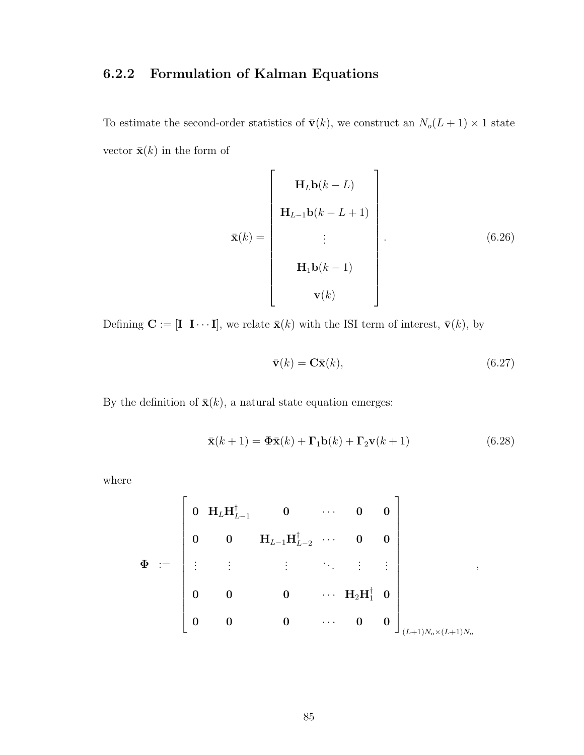# 6.2.2 Formulation of Kalman Equations

To estimate the second-order statistics of  $\bar{\mathbf{v}}(k)$ , we construct an  $N_o(L + 1) \times 1$  state vector  $\bar{\mathbf{x}}(k)$  in the form of

$$
\bar{\mathbf{x}}(k) = \begin{bmatrix} \mathbf{H}_{L}\mathbf{b}(k-L) \\ \mathbf{H}_{L-1}\mathbf{b}(k-L+1) \\ \vdots \\ \mathbf{H}_{1}\mathbf{b}(k-1) \\ \mathbf{v}(k) \end{bmatrix} .
$$
 (6.26)

Defining  $\mathbf{C} := [\mathbf{I} \ \mathbf{I} \cdots \mathbf{I}],$  we relate  $\bar{\mathbf{x}}(k)$  with the ISI term of interest,  $\bar{\mathbf{v}}(k)$ , by

$$
\bar{\mathbf{v}}(k) = \mathbf{C}\bar{\mathbf{x}}(k),\tag{6.27}
$$

By the definition of  $\bar{\mathbf{x}}(k)$ , a natural state equation emerges:

$$
\bar{\mathbf{x}}(k+1) = \mathbf{\Phi}\bar{\mathbf{x}}(k) + \mathbf{\Gamma}_1\mathbf{b}(k) + \mathbf{\Gamma}_2\mathbf{v}(k+1)
$$
\n(6.28)

where

$$
\Phi \hspace{1.5cm} := \hspace{1.5cm} \left[\begin{array}{cccccc} 0 & H_L H_{L-1}^\dagger & 0 & \cdots & 0 & 0 \\ & & & & & & \\ 0 & 0 & H_{L-1} H_{L-2}^\dagger & \cdots & 0 & 0 \\ \vdots & \vdots & \vdots & \ddots & \vdots & \vdots \\ 0 & 0 & 0 & \cdots & H_2 H_1^\dagger & 0 \\ 0 & 0 & 0 & \cdots & 0 & 0 \end{array}\right]_{(L+1)N_o\times(L+1)N_o},
$$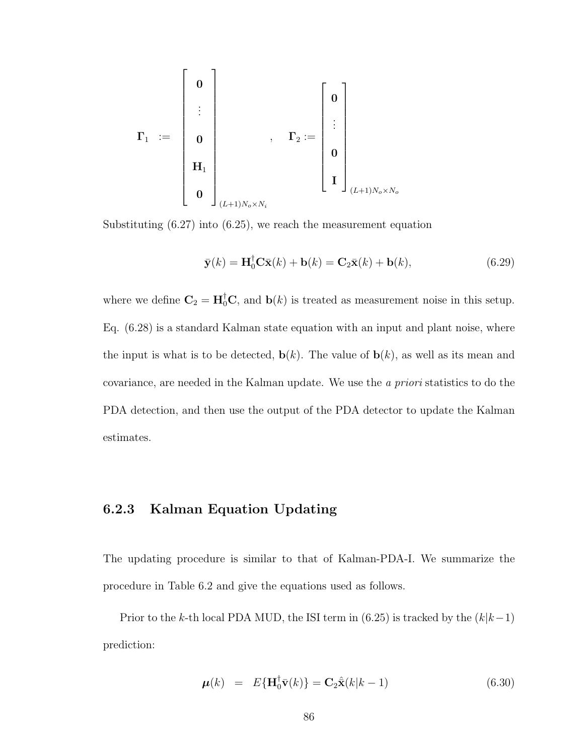$$
\mathbf{\Gamma}_1 \ := \ \left[\begin{array}{c} \mathbf{0} \\ \vdots \\ \mathbf{0} \\ \mathbf{H}_1 \\ \mathbf{0} \\ \mathbf{0} \\ \end{array}\right]_{(L+1)N_o \times N_i} , \quad \mathbf{\Gamma}_2 := \left[\begin{array}{c} \mathbf{0} \\ \vdots \\ \mathbf{0} \\ \mathbf{I} \\ \end{array}\right]_{(L+1)N_o \times N_o}
$$

Substituting (6.27) into (6.25), we reach the measurement equation

$$
\bar{\mathbf{y}}(k) = \mathbf{H}_0^{\dagger} \mathbf{C} \bar{\mathbf{x}}(k) + \mathbf{b}(k) = \mathbf{C}_2 \bar{\mathbf{x}}(k) + \mathbf{b}(k), \tag{6.29}
$$

where we define  $\mathbf{C}_2 = \mathbf{H}_0^{\dagger} \mathbf{C}$ , and  $\mathbf{b}(k)$  is treated as measurement noise in this setup. Eq. (6.28) is a standard Kalman state equation with an input and plant noise, where the input is what is to be detected,  $\mathbf{b}(k)$ . The value of  $\mathbf{b}(k)$ , as well as its mean and covariance, are needed in the Kalman update. We use the a priori statistics to do the PDA detection, and then use the output of the PDA detector to update the Kalman estimates.

# 6.2.3 Kalman Equation Updating

The updating procedure is similar to that of Kalman-PDA-I. We summarize the procedure in Table 6.2 and give the equations used as follows.

Prior to the k-th local PDA MUD, the ISI term in (6.25) is tracked by the  $(k|k-1)$ prediction:

$$
\mu(k) = E\{\mathbf{H}_0^{\dagger} \bar{\mathbf{v}}(k)\} = \mathbf{C}_2 \hat{\mathbf{x}}(k|k-1)
$$
\n(6.30)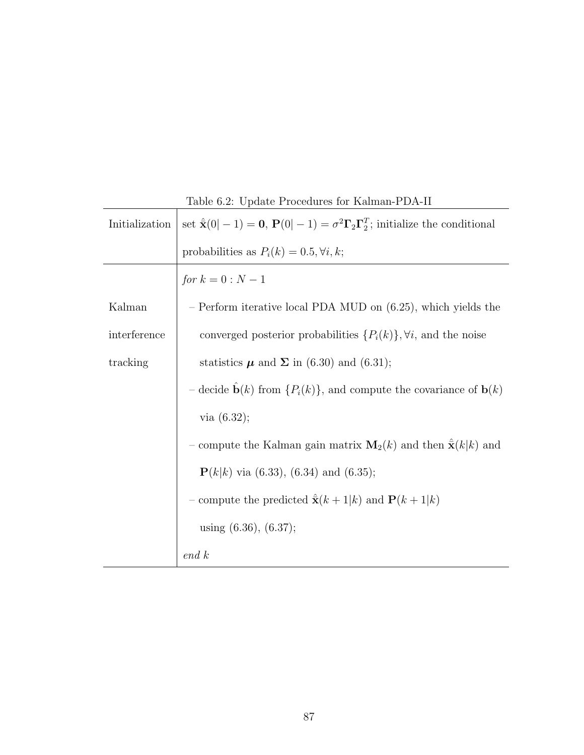| Initialization | Table 0.2. Option I foculates for Trailman I DIT II<br>set $\hat{\mathbf{x}}(0 -1) = \mathbf{0}, \mathbf{P}(0 -1) = \sigma^2 \mathbf{\Gamma}_2 \mathbf{\Gamma}_2^T$ ; initialize the conditional |
|----------------|--------------------------------------------------------------------------------------------------------------------------------------------------------------------------------------------------|
|                | probabilities as $P_i(k) = 0.5, \forall i, k;$                                                                                                                                                   |
|                | <i>for</i> $k = 0 : N - 1$                                                                                                                                                                       |
| Kalman         | $-$ Perform iterative local PDA MUD on $(6.25)$ , which yields the                                                                                                                               |
| interference   | converged posterior probabilities $\{P_i(k)\}, \forall i$ , and the noise                                                                                                                        |
| tracking       | statistics $\mu$ and $\Sigma$ in (6.30) and (6.31);                                                                                                                                              |
|                | – decide $\mathbf{b}(k)$ from $\{P_i(k)\}\$ , and compute the covariance of $\mathbf{b}(k)$                                                                                                      |
|                | via $(6.32);$                                                                                                                                                                                    |
|                | - compute the Kalman gain matrix $\mathbf{M}_2(k)$ and then $\hat{\mathbf{x}}(k k)$ and                                                                                                          |
|                | ${\bf P}(k k)$ via (6.33), (6.34) and (6.35);                                                                                                                                                    |
|                | - compute the predicted $\hat{\mathbf{x}}(k+1 k)$ and $\mathbf{P}(k+1 k)$                                                                                                                        |
|                | using $(6.36)$ , $(6.37)$ ;                                                                                                                                                                      |
|                | end k                                                                                                                                                                                            |

Table 6.2: Update Procedures for Kalman-PDA-II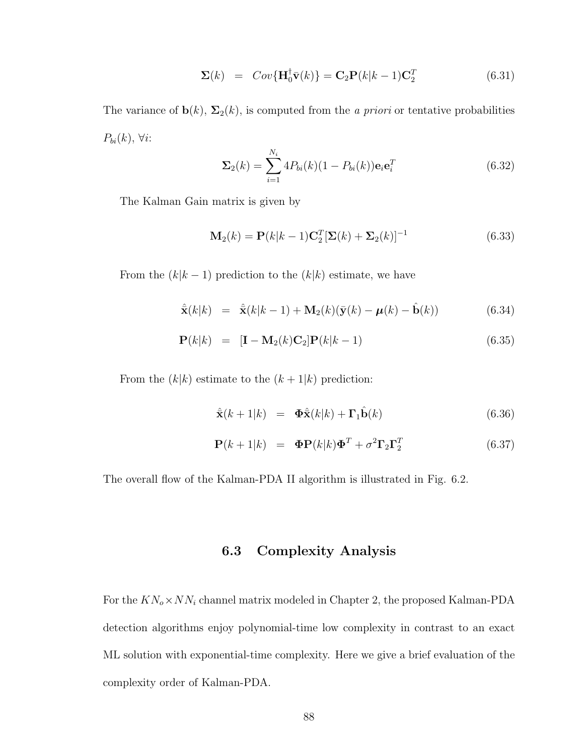$$
\Sigma(k) = Cov{\mathbf{H}_0^{\dagger} \bar{\mathbf{v}}(k)} = \mathbf{C}_2 \mathbf{P}(k|k-1) \mathbf{C}_2^T
$$
 (6.31)

The variance of  $\mathbf{b}(k)$ ,  $\Sigma_2(k)$ , is computed from the *a priori* or tentative probabilities  $P_{bi}(k)$ ,  $\forall i$ :

$$
\Sigma_2(k) = \sum_{i=1}^{N_i} 4P_{bi}(k)(1 - P_{bi}(k))\mathbf{e}_i \mathbf{e}_i^T
$$
 (6.32)

The Kalman Gain matrix is given by

$$
\mathbf{M}_2(k) = \mathbf{P}(k|k-1)\mathbf{C}_2^T[\mathbf{\Sigma}(k) + \mathbf{\Sigma}_2(k)]^{-1}
$$
\n(6.33)

From the  $(k|k-1)$  prediction to the  $(k|k)$  estimate, we have

$$
\hat{\mathbf{x}}(k|k) = \hat{\mathbf{x}}(k|k-1) + \mathbf{M}_2(k)(\bar{\mathbf{y}}(k) - \boldsymbol{\mu}(k) - \hat{\mathbf{b}}(k))
$$
(6.34)

$$
\mathbf{P}(k|k) = [\mathbf{I} - \mathbf{M}_2(k)\mathbf{C}_2] \mathbf{P}(k|k-1)
$$
\n(6.35)

From the  $(k|k)$  estimate to the  $(k+1|k)$  prediction:

$$
\hat{\mathbf{x}}(k+1|k) = \mathbf{\Phi}\hat{\mathbf{x}}(k|k) + \mathbf{\Gamma}_1\hat{\mathbf{b}}(k)
$$
 (6.36)

$$
\mathbf{P}(k+1|k) = \mathbf{\Phi} \mathbf{P}(k|k) \mathbf{\Phi}^T + \sigma^2 \mathbf{\Gamma}_2 \mathbf{\Gamma}_2^T \tag{6.37}
$$

The overall flow of the Kalman-PDA II algorithm is illustrated in Fig. 6.2.

# 6.3 Complexity Analysis

For the  $KN_o \times NN_i$  channel matrix modeled in Chapter 2, the proposed Kalman-PDA detection algorithms enjoy polynomial-time low complexity in contrast to an exact ML solution with exponential-time complexity. Here we give a brief evaluation of the complexity order of Kalman-PDA.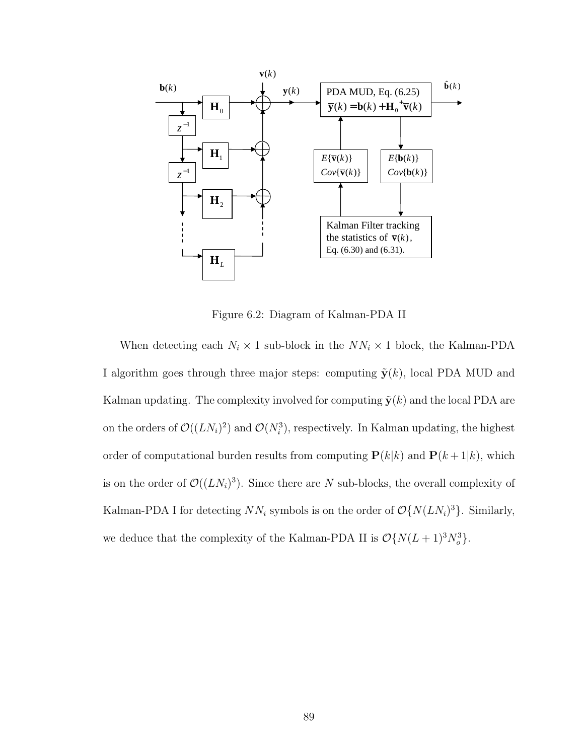

Figure 6.2: Diagram of Kalman-PDA II

When detecting each  $N_i \times 1$  sub-block in the  $NN_i \times 1$  block, the Kalman-PDA I algorithm goes through three major steps: computing  $\tilde{\mathbf{y}}(k)$ , local PDA MUD and Kalman updating. The complexity involved for computing  $\tilde{\mathbf{y}}(k)$  and the local PDA are on the orders of  $\mathcal{O}((LN_i)^2)$  and  $\mathcal{O}(N_i^3)$ , respectively. In Kalman updating, the highest order of computational burden results from computing  $P(k|k)$  and  $P(k+1|k)$ , which is on the order of  $\mathcal{O}((LN_i)^3)$ . Since there are N sub-blocks, the overall complexity of Kalman-PDA I for detecting  $NN_i$  symbols is on the order of  $\mathcal{O}\lbrace N(LN_i)^3 \rbrace$ . Similarly, we deduce that the complexity of the Kalman-PDA II is  $\mathcal{O}\lbrace N(L+1)^3 N_o^3 \rbrace$ .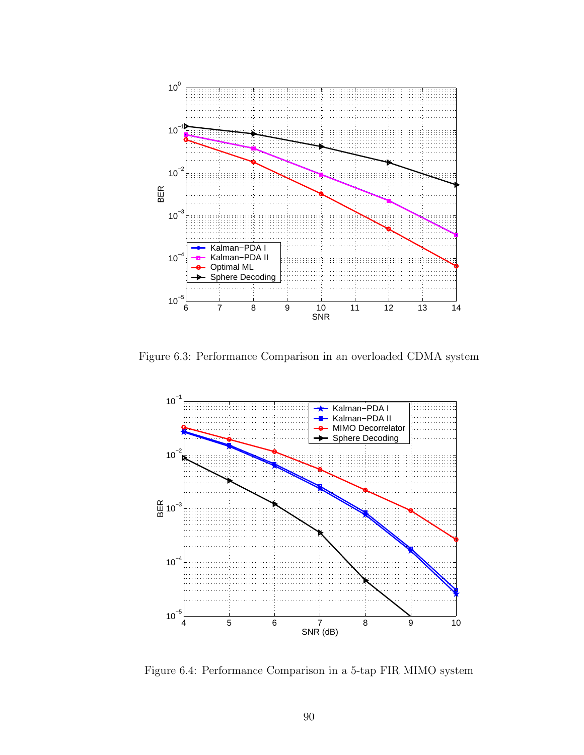

Figure 6.3: Performance Comparison in an overloaded CDMA system



Figure 6.4: Performance Comparison in a 5-tap FIR MIMO system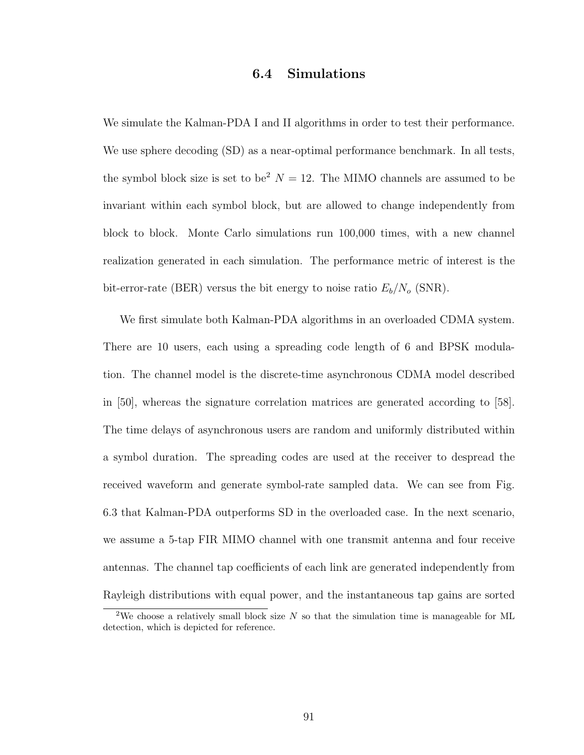## 6.4 Simulations

We simulate the Kalman-PDA I and II algorithms in order to test their performance. We use sphere decoding (SD) as a near-optimal performance benchmark. In all tests, the symbol block size is set to be<sup>2</sup>  $N = 12$ . The MIMO channels are assumed to be invariant within each symbol block, but are allowed to change independently from block to block. Monte Carlo simulations run 100,000 times, with a new channel realization generated in each simulation. The performance metric of interest is the bit-error-rate (BER) versus the bit energy to noise ratio  $E_b/N_o$  (SNR).

We first simulate both Kalman-PDA algorithms in an overloaded CDMA system. There are 10 users, each using a spreading code length of 6 and BPSK modulation. The channel model is the discrete-time asynchronous CDMA model described in [50], whereas the signature correlation matrices are generated according to [58]. The time delays of asynchronous users are random and uniformly distributed within a symbol duration. The spreading codes are used at the receiver to despread the received waveform and generate symbol-rate sampled data. We can see from Fig. 6.3 that Kalman-PDA outperforms SD in the overloaded case. In the next scenario, we assume a 5-tap FIR MIMO channel with one transmit antenna and four receive antennas. The channel tap coefficients of each link are generated independently from Rayleigh distributions with equal power, and the instantaneous tap gains are sorted

<sup>&</sup>lt;sup>2</sup>We choose a relatively small block size  $N$  so that the simulation time is manageable for ML detection, which is depicted for reference.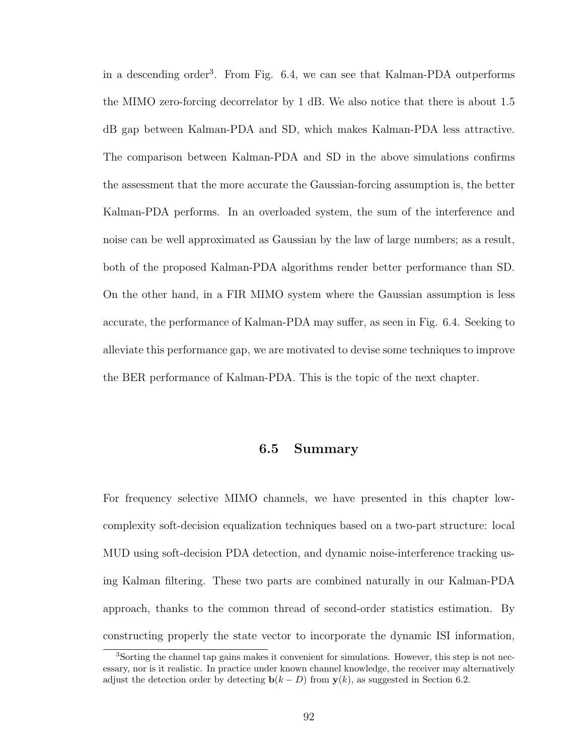in a descending order<sup>3</sup>. From Fig.  $6.4$ , we can see that Kalman-PDA outperforms the MIMO zero-forcing decorrelator by 1 dB. We also notice that there is about 1.5 dB gap between Kalman-PDA and SD, which makes Kalman-PDA less attractive. The comparison between Kalman-PDA and SD in the above simulations confirms the assessment that the more accurate the Gaussian-forcing assumption is, the better Kalman-PDA performs. In an overloaded system, the sum of the interference and noise can be well approximated as Gaussian by the law of large numbers; as a result, both of the proposed Kalman-PDA algorithms render better performance than SD. On the other hand, in a FIR MIMO system where the Gaussian assumption is less accurate, the performance of Kalman-PDA may suffer, as seen in Fig. 6.4. Seeking to alleviate this performance gap, we are motivated to devise some techniques to improve the BER performance of Kalman-PDA. This is the topic of the next chapter.

### 6.5 Summary

For frequency selective MIMO channels, we have presented in this chapter lowcomplexity soft-decision equalization techniques based on a two-part structure: local MUD using soft-decision PDA detection, and dynamic noise-interference tracking using Kalman filtering. These two parts are combined naturally in our Kalman-PDA approach, thanks to the common thread of second-order statistics estimation. By constructing properly the state vector to incorporate the dynamic ISI information,

<sup>&</sup>lt;sup>3</sup>Sorting the channel tap gains makes it convenient for simulations. However, this step is not necessary, nor is it realistic. In practice under known channel knowledge, the receiver may alternatively adjust the detection order by detecting  $\mathbf{b}(k - D)$  from  $\mathbf{y}(k)$ , as suggested in Section 6.2.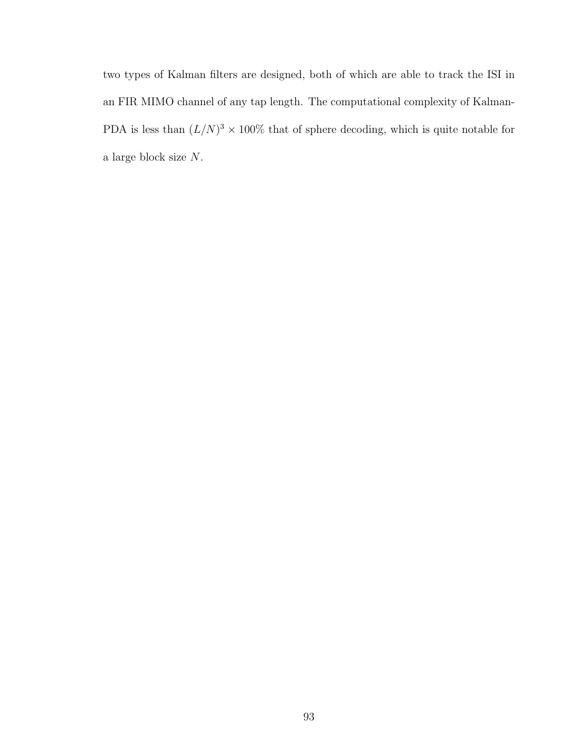two types of Kalman filters are designed, both of which are able to track the ISI in an FIR MIMO channel of any tap length. The computational complexity of Kalman-PDA is less than  $(L/N)^3 \times 100\%$  that of sphere decoding, which is quite notable for a large block size N.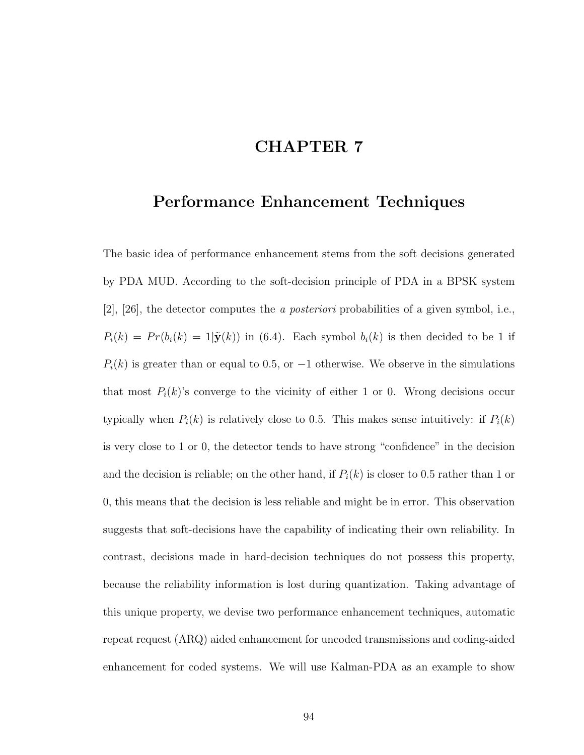# CHAPTER 7

# Performance Enhancement Techniques

The basic idea of performance enhancement stems from the soft decisions generated by PDA MUD. According to the soft-decision principle of PDA in a BPSK system [2], [26], the detector computes the a posteriori probabilities of a given symbol, i.e.,  $P_i(k) = Pr(b_i(k) = 1|\tilde{\mathbf{y}}(k))$  in (6.4). Each symbol  $b_i(k)$  is then decided to be 1 if  $P_i(k)$  is greater than or equal to 0.5, or  $-1$  otherwise. We observe in the simulations that most  $P_i(k)$ 's converge to the vicinity of either 1 or 0. Wrong decisions occur typically when  $P_i(k)$  is relatively close to 0.5. This makes sense intuitively: if  $P_i(k)$ is very close to 1 or 0, the detector tends to have strong "confidence" in the decision and the decision is reliable; on the other hand, if  $P_i(k)$  is closer to 0.5 rather than 1 or 0, this means that the decision is less reliable and might be in error. This observation suggests that soft-decisions have the capability of indicating their own reliability. In contrast, decisions made in hard-decision techniques do not possess this property, because the reliability information is lost during quantization. Taking advantage of this unique property, we devise two performance enhancement techniques, automatic repeat request (ARQ) aided enhancement for uncoded transmissions and coding-aided enhancement for coded systems. We will use Kalman-PDA as an example to show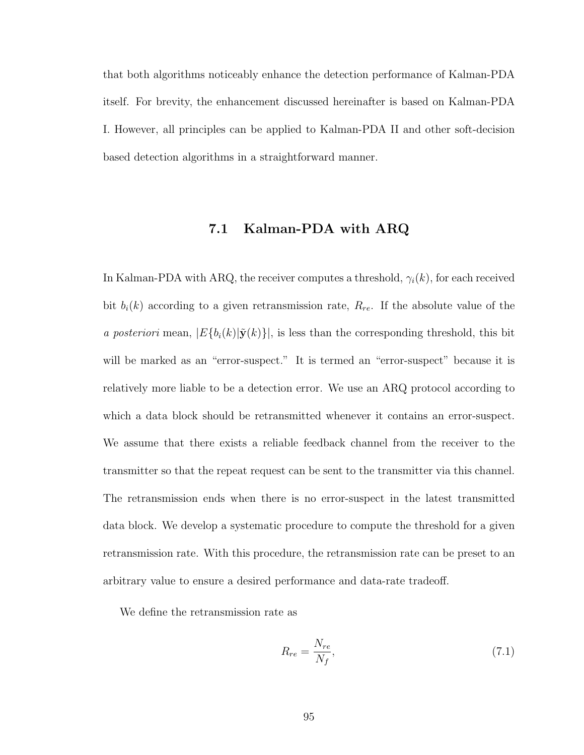that both algorithms noticeably enhance the detection performance of Kalman-PDA itself. For brevity, the enhancement discussed hereinafter is based on Kalman-PDA I. However, all principles can be applied to Kalman-PDA II and other soft-decision based detection algorithms in a straightforward manner.

## 7.1 Kalman-PDA with ARQ

In Kalman-PDA with ARQ, the receiver computes a threshold,  $\gamma_i(k)$ , for each received bit  $b_i(k)$  according to a given retransmission rate,  $R_{re}$ . If the absolute value of the a posteriori mean,  $|E\{b_i(k)|\tilde{\mathbf{y}}(k)\}\|$ , is less than the corresponding threshold, this bit will be marked as an "error-suspect." It is termed an "error-suspect" because it is relatively more liable to be a detection error. We use an ARQ protocol according to which a data block should be retransmitted whenever it contains an error-suspect. We assume that there exists a reliable feedback channel from the receiver to the transmitter so that the repeat request can be sent to the transmitter via this channel. The retransmission ends when there is no error-suspect in the latest transmitted data block. We develop a systematic procedure to compute the threshold for a given retransmission rate. With this procedure, the retransmission rate can be preset to an arbitrary value to ensure a desired performance and data-rate tradeoff.

We define the retransmission rate as

$$
R_{re} = \frac{N_{re}}{N_f},\tag{7.1}
$$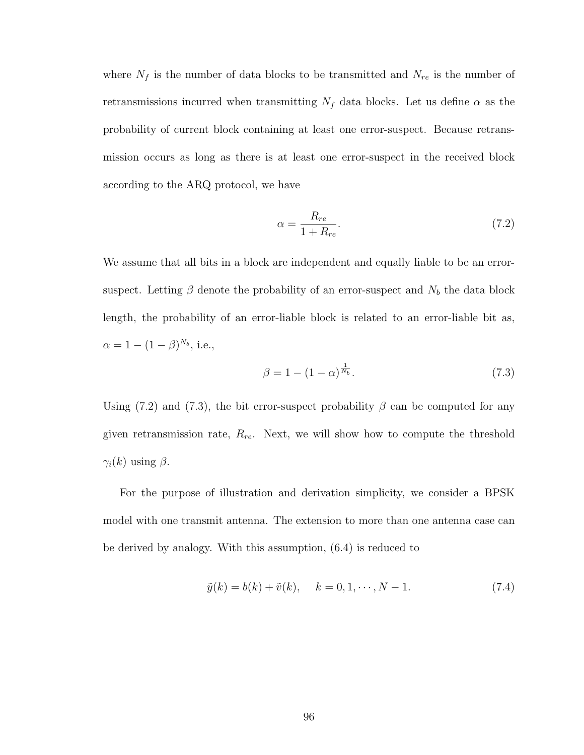where  $N_f$  is the number of data blocks to be transmitted and  $N_{re}$  is the number of retransmissions incurred when transmitting  $N_f$  data blocks. Let us define  $\alpha$  as the probability of current block containing at least one error-suspect. Because retransmission occurs as long as there is at least one error-suspect in the received block according to the ARQ protocol, we have

$$
\alpha = \frac{R_{re}}{1 + R_{re}}.\tag{7.2}
$$

We assume that all bits in a block are independent and equally liable to be an errorsuspect. Letting  $\beta$  denote the probability of an error-suspect and  $N_b$  the data block length, the probability of an error-liable block is related to an error-liable bit as,  $\alpha = 1 - (1 - \beta)^{N_b}$ , i.e.,

$$
\beta = 1 - (1 - \alpha)^{\frac{1}{N_b}}.\tag{7.3}
$$

Using (7.2) and (7.3), the bit error-suspect probability  $\beta$  can be computed for any given retransmission rate,  $R_{re}$ . Next, we will show how to compute the threshold  $\gamma_i(k)$  using  $\beta$ .

For the purpose of illustration and derivation simplicity, we consider a BPSK model with one transmit antenna. The extension to more than one antenna case can be derived by analogy. With this assumption, (6.4) is reduced to

$$
\tilde{y}(k) = b(k) + \tilde{v}(k), \quad k = 0, 1, \cdots, N - 1.
$$
\n(7.4)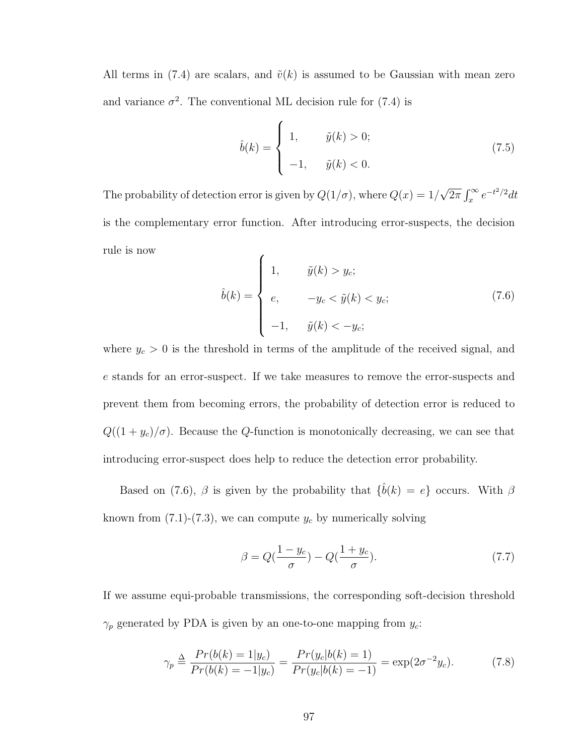All terms in (7.4) are scalars, and  $\tilde{v}(k)$  is assumed to be Gaussian with mean zero and variance  $\sigma^2$ . The conventional ML decision rule for (7.4) is

$$
\hat{b}(k) = \begin{cases} 1, & \tilde{y}(k) > 0; \\ -1, & \tilde{y}(k) < 0. \end{cases}
$$
\n(7.5)

The probability of detection error is given by  $Q(1/\sigma)$ , where  $Q(x) = 1/2$ √  $\frac{1}{2\pi} \int_{x}^{\infty}$  $\int_x^{\infty} e^{-t^2/2} dt$ is the complementary error function. After introducing error-suspects, the decision rule is now  $\overline{a}$ 

$$
\hat{b}(k) = \begin{cases}\n1, & \tilde{y}(k) > y_c; \\
e, & -y_c < \tilde{y}(k) < y_c; \\
-1, & \tilde{y}(k) < -y_c;\n\end{cases}
$$
\n(7.6)

where  $y_c > 0$  is the threshold in terms of the amplitude of the received signal, and e stands for an error-suspect. If we take measures to remove the error-suspects and prevent them from becoming errors, the probability of detection error is reduced to  $Q((1 + y_c)/\sigma)$ . Because the Q-function is monotonically decreasing, we can see that introducing error-suspect does help to reduce the detection error probability.

Based on (7.6),  $\beta$  is given by the probability that  $\{\hat{b}(k) = e\}$  occurs. With  $\beta$ known from  $(7.1)-(7.3)$ , we can compute  $y_c$  by numerically solving

$$
\beta = Q\left(\frac{1-y_c}{\sigma}\right) - Q\left(\frac{1+y_c}{\sigma}\right). \tag{7.7}
$$

If we assume equi-probable transmissions, the corresponding soft-decision threshold  $\gamma_p$  generated by PDA is given by an one-to-one mapping from  $y_c$ :

$$
\gamma_p \triangleq \frac{Pr(b(k) = 1|y_c)}{Pr(b(k) = -1|y_c)} = \frac{Pr(y_c|b(k) = 1)}{Pr(y_c|b(k) = -1)} = \exp(2\sigma^{-2}y_c). \tag{7.8}
$$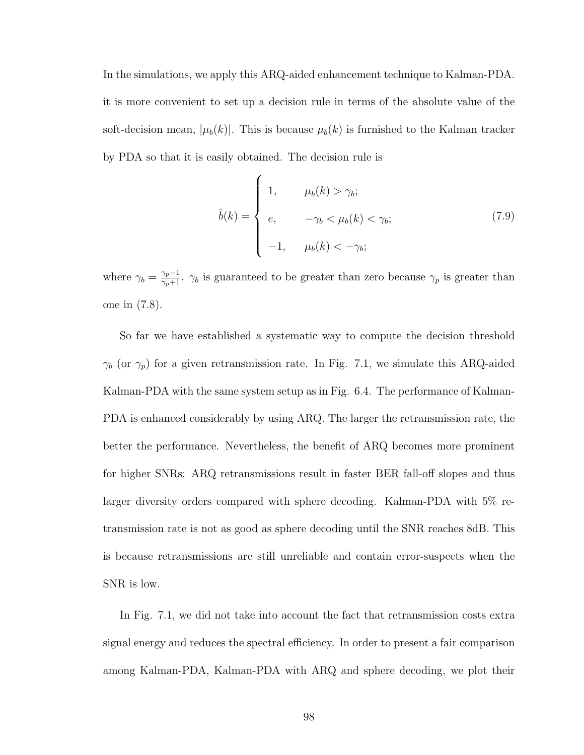In the simulations, we apply this ARQ-aided enhancement technique to Kalman-PDA. it is more convenient to set up a decision rule in terms of the absolute value of the soft-decision mean,  $|\mu_b(k)|$ . This is because  $\mu_b(k)$  is furnished to the Kalman tracker by PDA so that it is easily obtained. The decision rule is

 $\overline{a}$ 

$$
\hat{b}(k) = \begin{cases}\n1, & \mu_b(k) > \gamma_b; \\
e, & -\gamma_b < \mu_b(k) < \gamma_b; \\
-1, & \mu_b(k) < -\gamma_b;\n\end{cases}
$$
\n(7.9)

where  $\gamma_b = \frac{\gamma_p - 1}{\gamma_p + 1}$ .  $\gamma_b$  is guaranteed to be greater than zero because  $\gamma_p$  is greater than one in (7.8).

So far we have established a systematic way to compute the decision threshold  $\gamma_b$  (or  $\gamma_p$ ) for a given retransmission rate. In Fig. 7.1, we simulate this ARQ-aided Kalman-PDA with the same system setup as in Fig. 6.4. The performance of Kalman-PDA is enhanced considerably by using ARQ. The larger the retransmission rate, the better the performance. Nevertheless, the benefit of ARQ becomes more prominent for higher SNRs: ARQ retransmissions result in faster BER fall-off slopes and thus larger diversity orders compared with sphere decoding. Kalman-PDA with 5% retransmission rate is not as good as sphere decoding until the SNR reaches 8dB. This is because retransmissions are still unreliable and contain error-suspects when the SNR is low.

In Fig. 7.1, we did not take into account the fact that retransmission costs extra signal energy and reduces the spectral efficiency. In order to present a fair comparison among Kalman-PDA, Kalman-PDA with ARQ and sphere decoding, we plot their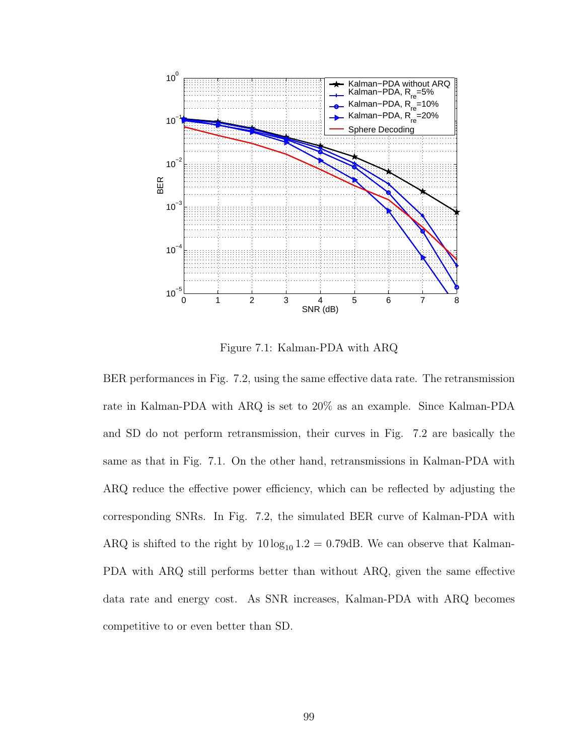

Figure 7.1: Kalman-PDA with ARQ

BER performances in Fig. 7.2, using the same effective data rate. The retransmission rate in Kalman-PDA with ARQ is set to 20% as an example. Since Kalman-PDA and SD do not perform retransmission, their curves in Fig. 7.2 are basically the same as that in Fig. 7.1. On the other hand, retransmissions in Kalman-PDA with ARQ reduce the effective power efficiency, which can be reflected by adjusting the corresponding SNRs. In Fig. 7.2, the simulated BER curve of Kalman-PDA with ARQ is shifted to the right by  $10 \log_{10} 1.2 = 0.79$ dB. We can observe that Kalman-PDA with ARQ still performs better than without ARQ, given the same effective data rate and energy cost. As SNR increases, Kalman-PDA with ARQ becomes competitive to or even better than SD.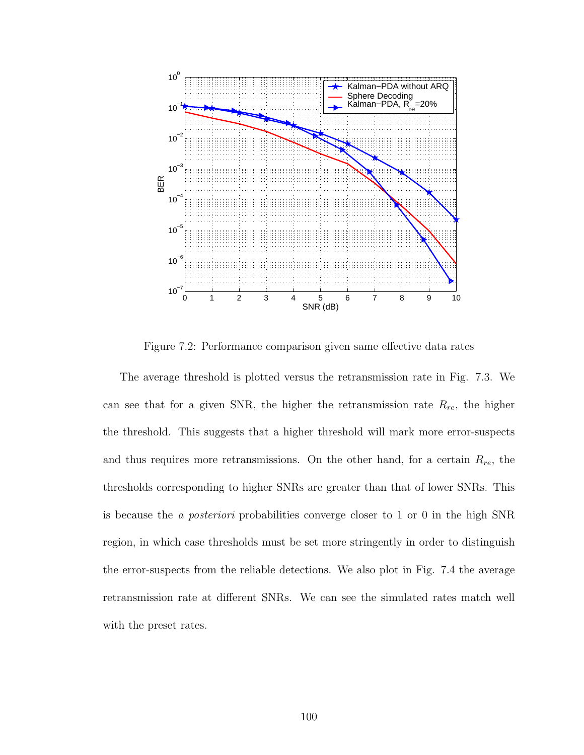

Figure 7.2: Performance comparison given same effective data rates

The average threshold is plotted versus the retransmission rate in Fig. 7.3. We can see that for a given SNR, the higher the retransmission rate  $R_{re}$ , the higher the threshold. This suggests that a higher threshold will mark more error-suspects and thus requires more retransmissions. On the other hand, for a certain  $R_{re}$ , the thresholds corresponding to higher SNRs are greater than that of lower SNRs. This is because the a posteriori probabilities converge closer to 1 or 0 in the high SNR region, in which case thresholds must be set more stringently in order to distinguish the error-suspects from the reliable detections. We also plot in Fig. 7.4 the average retransmission rate at different SNRs. We can see the simulated rates match well with the preset rates.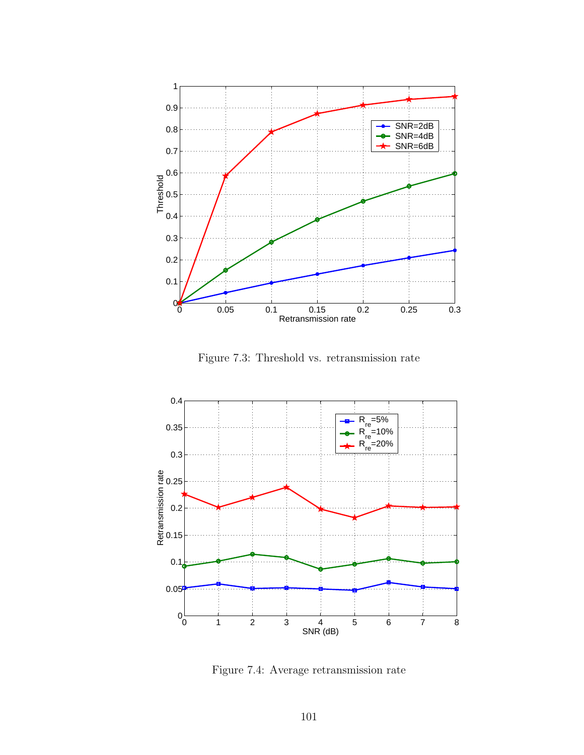

Figure 7.3: Threshold vs. retransmission rate



Figure 7.4: Average retransmission rate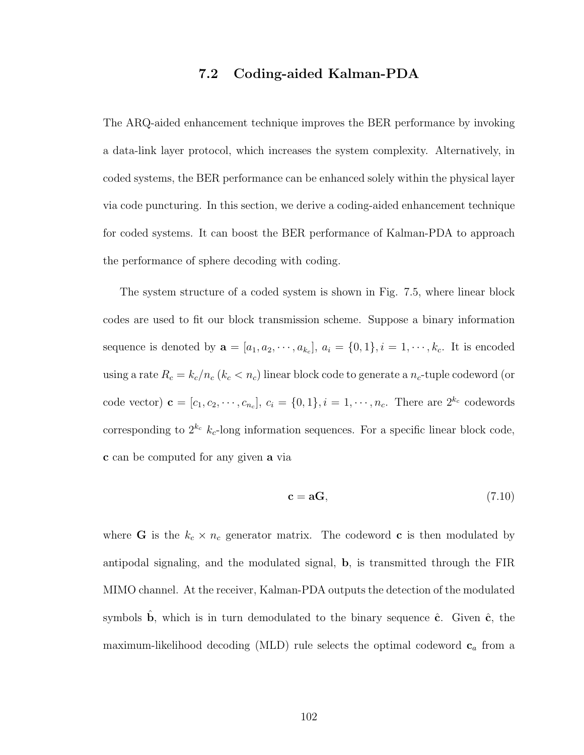## 7.2 Coding-aided Kalman-PDA

The ARQ-aided enhancement technique improves the BER performance by invoking a data-link layer protocol, which increases the system complexity. Alternatively, in coded systems, the BER performance can be enhanced solely within the physical layer via code puncturing. In this section, we derive a coding-aided enhancement technique for coded systems. It can boost the BER performance of Kalman-PDA to approach the performance of sphere decoding with coding.

The system structure of a coded system is shown in Fig. 7.5, where linear block codes are used to fit our block transmission scheme. Suppose a binary information sequence is denoted by  $\mathbf{a} = [a_1, a_2, \cdots, a_{k_c}], a_i = \{0, 1\}, i = 1, \cdots, k_c$ . It is encoded using a rate  $R_c = k_c/n_c$  ( $k_c < n_c$ ) linear block code to generate a  $n_c$ -tuple codeword (or code vector)  $\mathbf{c} = [c_1, c_2, \dots, c_{n_c}], c_i = \{0, 1\}, i = 1, \dots, n_c$ . There are  $2^{k_c}$  codewords corresponding to  $2^{k_c}$   $k_c$ -long information sequences. For a specific linear block code, c can be computed for any given a via

$$
\mathbf{c} = \mathbf{a}\mathbf{G},\tag{7.10}
$$

where **G** is the  $k_c \times n_c$  generator matrix. The codeword **c** is then modulated by antipodal signaling, and the modulated signal, b, is transmitted through the FIR MIMO channel. At the receiver, Kalman-PDA outputs the detection of the modulated symbols b, which is in turn demodulated to the binary sequence  $\hat{c}$ . Given  $\hat{c}$ , the maximum-likelihood decoding (MLD) rule selects the optimal codeword  $c_a$  from a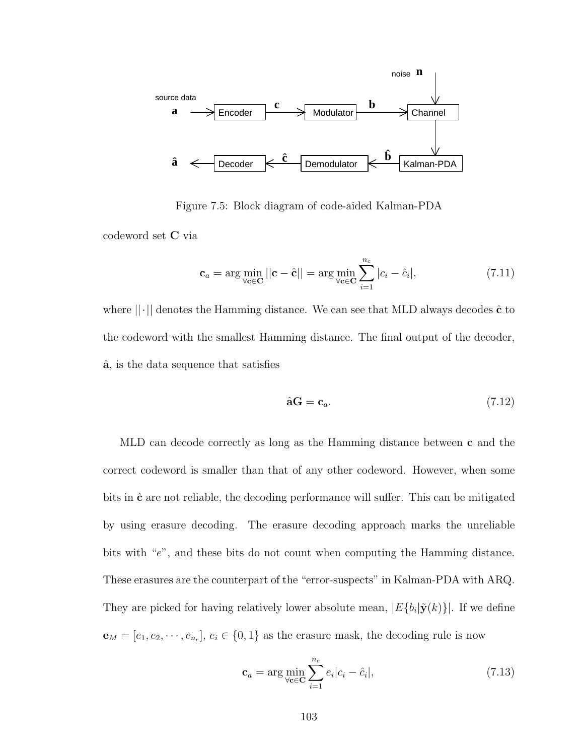

Figure 7.5: Block diagram of code-aided Kalman-PDA

codeword set C via

$$
\mathbf{c}_a = \arg \min_{\forall \mathbf{c} \in \mathbf{C}} ||\mathbf{c} - \hat{\mathbf{c}}|| = \arg \min_{\forall \mathbf{c} \in \mathbf{C}} \sum_{i=1}^{n_c} |c_i - \hat{c}_i|,
$$
 (7.11)

where  $\|\cdot\|$  denotes the Hamming distance. We can see that MLD always decodes  $\hat{\mathbf{c}}$  to the codeword with the smallest Hamming distance. The final output of the decoder, aˆ, is the data sequence that satisfies

$$
\hat{\mathbf{a}}\mathbf{G} = \mathbf{c}_a. \tag{7.12}
$$

MLD can decode correctly as long as the Hamming distance between c and the correct codeword is smaller than that of any other codeword. However, when some bits in  $\hat{\mathbf{c}}$  are not reliable, the decoding performance will suffer. This can be mitigated by using erasure decoding. The erasure decoding approach marks the unreliable bits with "e", and these bits do not count when computing the Hamming distance. These erasures are the counterpart of the "error-suspects" in Kalman-PDA with ARQ. They are picked for having relatively lower absolute mean,  $|E\{b_i|\tilde{\mathbf{y}}(k)\}|$ . If we define  $\mathbf{e}_M = [e_1, e_2, \dots, e_{n_c}], e_i \in \{0, 1\}$  as the erasure mask, the decoding rule is now

$$
\mathbf{c}_a = \arg\min_{\forall \mathbf{c} \in \mathbf{C}} \sum_{i=1}^{n_c} e_i |c_i - \hat{c}_i|,\tag{7.13}
$$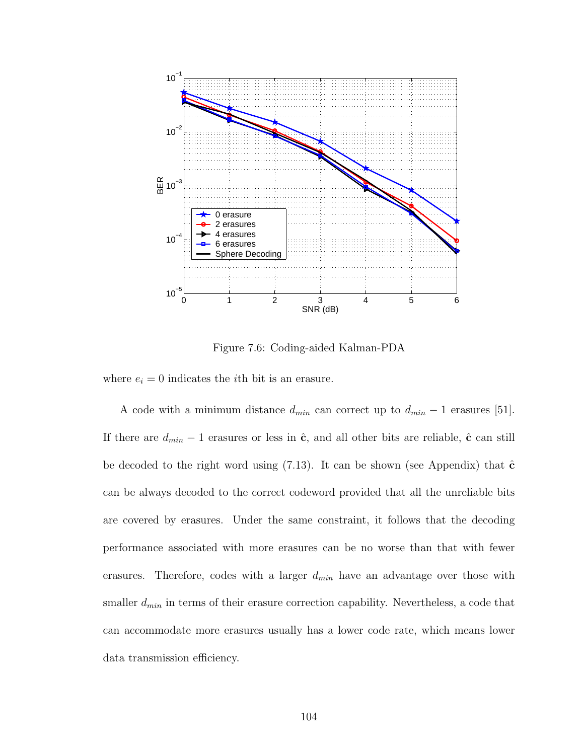

Figure 7.6: Coding-aided Kalman-PDA

where  $e_i = 0$  indicates the *i*th bit is an erasure.

A code with a minimum distance  $d_{min}$  can correct up to  $d_{min} - 1$  erasures [51]. If there are  $d_{min} - 1$  erasures or less in  $\hat{c}$ , and all other bits are reliable,  $\hat{c}$  can still be decoded to the right word using  $(7.13)$ . It can be shown (see Appendix) that  $\hat{\mathbf{c}}$ can be always decoded to the correct codeword provided that all the unreliable bits are covered by erasures. Under the same constraint, it follows that the decoding performance associated with more erasures can be no worse than that with fewer erasures. Therefore, codes with a larger  $d_{min}$  have an advantage over those with smaller  $d_{min}$  in terms of their erasure correction capability. Nevertheless, a code that can accommodate more erasures usually has a lower code rate, which means lower data transmission efficiency.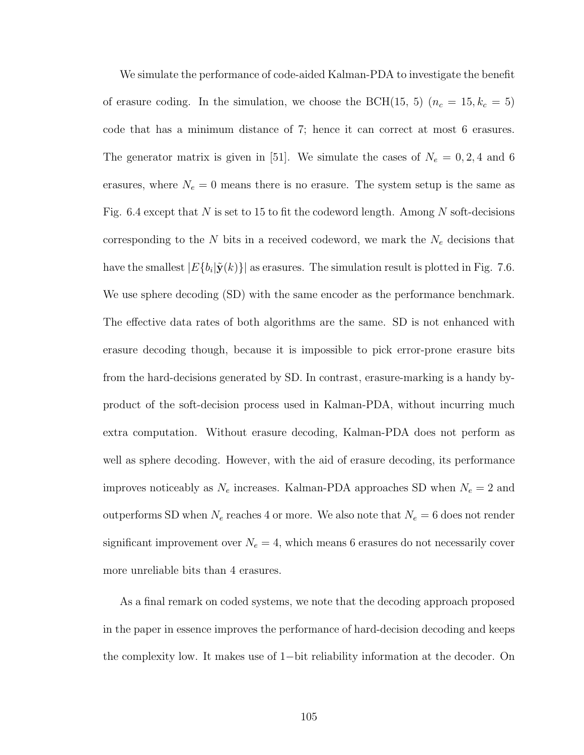We simulate the performance of code-aided Kalman-PDA to investigate the benefit of erasure coding. In the simulation, we choose the BCH(15, 5)  $(n_c = 15, k_c = 5)$ code that has a minimum distance of 7; hence it can correct at most 6 erasures. The generator matrix is given in [51]. We simulate the cases of  $N_e = 0, 2, 4$  and 6 erasures, where  $N_e = 0$  means there is no erasure. The system setup is the same as Fig. 6.4 except that N is set to 15 to fit the codeword length. Among N soft-decisions corresponding to the  $N$  bits in a received codeword, we mark the  $N_e$  decisions that have the smallest  $|E\{b_i | \tilde{\mathbf{y}}(k)\}|$  as erasures. The simulation result is plotted in Fig. 7.6. We use sphere decoding (SD) with the same encoder as the performance benchmark. The effective data rates of both algorithms are the same. SD is not enhanced with erasure decoding though, because it is impossible to pick error-prone erasure bits from the hard-decisions generated by SD. In contrast, erasure-marking is a handy byproduct of the soft-decision process used in Kalman-PDA, without incurring much extra computation. Without erasure decoding, Kalman-PDA does not perform as well as sphere decoding. However, with the aid of erasure decoding, its performance improves noticeably as  $N_e$  increases. Kalman-PDA approaches SD when  $N_e = 2$  and outperforms SD when  $N_e$  reaches 4 or more. We also note that  $N_e = 6$  does not render significant improvement over  $N_e = 4$ , which means 6 erasures do not necessarily cover more unreliable bits than 4 erasures.

As a final remark on coded systems, we note that the decoding approach proposed in the paper in essence improves the performance of hard-decision decoding and keeps the complexity low. It makes use of 1−bit reliability information at the decoder. On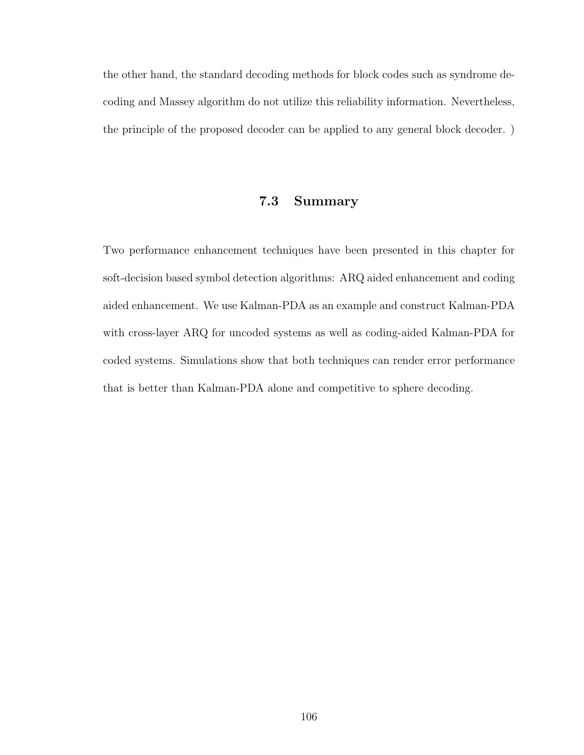the other hand, the standard decoding methods for block codes such as syndrome decoding and Massey algorithm do not utilize this reliability information. Nevertheless, the principle of the proposed decoder can be applied to any general block decoder. )

## 7.3 Summary

Two performance enhancement techniques have been presented in this chapter for soft-decision based symbol detection algorithms: ARQ aided enhancement and coding aided enhancement. We use Kalman-PDA as an example and construct Kalman-PDA with cross-layer ARQ for uncoded systems as well as coding-aided Kalman-PDA for coded systems. Simulations show that both techniques can render error performance that is better than Kalman-PDA alone and competitive to sphere decoding.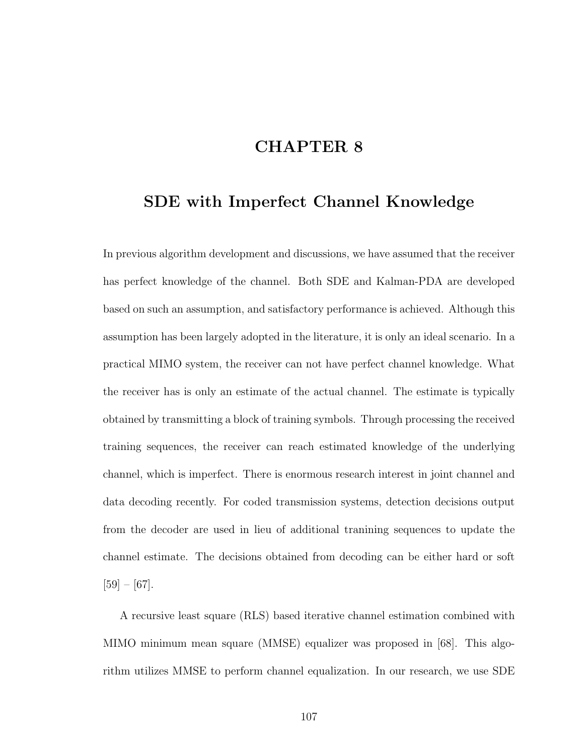# CHAPTER 8

## SDE with Imperfect Channel Knowledge

In previous algorithm development and discussions, we have assumed that the receiver has perfect knowledge of the channel. Both SDE and Kalman-PDA are developed based on such an assumption, and satisfactory performance is achieved. Although this assumption has been largely adopted in the literature, it is only an ideal scenario. In a practical MIMO system, the receiver can not have perfect channel knowledge. What the receiver has is only an estimate of the actual channel. The estimate is typically obtained by transmitting a block of training symbols. Through processing the received training sequences, the receiver can reach estimated knowledge of the underlying channel, which is imperfect. There is enormous research interest in joint channel and data decoding recently. For coded transmission systems, detection decisions output from the decoder are used in lieu of additional tranining sequences to update the channel estimate. The decisions obtained from decoding can be either hard or soft  $[59] - [67]$ .

A recursive least square (RLS) based iterative channel estimation combined with MIMO minimum mean square (MMSE) equalizer was proposed in [68]. This algorithm utilizes MMSE to perform channel equalization. In our research, we use SDE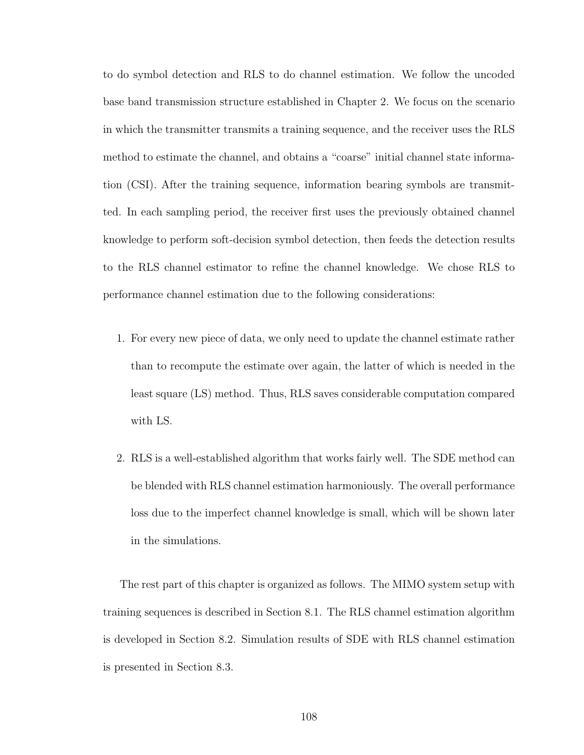to do symbol detection and RLS to do channel estimation. We follow the uncoded base band transmission structure established in Chapter 2. We focus on the scenario in which the transmitter transmits a training sequence, and the receiver uses the RLS method to estimate the channel, and obtains a "coarse" initial channel state information (CSI). After the training sequence, information bearing symbols are transmitted. In each sampling period, the receiver first uses the previously obtained channel knowledge to perform soft-decision symbol detection, then feeds the detection results to the RLS channel estimator to refine the channel knowledge. We chose RLS to performance channel estimation due to the following considerations:

- 1. For every new piece of data, we only need to update the channel estimate rather than to recompute the estimate over again, the latter of which is needed in the least square (LS) method. Thus, RLS saves considerable computation compared with LS.
- 2. RLS is a well-established algorithm that works fairly well. The SDE method can be blended with RLS channel estimation harmoniously. The overall performance loss due to the imperfect channel knowledge is small, which will be shown later in the simulations.

The rest part of this chapter is organized as follows. The MIMO system setup with training sequences is described in Section 8.1. The RLS channel estimation algorithm is developed in Section 8.2. Simulation results of SDE with RLS channel estimation is presented in Section 8.3.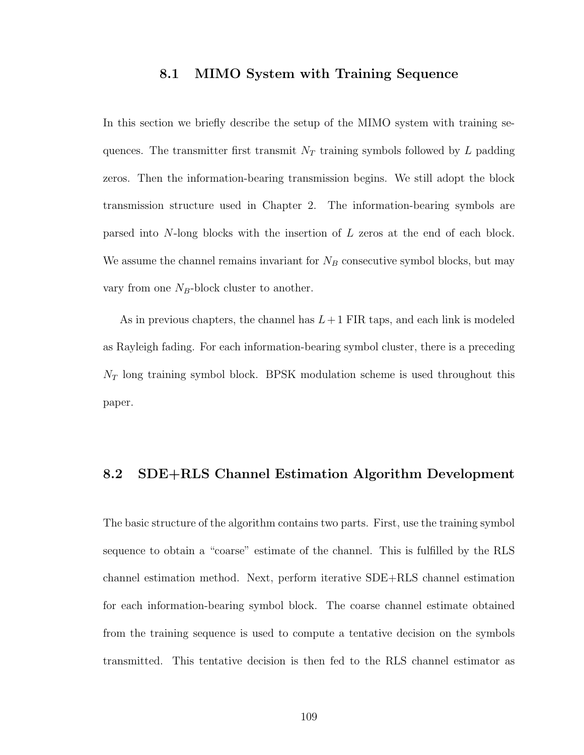#### 8.1 MIMO System with Training Sequence

In this section we briefly describe the setup of the MIMO system with training sequences. The transmitter first transmit  $N_T$  training symbols followed by L padding zeros. Then the information-bearing transmission begins. We still adopt the block transmission structure used in Chapter 2. The information-bearing symbols are parsed into N-long blocks with the insertion of L zeros at the end of each block. We assume the channel remains invariant for  $N_B$  consecutive symbol blocks, but may vary from one  $N_B$ -block cluster to another.

As in previous chapters, the channel has  $L+1$  FIR taps, and each link is modeled as Rayleigh fading. For each information-bearing symbol cluster, there is a preceding  $N_T$  long training symbol block. BPSK modulation scheme is used throughout this paper.

#### 8.2 SDE+RLS Channel Estimation Algorithm Development

The basic structure of the algorithm contains two parts. First, use the training symbol sequence to obtain a "coarse" estimate of the channel. This is fulfilled by the RLS channel estimation method. Next, perform iterative SDE+RLS channel estimation for each information-bearing symbol block. The coarse channel estimate obtained from the training sequence is used to compute a tentative decision on the symbols transmitted. This tentative decision is then fed to the RLS channel estimator as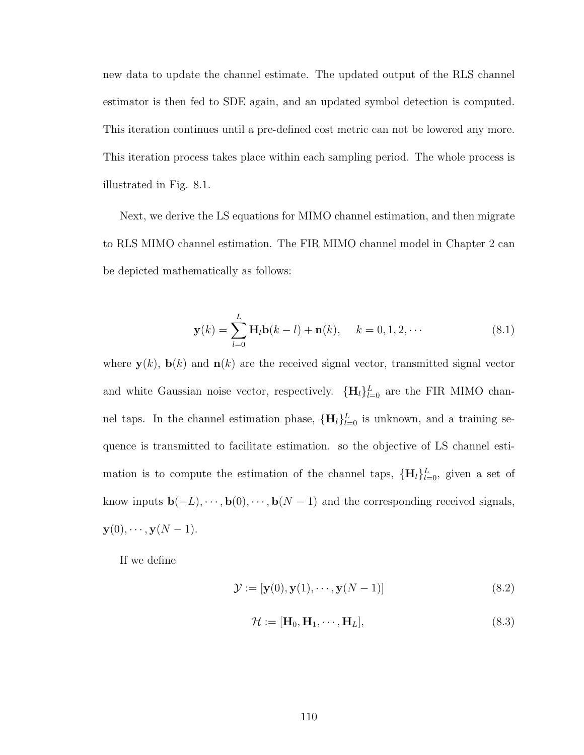new data to update the channel estimate. The updated output of the RLS channel estimator is then fed to SDE again, and an updated symbol detection is computed. This iteration continues until a pre-defined cost metric can not be lowered any more. This iteration process takes place within each sampling period. The whole process is illustrated in Fig. 8.1.

Next, we derive the LS equations for MIMO channel estimation, and then migrate to RLS MIMO channel estimation. The FIR MIMO channel model in Chapter 2 can be depicted mathematically as follows:

$$
\mathbf{y}(k) = \sum_{l=0}^{L} \mathbf{H}_l \mathbf{b}(k-l) + \mathbf{n}(k), \quad k = 0, 1, 2, \cdots
$$
 (8.1)

where  $y(k)$ ,  $b(k)$  and  $n(k)$  are the received signal vector, transmitted signal vector and white Gaussian noise vector, respectively.  $\{\mathbf{H}_l\}_{l=0}^L$  are the FIR MIMO channel taps. In the channel estimation phase,  $\{\mathbf{H}_l\}_{l=0}^L$  is unknown, and a training sequence is transmitted to facilitate estimation. so the objective of LS channel estimation is to compute the estimation of the channel taps,  ${H_l}_{l=0}^L$ , given a set of know inputs  $\mathbf{b}(-L), \dots, \mathbf{b}(0), \dots, \mathbf{b}(N-1)$  and the corresponding received signals,  $\mathbf{y}(0), \cdots, \mathbf{y}(N-1).$ 

If we define

$$
\mathcal{Y} := [\mathbf{y}(0), \mathbf{y}(1), \cdots, \mathbf{y}(N-1)] \tag{8.2}
$$

$$
\mathcal{H} := [\mathbf{H}_0, \mathbf{H}_1, \cdots, \mathbf{H}_L],\tag{8.3}
$$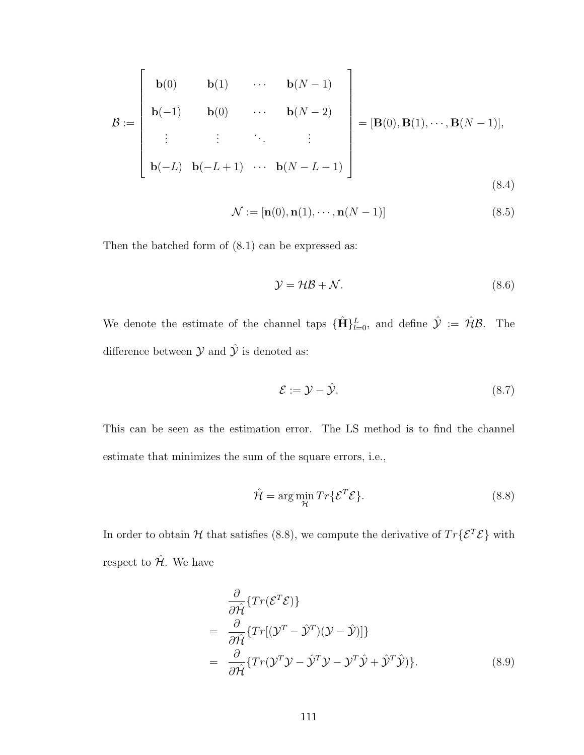$$
\mathcal{B} := \begin{bmatrix} \mathbf{b}(0) & \mathbf{b}(1) & \cdots & \mathbf{b}(N-1) \\ \mathbf{b}(-1) & \mathbf{b}(0) & \cdots & \mathbf{b}(N-2) \\ \vdots & \vdots & \ddots & \vdots \\ \mathbf{b}(-L) & \mathbf{b}(-L+1) & \cdots & \mathbf{b}(N-L-1) \end{bmatrix} = [\mathbf{B}(0), \mathbf{B}(1), \cdots, \mathbf{B}(N-1)],
$$
\n(8.4)

$$
\mathcal{N} := [\mathbf{n}(0), \mathbf{n}(1), \cdots, \mathbf{n}(N-1)] \tag{8.5}
$$

Then the batched form of (8.1) can be expressed as:

$$
\mathcal{Y} = \mathcal{HB} + \mathcal{N}.\tag{8.6}
$$

We denote the estimate of the channel taps  ${\{\hat{H}\}}_{l=0}^L$ , and define  $\hat{y} := \hat{\mathcal{H}}\mathcal{B}$ . The difference between  $\mathcal Y$  and  $\hat{\mathcal Y}$  is denoted as:

$$
\mathcal{E} := \mathcal{Y} - \hat{\mathcal{Y}}.\tag{8.7}
$$

This can be seen as the estimation error. The LS method is to find the channel estimate that minimizes the sum of the square errors, i.e.,

$$
\hat{\mathcal{H}} = \arg\min_{\mathcal{H}} Tr{\{\mathcal{E}^T \mathcal{E}\}}.
$$
\n(8.8)

In order to obtain  $H$  that satisfies (8.8), we compute the derivative of  $Tr{E^{T}\mathcal{E}}$  with respect to  $\hat{\mathcal{H}}$ . We have

$$
\frac{\partial}{\partial \hat{\mathcal{H}}}\left\{Tr(\mathcal{E}^T \mathcal{E})\right\} \n= \frac{\partial}{\partial \hat{\mathcal{H}}}\left\{Tr[(\mathcal{Y}^T - \hat{\mathcal{Y}}^T)(\mathcal{Y} - \hat{\mathcal{Y}})]\right\} \n= \frac{\partial}{\partial \hat{\mathcal{H}}}\left\{Tr(\mathcal{Y}^T\mathcal{Y} - \hat{\mathcal{Y}}^T\mathcal{Y} - \mathcal{Y}^T\hat{\mathcal{Y}} + \hat{\mathcal{Y}}^T\hat{\mathcal{Y}})\right\}.
$$
\n(8.9)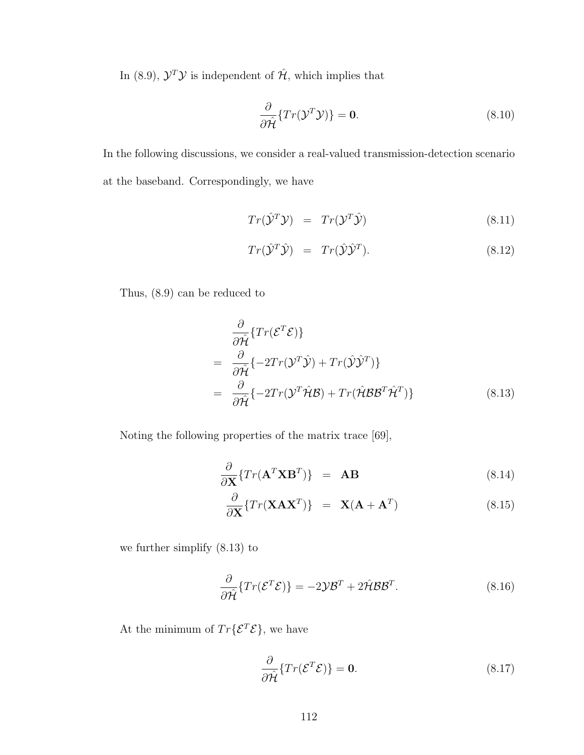In (8.9),  $\mathcal{Y}^T \mathcal{Y}$  is independent of  $\hat{\mathcal{H}}$ , which implies that

$$
\frac{\partial}{\partial \hat{\mathcal{H}}} \{ Tr(\mathcal{Y}^T \mathcal{Y}) \} = \mathbf{0}.
$$
 (8.10)

In the following discussions, we consider a real-valued transmission-detection scenario at the baseband. Correspondingly, we have

$$
Tr(\hat{\mathcal{Y}}^T \mathcal{Y}) = Tr(\mathcal{Y}^T \hat{\mathcal{Y}})
$$
\n(8.11)

$$
Tr(\hat{\mathcal{Y}}^T \hat{\mathcal{Y}}) = Tr(\hat{\mathcal{Y}} \hat{\mathcal{Y}}^T).
$$
\n(8.12)

Thus, (8.9) can be reduced to

$$
\frac{\partial}{\partial \hat{\mathcal{H}}} \{ Tr(\mathcal{E}^T \mathcal{E}) \}
$$
\n
$$
= \frac{\partial}{\partial \hat{\mathcal{H}}} \{ -2Tr(\mathcal{Y}^T \hat{\mathcal{Y}}) + Tr(\hat{\mathcal{Y}} \hat{\mathcal{Y}}^T) \}
$$
\n
$$
= \frac{\partial}{\partial \hat{\mathcal{H}}} \{ -2Tr(\mathcal{Y}^T \hat{\mathcal{H}} \mathcal{B}) + Tr(\hat{\mathcal{H}} \mathcal{B} \mathcal{B}^T \hat{\mathcal{H}}^T) \}
$$
\n(8.13)

Noting the following properties of the matrix trace [69],

$$
\frac{\partial}{\partial \mathbf{X}} \{ Tr(\mathbf{A}^T \mathbf{X} \mathbf{B}^T) \} = \mathbf{A} \mathbf{B}
$$
 (8.14)

$$
\frac{\partial}{\partial \mathbf{X}} \{ Tr(\mathbf{X} \mathbf{A} \mathbf{X}^T) \} = \mathbf{X} (\mathbf{A} + \mathbf{A}^T) \tag{8.15}
$$

we further simplify (8.13) to

$$
\frac{\partial}{\partial \hat{\mathcal{H}}} \{ Tr(\mathcal{E}^T \mathcal{E}) \} = -2 \mathcal{Y} \mathcal{B}^T + 2 \hat{\mathcal{H}} \mathcal{B} \mathcal{B}^T.
$$
 (8.16)

At the minimum of  $Tr\{\mathcal{E}^T\mathcal{E}\},$  we have

$$
\frac{\partial}{\partial \hat{\mathcal{H}}} \{ Tr(\mathcal{E}^T \mathcal{E}) \} = \mathbf{0}.
$$
 (8.17)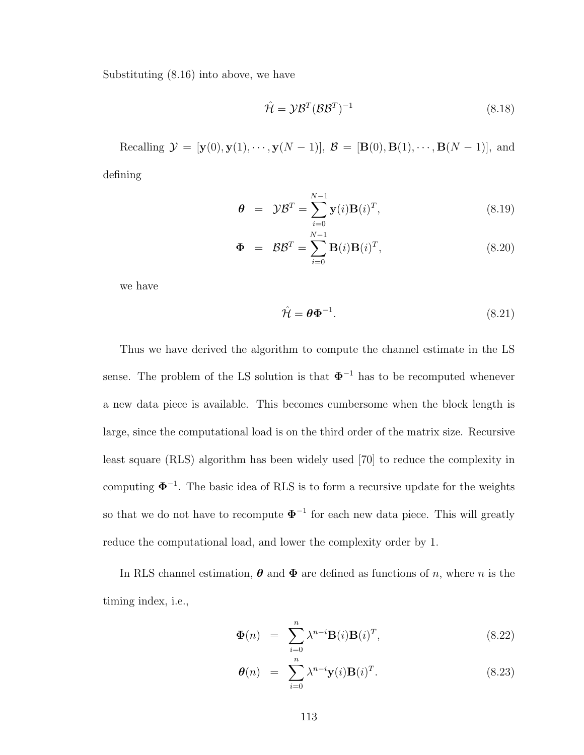Substituting (8.16) into above, we have

$$
\hat{\mathcal{H}} = \mathcal{Y}\mathcal{B}^T (\mathcal{B}\mathcal{B}^T)^{-1} \tag{8.18}
$$

Recalling  $\mathcal{Y} = [\mathbf{y}(0), \mathbf{y}(1), \cdots, \mathbf{y}(N-1)], \mathcal{B} = [\mathbf{B}(0), \mathbf{B}(1), \cdots, \mathbf{B}(N-1)],$  and defining

$$
\boldsymbol{\theta} = \mathcal{Y}\mathcal{B}^T = \sum_{i=0}^{N-1} \mathbf{y}(i)\mathbf{B}(i)^T, \tag{8.19}
$$

$$
\mathbf{\Phi} = \mathcal{B}\mathcal{B}^T = \sum_{i=0}^{N-1} \mathbf{B}(i)\mathbf{B}(i)^T,
$$
\n(8.20)

we have

$$
\hat{\mathcal{H}} = \theta \Phi^{-1}.
$$
\n(8.21)

Thus we have derived the algorithm to compute the channel estimate in the LS sense. The problem of the LS solution is that  $\Phi^{-1}$  has to be recomputed whenever a new data piece is available. This becomes cumbersome when the block length is large, since the computational load is on the third order of the matrix size. Recursive least square (RLS) algorithm has been widely used [70] to reduce the complexity in computing  $\Phi^{-1}$ . The basic idea of RLS is to form a recursive update for the weights so that we do not have to recompute  $\Phi^{-1}$  for each new data piece. This will greatly reduce the computational load, and lower the complexity order by 1.

In RLS channel estimation,  $\boldsymbol{\theta}$  and  $\boldsymbol{\Phi}$  are defined as functions of n, where n is the timing index, i.e.,

$$
\mathbf{\Phi}(n) = \sum_{i=0}^{n} \lambda^{n-i} \mathbf{B}(i) \mathbf{B}(i)^{T}, \qquad (8.22)
$$

$$
\boldsymbol{\theta}(n) = \sum_{i=0}^{n} \lambda^{n-i} \mathbf{y}(i) \mathbf{B}(i)^{T}.
$$
 (8.23)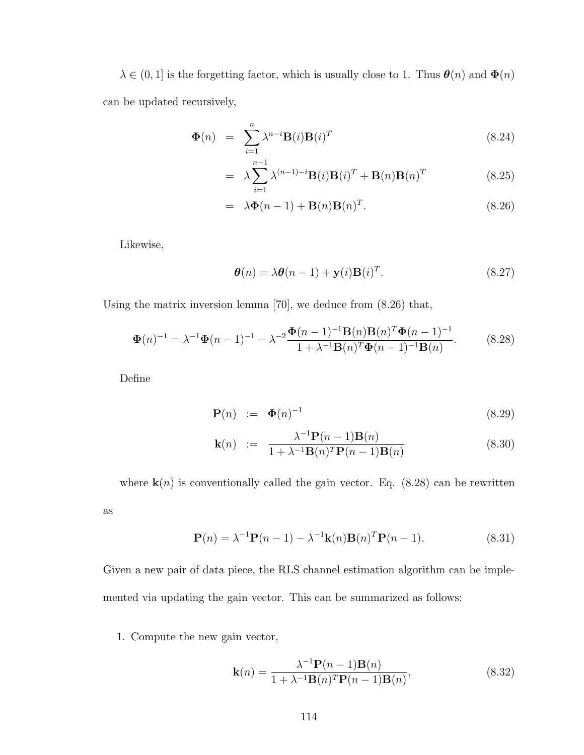$\lambda \in (0, 1]$  is the forgetting factor, which is usually close to 1. Thus  $\theta(n)$  and  $\Phi(n)$ can be updated recursively,

$$
\Phi(n) = \sum_{i=1}^{n} \lambda^{n-i} \mathbf{B}(i) \mathbf{B}(i)^{T}
$$
\n(8.24)

$$
= \lambda \sum_{i=1}^{n-1} \lambda^{(n-1)-i} \mathbf{B}(i) \mathbf{B}(i)^{T} + \mathbf{B}(n) \mathbf{B}(n)^{T}
$$
(8.25)

$$
= \lambda \mathbf{\Phi}(n-1) + \mathbf{B}(n)\mathbf{B}(n)^{T}.
$$
 (8.26)

Likewise,

$$
\boldsymbol{\theta}(n) = \lambda \boldsymbol{\theta}(n-1) + \mathbf{y}(i)\mathbf{B}(i)^{T}.
$$
\n(8.27)

Using the matrix inversion lemma [70], we deduce from (8.26) that,

$$
\Phi(n)^{-1} = \lambda^{-1} \Phi(n-1)^{-1} - \lambda^{-2} \frac{\Phi(n-1)^{-1} \mathbf{B}(n) \mathbf{B}(n)^{T} \Phi(n-1)^{-1}}{1 + \lambda^{-1} \mathbf{B}(n)^{T} \Phi(n-1)^{-1} \mathbf{B}(n)}.
$$
(8.28)

Define

$$
\mathbf{P}(n) \quad := \quad \mathbf{\Phi}(n)^{-1} \tag{8.29}
$$

$$
\mathbf{k}(n) := \frac{\lambda^{-1} \mathbf{P}(n-1) \mathbf{B}(n)}{1 + \lambda^{-1} \mathbf{B}(n)^T \mathbf{P}(n-1) \mathbf{B}(n)}
$$
(8.30)

where  $\mathbf{k}(n)$  is conventionally called the gain vector. Eq. (8.28) can be rewritten as

$$
\mathbf{P}(n) = \lambda^{-1} \mathbf{P}(n-1) - \lambda^{-1} \mathbf{k}(n) \mathbf{B}(n)^T \mathbf{P}(n-1).
$$
 (8.31)

Given a new pair of data piece, the RLS channel estimation algorithm can be implemented via updating the gain vector. This can be summarized as follows:

#### 1. Compute the new gain vector,

$$
\mathbf{k}(n) = \frac{\lambda^{-1} \mathbf{P}(n-1) \mathbf{B}(n)}{1 + \lambda^{-1} \mathbf{B}(n)^T \mathbf{P}(n-1) \mathbf{B}(n)},
$$
(8.32)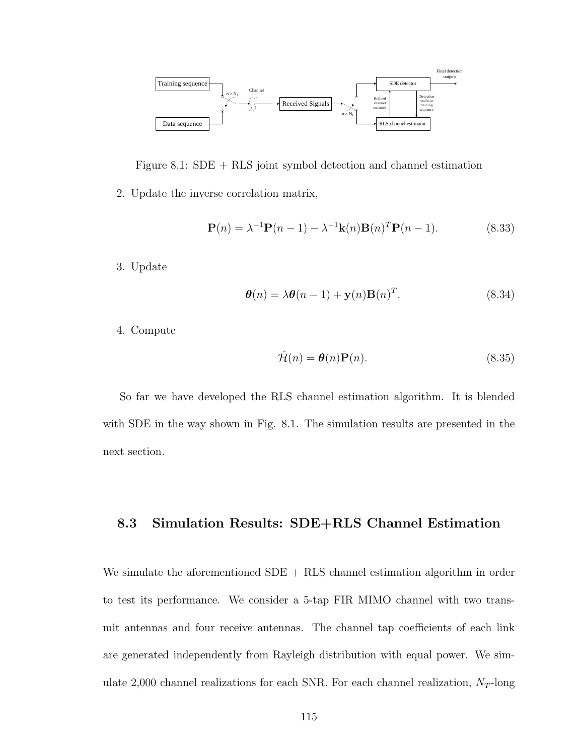

Figure 8.1: SDE + RLS joint symbol detection and channel estimation

2. Update the inverse correlation matrix,

$$
\mathbf{P}(n) = \lambda^{-1} \mathbf{P}(n-1) - \lambda^{-1} \mathbf{k}(n) \mathbf{B}(n)^T \mathbf{P}(n-1).
$$
 (8.33)

3. Update

$$
\boldsymbol{\theta}(n) = \lambda \boldsymbol{\theta}(n-1) + \mathbf{y}(n) \mathbf{B}(n)^T.
$$
\n(8.34)

4. Compute

$$
\hat{\mathcal{H}}(n) = \mathbf{\theta}(n)\mathbf{P}(n). \tag{8.35}
$$

So far we have developed the RLS channel estimation algorithm. It is blended with SDE in the way shown in Fig. 8.1. The simulation results are presented in the next section.

### 8.3 Simulation Results: SDE+RLS Channel Estimation

We simulate the aforementioned  $SDE + RLS$  channel estimation algorithm in order to test its performance. We consider a 5-tap FIR MIMO channel with two transmit antennas and four receive antennas. The channel tap coefficients of each link are generated independently from Rayleigh distribution with equal power. We simulate 2,000 channel realizations for each SNR. For each channel realization,  $N_T$ -long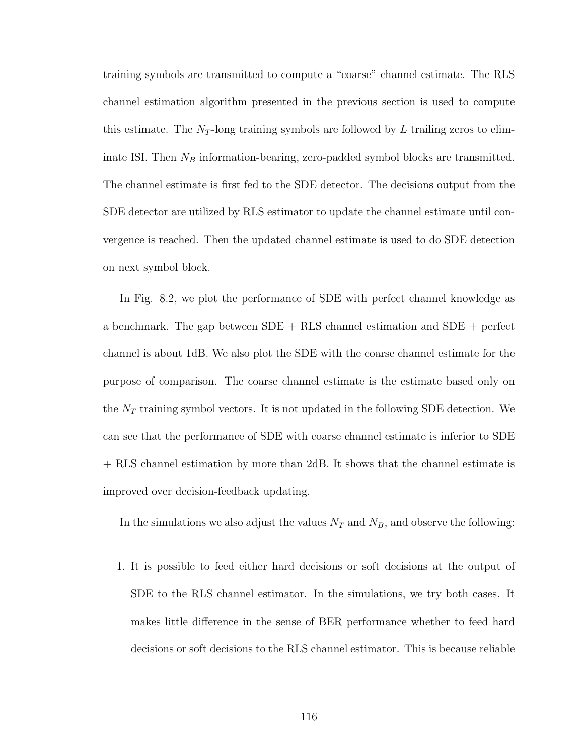training symbols are transmitted to compute a "coarse" channel estimate. The RLS channel estimation algorithm presented in the previous section is used to compute this estimate. The  $N_T$ -long training symbols are followed by  $L$  trailing zeros to eliminate ISI. Then  $N_B$  information-bearing, zero-padded symbol blocks are transmitted. The channel estimate is first fed to the SDE detector. The decisions output from the SDE detector are utilized by RLS estimator to update the channel estimate until convergence is reached. Then the updated channel estimate is used to do SDE detection on next symbol block.

In Fig. 8.2, we plot the performance of SDE with perfect channel knowledge as a benchmark. The gap between SDE + RLS channel estimation and SDE + perfect channel is about 1dB. We also plot the SDE with the coarse channel estimate for the purpose of comparison. The coarse channel estimate is the estimate based only on the  $N_T$  training symbol vectors. It is not updated in the following SDE detection. We can see that the performance of SDE with coarse channel estimate is inferior to SDE + RLS channel estimation by more than 2dB. It shows that the channel estimate is improved over decision-feedback updating.

In the simulations we also adjust the values  $N_T$  and  $N_B$ , and observe the following:

1. It is possible to feed either hard decisions or soft decisions at the output of SDE to the RLS channel estimator. In the simulations, we try both cases. It makes little difference in the sense of BER performance whether to feed hard decisions or soft decisions to the RLS channel estimator. This is because reliable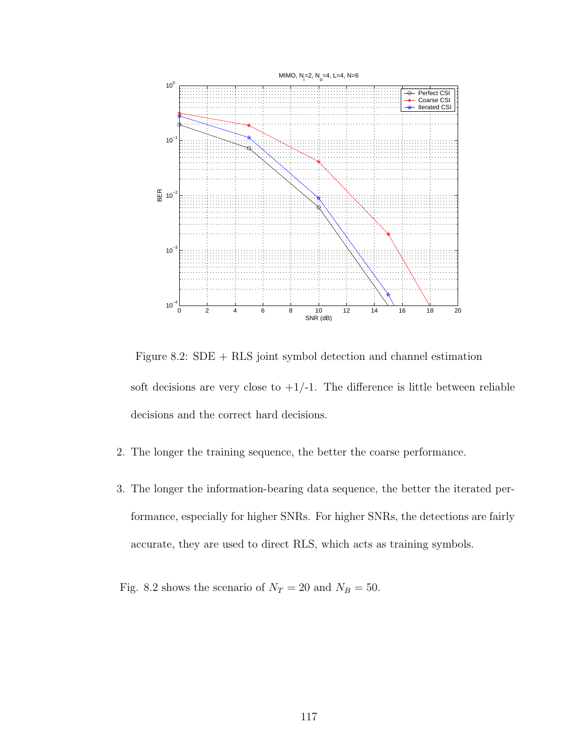

Figure 8.2: SDE + RLS joint symbol detection and channel estimation soft decisions are very close to  $+1/-1$ . The difference is little between reliable decisions and the correct hard decisions.

- 2. The longer the training sequence, the better the coarse performance.
- 3. The longer the information-bearing data sequence, the better the iterated performance, especially for higher SNRs. For higher SNRs, the detections are fairly accurate, they are used to direct RLS, which acts as training symbols.

Fig. 8.2 shows the scenario of  $N_T = 20$  and  $N_B = 50$ .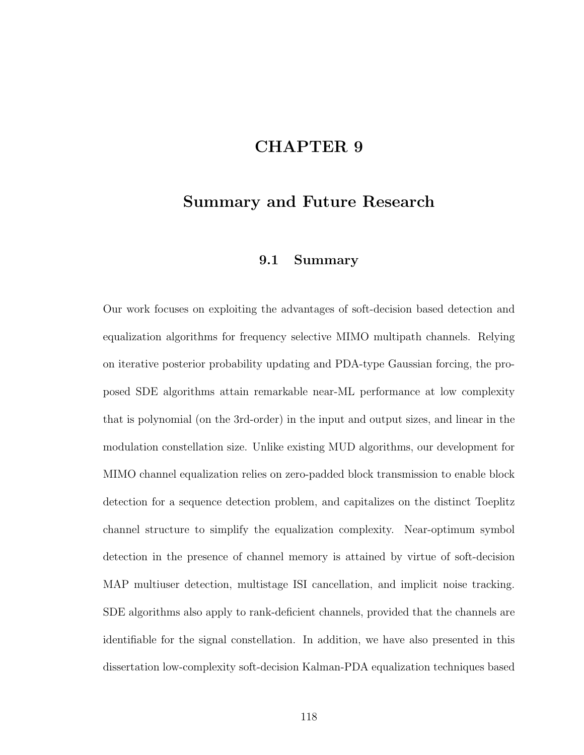# CHAPTER 9

## Summary and Future Research

#### 9.1 Summary

Our work focuses on exploiting the advantages of soft-decision based detection and equalization algorithms for frequency selective MIMO multipath channels. Relying on iterative posterior probability updating and PDA-type Gaussian forcing, the proposed SDE algorithms attain remarkable near-ML performance at low complexity that is polynomial (on the 3rd-order) in the input and output sizes, and linear in the modulation constellation size. Unlike existing MUD algorithms, our development for MIMO channel equalization relies on zero-padded block transmission to enable block detection for a sequence detection problem, and capitalizes on the distinct Toeplitz channel structure to simplify the equalization complexity. Near-optimum symbol detection in the presence of channel memory is attained by virtue of soft-decision MAP multiuser detection, multistage ISI cancellation, and implicit noise tracking. SDE algorithms also apply to rank-deficient channels, provided that the channels are identifiable for the signal constellation. In addition, we have also presented in this dissertation low-complexity soft-decision Kalman-PDA equalization techniques based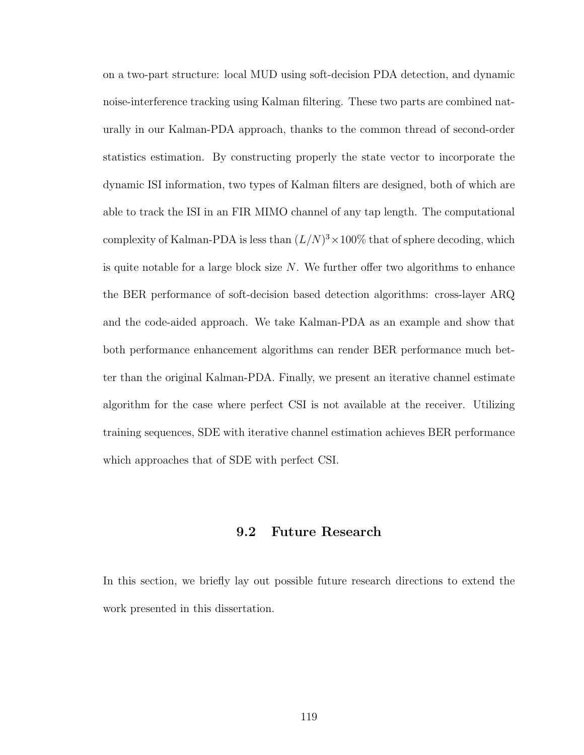on a two-part structure: local MUD using soft-decision PDA detection, and dynamic noise-interference tracking using Kalman filtering. These two parts are combined naturally in our Kalman-PDA approach, thanks to the common thread of second-order statistics estimation. By constructing properly the state vector to incorporate the dynamic ISI information, two types of Kalman filters are designed, both of which are able to track the ISI in an FIR MIMO channel of any tap length. The computational complexity of Kalman-PDA is less than  $(L/N)^3 \times 100\%$  that of sphere decoding, which is quite notable for a large block size  $N$ . We further offer two algorithms to enhance the BER performance of soft-decision based detection algorithms: cross-layer ARQ and the code-aided approach. We take Kalman-PDA as an example and show that both performance enhancement algorithms can render BER performance much better than the original Kalman-PDA. Finally, we present an iterative channel estimate algorithm for the case where perfect CSI is not available at the receiver. Utilizing training sequences, SDE with iterative channel estimation achieves BER performance which approaches that of SDE with perfect CSI.

#### 9.2 Future Research

In this section, we briefly lay out possible future research directions to extend the work presented in this dissertation.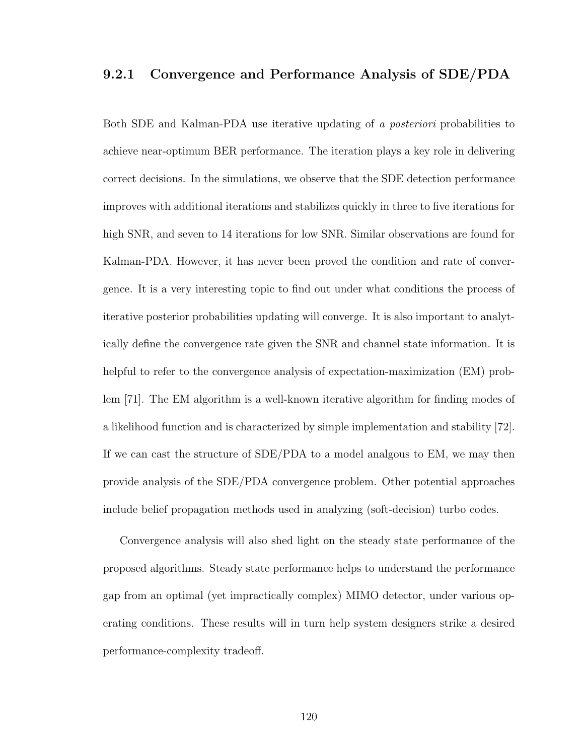#### 9.2.1 Convergence and Performance Analysis of SDE/PDA

Both SDE and Kalman-PDA use iterative updating of a posteriori probabilities to achieve near-optimum BER performance. The iteration plays a key role in delivering correct decisions. In the simulations, we observe that the SDE detection performance improves with additional iterations and stabilizes quickly in three to five iterations for high SNR, and seven to 14 iterations for low SNR. Similar observations are found for Kalman-PDA. However, it has never been proved the condition and rate of convergence. It is a very interesting topic to find out under what conditions the process of iterative posterior probabilities updating will converge. It is also important to analytically define the convergence rate given the SNR and channel state information. It is helpful to refer to the convergence analysis of expectation-maximization (EM) problem [71]. The EM algorithm is a well-known iterative algorithm for finding modes of a likelihood function and is characterized by simple implementation and stability [72]. If we can cast the structure of SDE/PDA to a model analgous to EM, we may then provide analysis of the SDE/PDA convergence problem. Other potential approaches include belief propagation methods used in analyzing (soft-decision) turbo codes.

Convergence analysis will also shed light on the steady state performance of the proposed algorithms. Steady state performance helps to understand the performance gap from an optimal (yet impractically complex) MIMO detector, under various operating conditions. These results will in turn help system designers strike a desired performance-complexity tradeoff.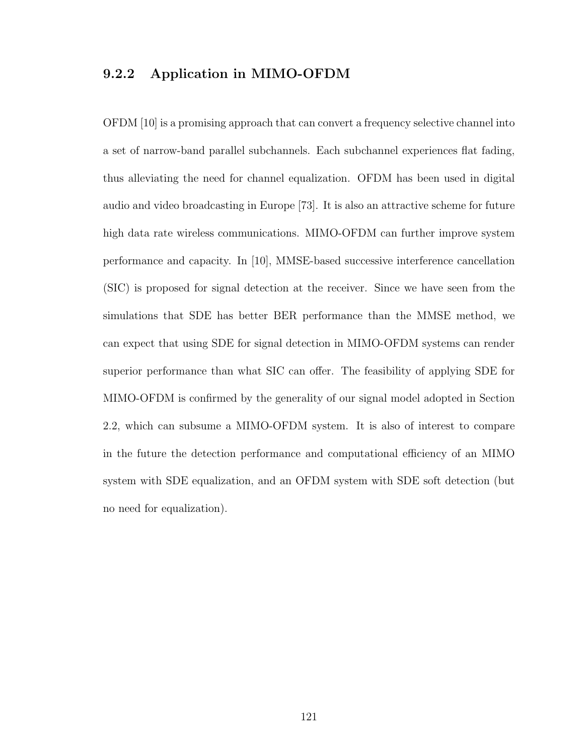### 9.2.2 Application in MIMO-OFDM

OFDM [10] is a promising approach that can convert a frequency selective channel into a set of narrow-band parallel subchannels. Each subchannel experiences flat fading, thus alleviating the need for channel equalization. OFDM has been used in digital audio and video broadcasting in Europe [73]. It is also an attractive scheme for future high data rate wireless communications. MIMO-OFDM can further improve system performance and capacity. In [10], MMSE-based successive interference cancellation (SIC) is proposed for signal detection at the receiver. Since we have seen from the simulations that SDE has better BER performance than the MMSE method, we can expect that using SDE for signal detection in MIMO-OFDM systems can render superior performance than what SIC can offer. The feasibility of applying SDE for MIMO-OFDM is confirmed by the generality of our signal model adopted in Section 2.2, which can subsume a MIMO-OFDM system. It is also of interest to compare in the future the detection performance and computational efficiency of an MIMO system with SDE equalization, and an OFDM system with SDE soft detection (but no need for equalization).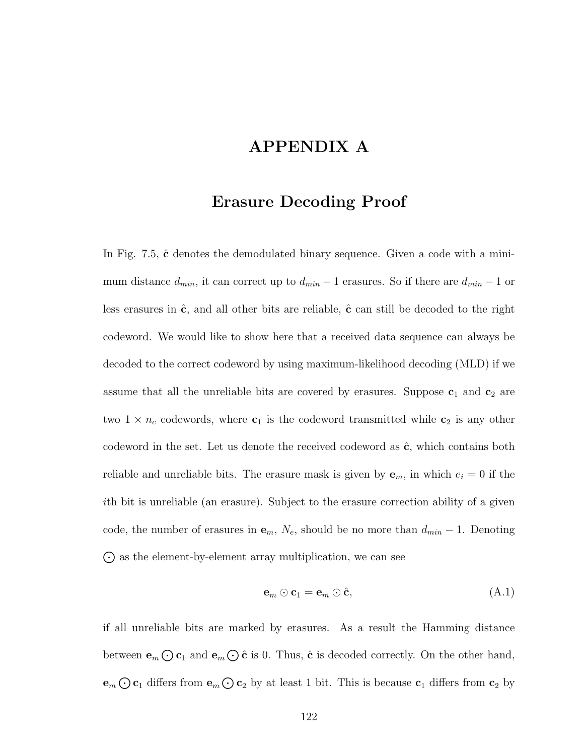# APPENDIX A

## Erasure Decoding Proof

In Fig.  $7.5$ ,  $\hat{\mathbf{c}}$  denotes the demodulated binary sequence. Given a code with a minimum distance  $d_{min}$ , it can correct up to  $d_{min} - 1$  erasures. So if there are  $d_{min} - 1$  or less erasures in  $\hat{c}$ , and all other bits are reliable,  $\hat{c}$  can still be decoded to the right codeword. We would like to show here that a received data sequence can always be decoded to the correct codeword by using maximum-likelihood decoding (MLD) if we assume that all the unreliable bits are covered by erasures. Suppose  $c_1$  and  $c_2$  are two  $1 \times n_c$  codewords, where  $c_1$  is the codeword transmitted while  $c_2$  is any other codeword in the set. Let us denote the received codeword as  $\hat{c}$ , which contains both reliable and unreliable bits. The erasure mask is given by  $e_m$ , in which  $e_i = 0$  if the ith bit is unreliable (an erasure). Subject to the erasure correction ability of a given code, the number of erasures in  $e_m$ ,  $N_e$ , should be no more than  $d_{min} - 1$ . Denoting  $\odot$  as the element-by-element array multiplication, we can see

$$
\mathbf{e}_m \odot \mathbf{c}_1 = \mathbf{e}_m \odot \hat{\mathbf{c}},\tag{A.1}
$$

if all unreliable bits are marked by erasures. As a result the Hamming distance between  $\mathbf{e}_m \bigodot \mathbf{c}_1$  and  $\mathbf{e}_m \bigodot \hat{\mathbf{c}}$  is 0. Thus,  $\hat{\mathbf{c}}$  is decoded correctly. On the other hand,  $\mathbf{e}_m \bigodot \mathbf{c}_1$  differs from  $\mathbf{e}_m \bigodot \mathbf{c}_2$  by at least 1 bit. This is because  $\mathbf{c}_1$  differs from  $\mathbf{c}_2$  by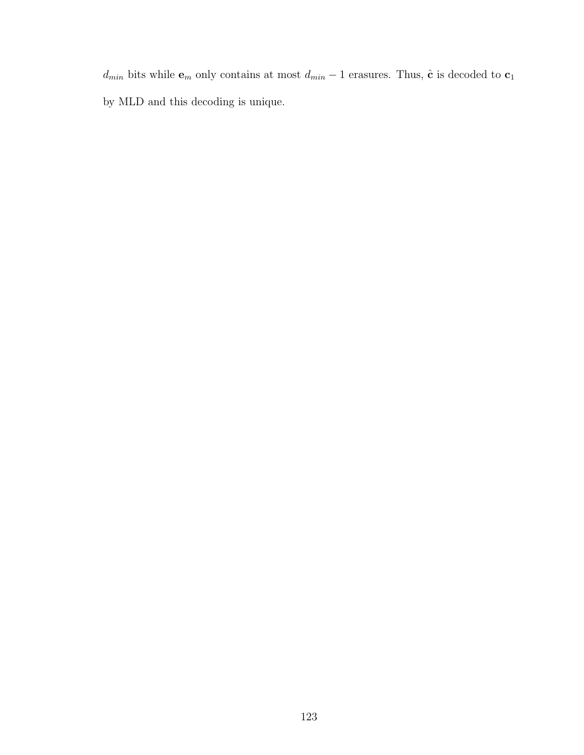$d_{min}$  bits while  $\mathbf{e}_m$  only contains at most  $d_{min}-1$  erasures. Thus,  $\hat{\mathbf{c}}$  is decoded to  $\mathbf{c}_1$ by MLD and this decoding is unique.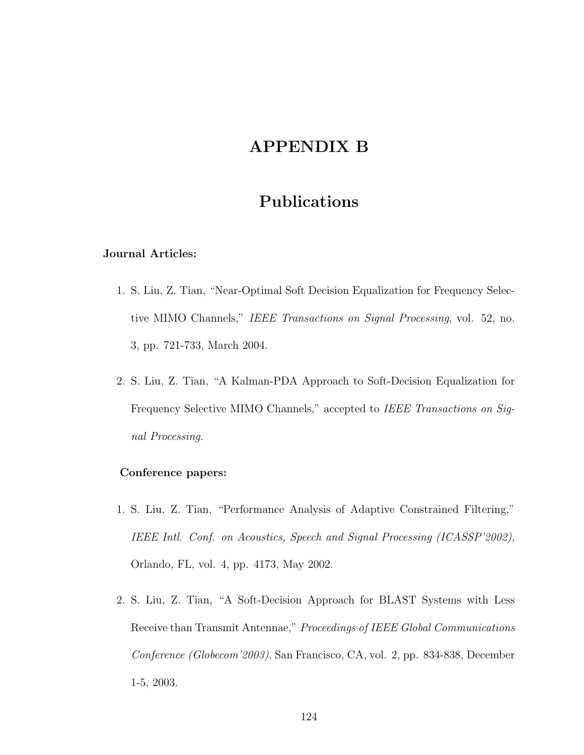# APPENDIX B

# Publications

#### Journal Articles:

- 1. S. Liu, Z. Tian, "Near-Optimal Soft Decision Equalization for Frequency Selective MIMO Channels," IEEE Transactions on Signal Processing, vol. 52, no. 3, pp. 721-733, March 2004.
- 2. S. Liu, Z. Tian, "A Kalman-PDA Approach to Soft-Decision Equalization for Frequency Selective MIMO Channels," accepted to IEEE Transactions on Signal Processing.

#### Conference papers:

- 1. S. Liu, Z. Tian, "Performance Analysis of Adaptive Constrained Filtering," IEEE Intl. Conf. on Acoustics, Speech and Signal Processing (ICASSP'2002), Orlando, FL, vol. 4, pp. 4173, May 2002.
- 2. S. Liu, Z. Tian, "A Soft-Decision Approach for BLAST Systems with Less Receive than Transmit Antennae," Proceedings of IEEE Global Communications Conference (Globecom'2003), San Francisco, CA, vol. 2, pp. 834-838, December 1-5, 2003.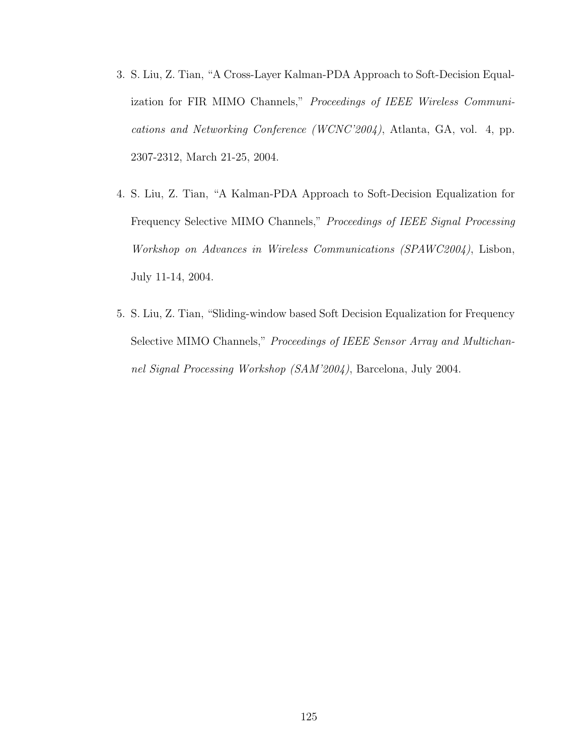- 3. S. Liu, Z. Tian, "A Cross-Layer Kalman-PDA Approach to Soft-Decision Equalization for FIR MIMO Channels," Proceedings of IEEE Wireless Communications and Networking Conference (WCNC'2004), Atlanta, GA, vol. 4, pp. 2307-2312, March 21-25, 2004.
- 4. S. Liu, Z. Tian, "A Kalman-PDA Approach to Soft-Decision Equalization for Frequency Selective MIMO Channels," Proceedings of IEEE Signal Processing Workshop on Advances in Wireless Communications (SPAWC2004), Lisbon, July 11-14, 2004.
- 5. S. Liu, Z. Tian, "Sliding-window based Soft Decision Equalization for Frequency Selective MIMO Channels," Proceedings of IEEE Sensor Array and Multichannel Signal Processing Workshop (SAM'2004), Barcelona, July 2004.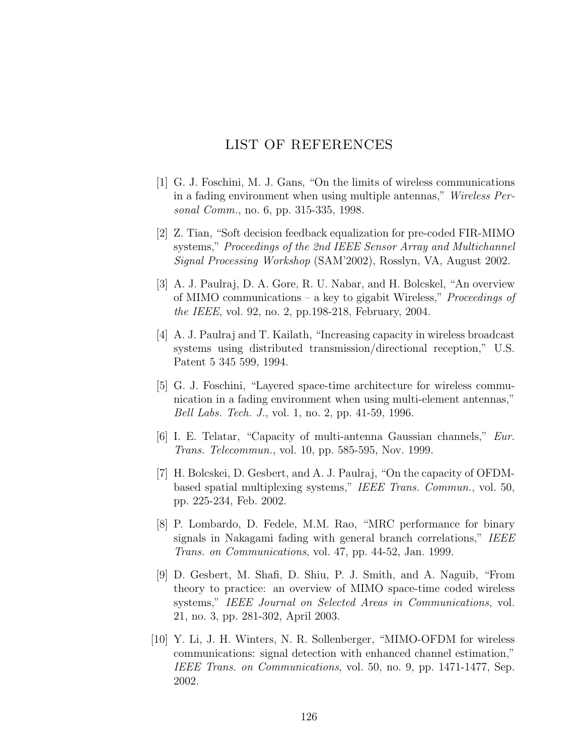### LIST OF REFERENCES

- [1] G. J. Foschini, M. J. Gans, "On the limits of wireless communications in a fading environment when using multiple antennas," Wireless Personal Comm., no. 6, pp. 315-335, 1998.
- [2] Z. Tian, "Soft decision feedback equalization for pre-coded FIR-MIMO systems," Proceedings of the 2nd IEEE Sensor Array and Multichannel Signal Processing Workshop (SAM'2002), Rosslyn, VA, August 2002.
- [3] A. J. Paulraj, D. A. Gore, R. U. Nabar, and H. Bolcskel, "An overview of MIMO communications – a key to gigabit Wireless," Proceedings of the IEEE, vol. 92, no. 2, pp.198-218, February, 2004.
- [4] A. J. Paulraj and T. Kailath, "Increasing capacity in wireless broadcast systems using distributed transmission/directional reception," U.S. Patent 5 345 599, 1994.
- [5] G. J. Foschini, "Layered space-time architecture for wireless communication in a fading environment when using multi-element antennas," Bell Labs. Tech. J., vol. 1, no. 2, pp. 41-59, 1996.
- [6] I. E. Telatar, "Capacity of multi-antenna Gaussian channels," Eur. Trans. Telecommun., vol. 10, pp. 585-595, Nov. 1999.
- [7] H. Bolcskei, D. Gesbert, and A. J. Paulraj, "On the capacity of OFDMbased spatial multiplexing systems," IEEE Trans. Commun., vol. 50, pp. 225-234, Feb. 2002.
- [8] P. Lombardo, D. Fedele, M.M. Rao, "MRC performance for binary signals in Nakagami fading with general branch correlations," IEEE Trans. on Communications, vol. 47, pp. 44-52, Jan. 1999.
- [9] D. Gesbert, M. Shafi, D. Shiu, P. J. Smith, and A. Naguib, "From theory to practice: an overview of MIMO space-time coded wireless systems," IEEE Journal on Selected Areas in Communications, vol. 21, no. 3, pp. 281-302, April 2003.
- [10] Y. Li, J. H. Winters, N. R. Sollenberger, "MIMO-OFDM for wireless communications: signal detection with enhanced channel estimation," IEEE Trans. on Communications, vol. 50, no. 9, pp. 1471-1477, Sep. 2002.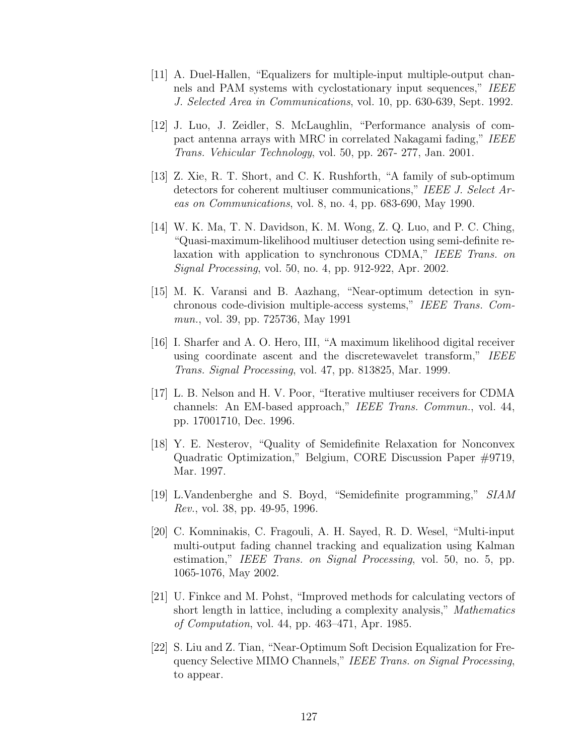- [11] A. Duel-Hallen, "Equalizers for multiple-input multiple-output channels and PAM systems with cyclostationary input sequences," IEEE J. Selected Area in Communications, vol. 10, pp. 630-639, Sept. 1992.
- [12] J. Luo, J. Zeidler, S. McLaughlin, "Performance analysis of compact antenna arrays with MRC in correlated Nakagami fading," IEEE Trans. Vehicular Technology, vol. 50, pp. 267- 277, Jan. 2001.
- [13] Z. Xie, R. T. Short, and C. K. Rushforth, "A family of sub-optimum detectors for coherent multiuser communications," IEEE J. Select Areas on Communications, vol. 8, no. 4, pp. 683-690, May 1990.
- [14] W. K. Ma, T. N. Davidson, K. M. Wong, Z. Q. Luo, and P. C. Ching, "Quasi-maximum-likelihood multiuser detection using semi-definite relaxation with application to synchronous CDMA," IEEE Trans. on Signal Processing, vol. 50, no. 4, pp. 912-922, Apr. 2002.
- [15] M. K. Varansi and B. Aazhang, "Near-optimum detection in synchronous code-division multiple-access systems," IEEE Trans. Commun., vol. 39, pp. 725736, May 1991
- [16] I. Sharfer and A. O. Hero, III, "A maximum likelihood digital receiver using coordinate ascent and the discretewavelet transform," IEEE Trans. Signal Processing, vol. 47, pp. 813825, Mar. 1999.
- [17] L. B. Nelson and H. V. Poor, "Iterative multiuser receivers for CDMA channels: An EM-based approach," IEEE Trans. Commun., vol. 44, pp. 17001710, Dec. 1996.
- [18] Y. E. Nesterov, "Quality of Semidefinite Relaxation for Nonconvex Quadratic Optimization," Belgium, CORE Discussion Paper #9719, Mar. 1997.
- [19] L.Vandenberghe and S. Boyd, "Semidefinite programming," SIAM Rev., vol. 38, pp. 49-95, 1996.
- [20] C. Komninakis, C. Fragouli, A. H. Sayed, R. D. Wesel, "Multi-input multi-output fading channel tracking and equalization using Kalman estimation," IEEE Trans. on Signal Processing, vol. 50, no. 5, pp. 1065-1076, May 2002.
- [21] U. Finkce and M. Pohst, "Improved methods for calculating vectors of short length in lattice, including a complexity analysis," Mathematics of Computation, vol. 44, pp. 463–471, Apr. 1985.
- [22] S. Liu and Z. Tian, "Near-Optimum Soft Decision Equalization for Frequency Selective MIMO Channels," IEEE Trans. on Signal Processing, to appear.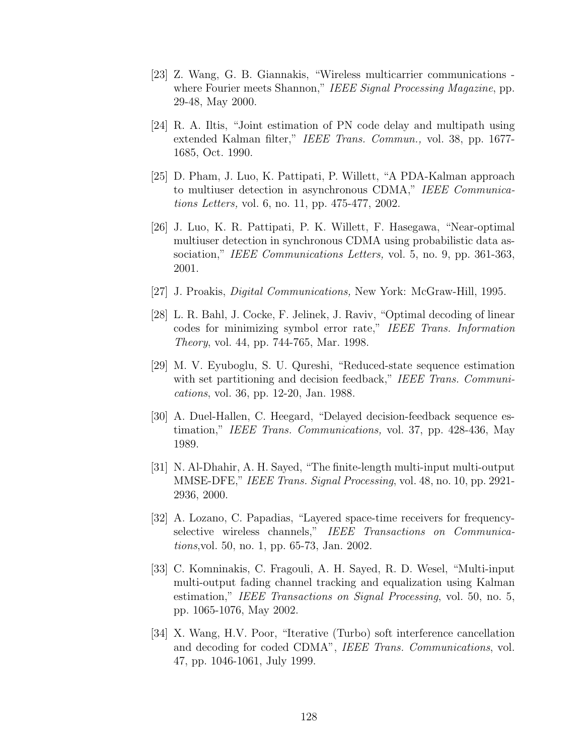- [23] Z. Wang, G. B. Giannakis, "Wireless multicarrier communications where Fourier meets Shannon," IEEE Signal Processing Magazine, pp. 29-48, May 2000.
- [24] R. A. Iltis, "Joint estimation of PN code delay and multipath using extended Kalman filter," IEEE Trans. Commun., vol. 38, pp. 1677- 1685, Oct. 1990.
- [25] D. Pham, J. Luo, K. Pattipati, P. Willett, "A PDA-Kalman approach to multiuser detection in asynchronous CDMA," IEEE Communications Letters, vol. 6, no. 11, pp. 475-477, 2002.
- [26] J. Luo, K. R. Pattipati, P. K. Willett, F. Hasegawa, "Near-optimal multiuser detection in synchronous CDMA using probabilistic data association," IEEE Communications Letters, vol. 5, no. 9, pp. 361-363, 2001.
- [27] J. Proakis, Digital Communications, New York: McGraw-Hill, 1995.
- [28] L. R. Bahl, J. Cocke, F. Jelinek, J. Raviv, "Optimal decoding of linear codes for minimizing symbol error rate," IEEE Trans. Information Theory, vol. 44, pp. 744-765, Mar. 1998.
- [29] M. V. Eyuboglu, S. U. Qureshi, "Reduced-state sequence estimation with set partitioning and decision feedback," IEEE Trans. Communications, vol. 36, pp. 12-20, Jan. 1988.
- [30] A. Duel-Hallen, C. Heegard, "Delayed decision-feedback sequence estimation," IEEE Trans. Communications, vol. 37, pp. 428-436, May 1989.
- [31] N. Al-Dhahir, A. H. Sayed, "The finite-length multi-input multi-output MMSE-DFE," IEEE Trans. Signal Processing, vol. 48, no. 10, pp. 2921- 2936, 2000.
- [32] A. Lozano, C. Papadias, "Layered space-time receivers for frequencyselective wireless channels," IEEE Transactions on Communications,vol. 50, no. 1, pp. 65-73, Jan. 2002.
- [33] C. Komninakis, C. Fragouli, A. H. Sayed, R. D. Wesel, "Multi-input multi-output fading channel tracking and equalization using Kalman estimation," IEEE Transactions on Signal Processing, vol. 50, no. 5, pp. 1065-1076, May 2002.
- [34] X. Wang, H.V. Poor, "Iterative (Turbo) soft interference cancellation and decoding for coded CDMA", IEEE Trans. Communications, vol. 47, pp. 1046-1061, July 1999.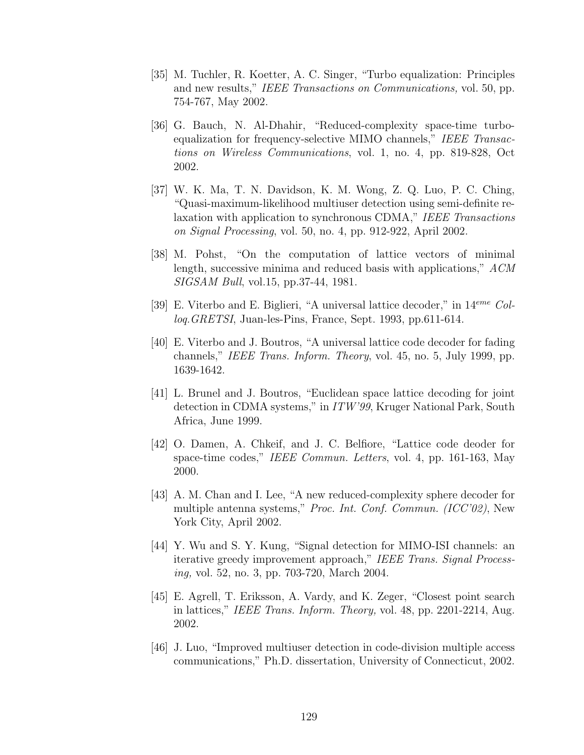- [35] M. Tuchler, R. Koetter, A. C. Singer, "Turbo equalization: Principles and new results," IEEE Transactions on Communications, vol. 50, pp. 754-767, May 2002.
- [36] G. Bauch, N. Al-Dhahir, "Reduced-complexity space-time turboequalization for frequency-selective MIMO channels," IEEE Transactions on Wireless Communications, vol. 1, no. 4, pp. 819-828, Oct 2002.
- [37] W. K. Ma, T. N. Davidson, K. M. Wong, Z. Q. Luo, P. C. Ching, "Quasi-maximum-likelihood multiuser detection using semi-definite relaxation with application to synchronous CDMA," IEEE Transactions on Signal Processing, vol. 50, no. 4, pp. 912-922, April 2002.
- [38] M. Pohst, "On the computation of lattice vectors of minimal length, successive minima and reduced basis with applications," ACM SIGSAM Bull, vol.15, pp.37-44, 1981.
- [39] E. Viterbo and E. Biglieri, "A universal lattice decoder," in  $14^{eme}$  Colloq.GRETSI, Juan-les-Pins, France, Sept. 1993, pp.611-614.
- [40] E. Viterbo and J. Boutros, "A universal lattice code decoder for fading channels," IEEE Trans. Inform. Theory, vol. 45, no. 5, July 1999, pp. 1639-1642.
- [41] L. Brunel and J. Boutros, "Euclidean space lattice decoding for joint detection in CDMA systems," in ITW'99, Kruger National Park, South Africa, June 1999.
- [42] O. Damen, A. Chkeif, and J. C. Belfiore, "Lattice code deoder for space-time codes," IEEE Commun. Letters, vol. 4, pp. 161-163, May 2000.
- [43] A. M. Chan and I. Lee, "A new reduced-complexity sphere decoder for multiple antenna systems," Proc. Int. Conf. Commun. (ICC'02), New York City, April 2002.
- [44] Y. Wu and S. Y. Kung, "Signal detection for MIMO-ISI channels: an iterative greedy improvement approach," IEEE Trans. Signal Processing, vol. 52, no. 3, pp. 703-720, March 2004.
- [45] E. Agrell, T. Eriksson, A. Vardy, and K. Zeger, "Closest point search in lattices," IEEE Trans. Inform. Theory, vol. 48, pp. 2201-2214, Aug. 2002.
- [46] J. Luo, "Improved multiuser detection in code-division multiple access communications," Ph.D. dissertation, University of Connecticut, 2002.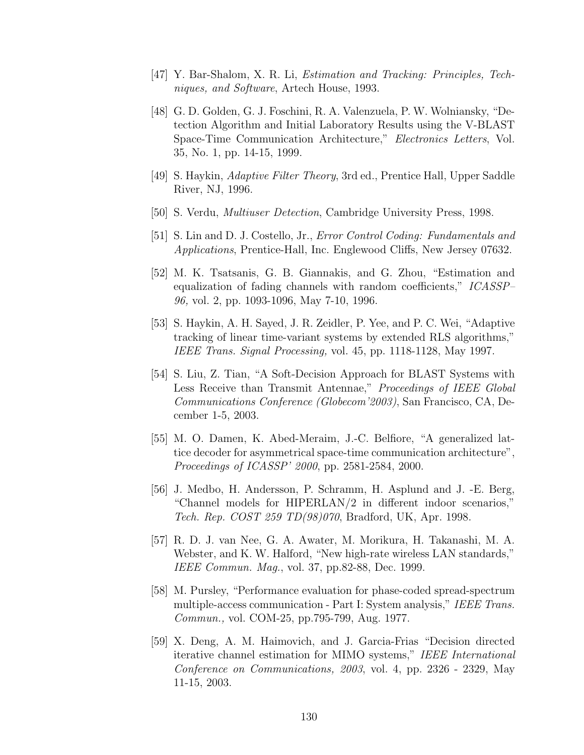- [47] Y. Bar-Shalom, X. R. Li, Estimation and Tracking: Principles, Techniques, and Software, Artech House, 1993.
- [48] G. D. Golden, G. J. Foschini, R. A. Valenzuela, P. W. Wolniansky, "Detection Algorithm and Initial Laboratory Results using the V-BLAST Space-Time Communication Architecture," Electronics Letters, Vol. 35, No. 1, pp. 14-15, 1999.
- [49] S. Haykin, Adaptive Filter Theory, 3rd ed., Prentice Hall, Upper Saddle River, NJ, 1996.
- [50] S. Verdu, Multiuser Detection, Cambridge University Press, 1998.
- [51] S. Lin and D. J. Costello, Jr., Error Control Coding: Fundamentals and Applications, Prentice-Hall, Inc. Englewood Cliffs, New Jersey 07632.
- [52] M. K. Tsatsanis, G. B. Giannakis, and G. Zhou, "Estimation and equalization of fading channels with random coefficients," ICASSP– 96, vol. 2, pp. 1093-1096, May 7-10, 1996.
- [53] S. Haykin, A. H. Sayed, J. R. Zeidler, P. Yee, and P. C. Wei, "Adaptive tracking of linear time-variant systems by extended RLS algorithms," IEEE Trans. Signal Processing, vol. 45, pp. 1118-1128, May 1997.
- [54] S. Liu, Z. Tian, "A Soft-Decision Approach for BLAST Systems with Less Receive than Transmit Antennae," Proceedings of IEEE Global Communications Conference (Globecom'2003), San Francisco, CA, December 1-5, 2003.
- [55] M. O. Damen, K. Abed-Meraim, J.-C. Belfiore, "A generalized lattice decoder for asymmetrical space-time communication architecture", Proceedings of ICASSP' 2000, pp. 2581-2584, 2000.
- [56] J. Medbo, H. Andersson, P. Schramm, H. Asplund and J. -E. Berg, "Channel models for HIPERLAN/2 in different indoor scenarios," Tech. Rep. COST 259 TD(98)070, Bradford, UK, Apr. 1998.
- [57] R. D. J. van Nee, G. A. Awater, M. Morikura, H. Takanashi, M. A. Webster, and K. W. Halford, "New high-rate wireless LAN standards," IEEE Commun. Mag., vol. 37, pp.82-88, Dec. 1999.
- [58] M. Pursley, "Performance evaluation for phase-coded spread-spectrum multiple-access communication - Part I: System analysis," IEEE Trans. Commun., vol. COM-25, pp.795-799, Aug. 1977.
- [59] X. Deng, A. M. Haimovich, and J. Garcia-Frias "Decision directed iterative channel estimation for MIMO systems," IEEE International Conference on Communications, 2003, vol. 4, pp. 2326 - 2329, May 11-15, 2003.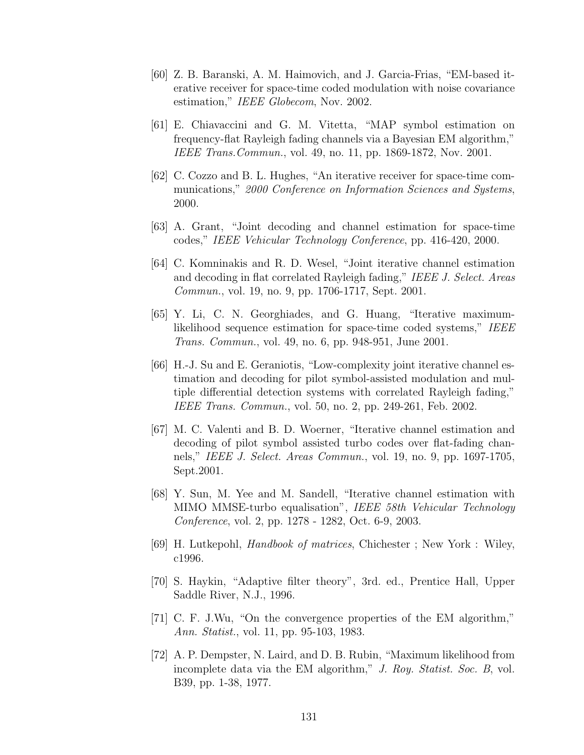- [60] Z. B. Baranski, A. M. Haimovich, and J. Garcia-Frias, "EM-based iterative receiver for space-time coded modulation with noise covariance estimation," IEEE Globecom, Nov. 2002.
- [61] E. Chiavaccini and G. M. Vitetta, "MAP symbol estimation on frequency-flat Rayleigh fading channels via a Bayesian EM algorithm," IEEE Trans.Commun., vol. 49, no. 11, pp. 1869-1872, Nov. 2001.
- [62] C. Cozzo and B. L. Hughes, "An iterative receiver for space-time communications," 2000 Conference on Information Sciences and Systems, 2000.
- [63] A. Grant, "Joint decoding and channel estimation for space-time codes," IEEE Vehicular Technology Conference, pp. 416-420, 2000.
- [64] C. Komninakis and R. D. Wesel, "Joint iterative channel estimation and decoding in flat correlated Rayleigh fading," IEEE J. Select. Areas Commun., vol. 19, no. 9, pp. 1706-1717, Sept. 2001.
- [65] Y. Li, C. N. Georghiades, and G. Huang, "Iterative maximumlikelihood sequence estimation for space-time coded systems," IEEE Trans. Commun., vol. 49, no. 6, pp. 948-951, June 2001.
- [66] H.-J. Su and E. Geraniotis, "Low-complexity joint iterative channel estimation and decoding for pilot symbol-assisted modulation and multiple differential detection systems with correlated Rayleigh fading," IEEE Trans. Commun., vol. 50, no. 2, pp. 249-261, Feb. 2002.
- [67] M. C. Valenti and B. D. Woerner, "Iterative channel estimation and decoding of pilot symbol assisted turbo codes over flat-fading channels," IEEE J. Select. Areas Commun., vol. 19, no. 9, pp. 1697-1705, Sept.2001.
- [68] Y. Sun, M. Yee and M. Sandell, "Iterative channel estimation with MIMO MMSE-turbo equalisation", IEEE 58th Vehicular Technology Conference, vol. 2, pp. 1278 - 1282, Oct. 6-9, 2003.
- [69] H. Lutkepohl, Handbook of matrices, Chichester ; New York : Wiley, c1996.
- [70] S. Haykin, "Adaptive filter theory", 3rd. ed., Prentice Hall, Upper Saddle River, N.J., 1996.
- [71] C. F. J.Wu, "On the convergence properties of the EM algorithm," Ann. Statist., vol. 11, pp. 95-103, 1983.
- [72] A. P. Dempster, N. Laird, and D. B. Rubin, "Maximum likelihood from incomplete data via the EM algorithm," J. Roy. Statist. Soc. B, vol. B39, pp. 1-38, 1977.